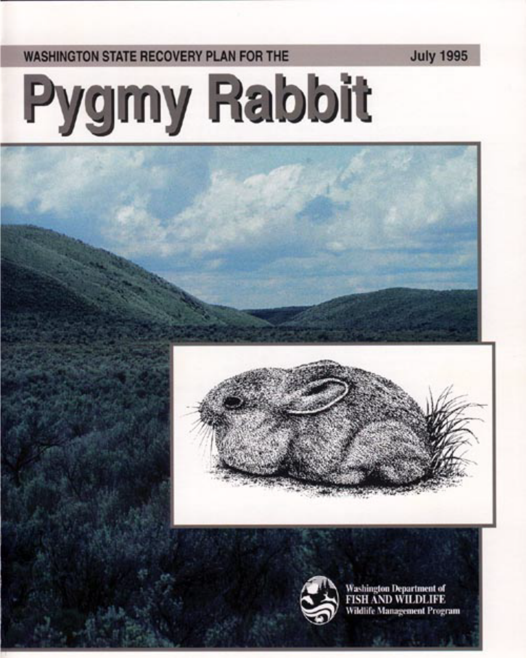**WASHINGTON STATE RECOVERY PLAN FOR THE** 

**July 1995** 







**Washington Department of<br>FISH AND WILDLIFE** dife Management Program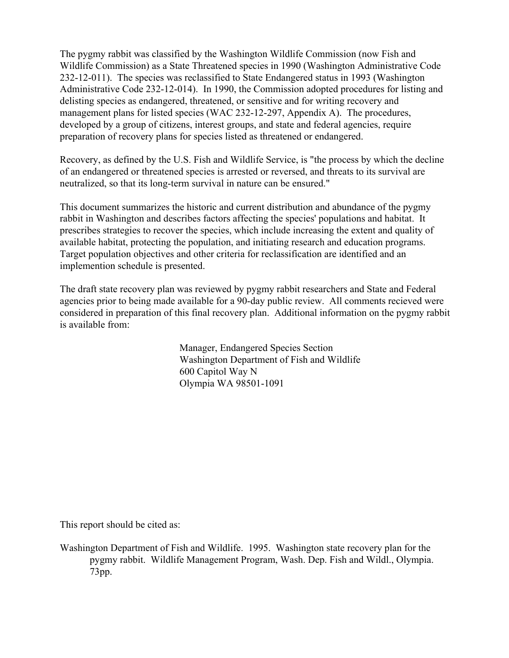The pygmy rabbit was classified by the Washington Wildlife Commission (now Fish and Wildlife Commission) as a State Threatened species in 1990 (Washington Administrative Code 232-12-011). The species was reclassified to State Endangered status in 1993 (Washington Administrative Code 232-12-014). In 1990, the Commission adopted procedures for listing and delisting species as endangered, threatened, or sensitive and for writing recovery and management plans for listed species (WAC 232-12-297, Appendix A). The procedures, developed by a group of citizens, interest groups, and state and federal agencies, require preparation of recovery plans for species listed as threatened or endangered.

Recovery, as defined by the U.S. Fish and Wildlife Service, is "the process by which the decline of an endangered or threatened species is arrested or reversed, and threats to its survival are neutralized, so that its long-term survival in nature can be ensured."

This document summarizes the historic and current distribution and abundance of the pygmy rabbit in Washington and describes factors affecting the species' populations and habitat. It prescribes strategies to recover the species, which include increasing the extent and quality of available habitat, protecting the population, and initiating research and education programs. Target population objectives and other criteria for reclassification are identified and an implemention schedule is presented.

The draft state recovery plan was reviewed by pygmy rabbit researchers and State and Federal agencies prior to being made available for a 90-day public review. All comments recieved were considered in preparation of this final recovery plan. Additional information on the pygmy rabbit is available from:

> Manager, Endangered Species Section Washington Department of Fish and Wildlife 600 Capitol Way N Olympia WA 98501-1091

This report should be cited as:

Washington Department of Fish and Wildlife. 1995. Washington state recovery plan for the pygmy rabbit. Wildlife Management Program, Wash. Dep. Fish and Wildl., Olympia. 73pp.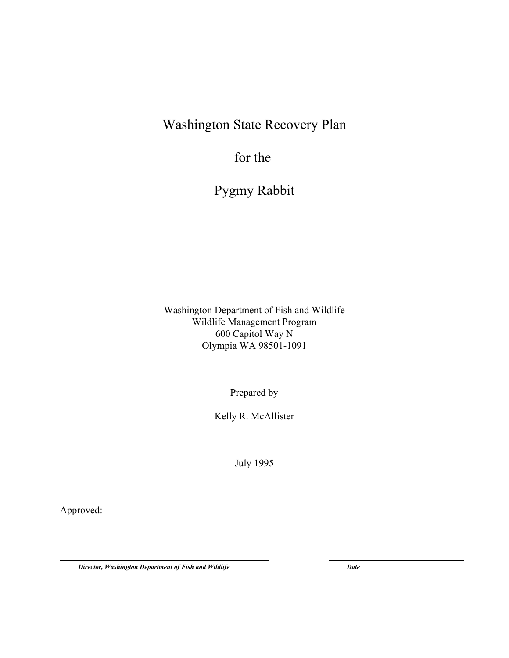# Washington State Recovery Plan

for the

Pygmy Rabbit

Washington Department of Fish and Wildlife Wildlife Management Program 600 Capitol Way N Olympia WA 98501-1091

Prepared by

Kelly R. McAllister

July 1995

Approved:

l

*Director, Washington Department of Fish and Wildlife Date*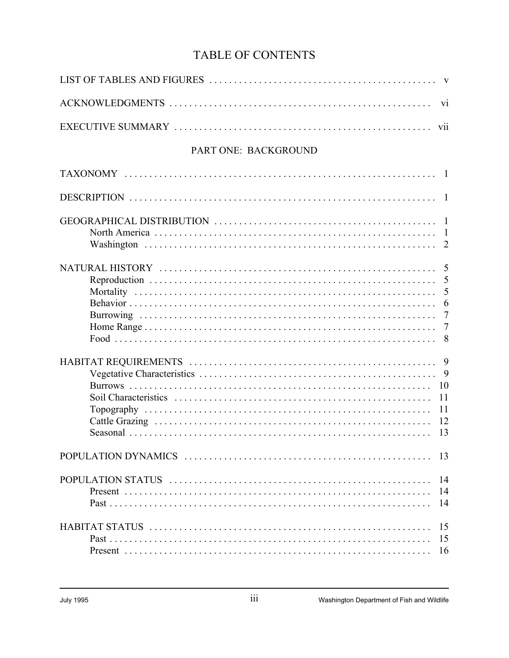## **TABLE OF CONTENTS**

| PART ONE: BACKGROUND |                              |
|----------------------|------------------------------|
|                      |                              |
|                      |                              |
|                      |                              |
|                      |                              |
| <b>Burrows</b>       | - 10<br>11<br>11<br>12<br>13 |
|                      | 13                           |
|                      | 14<br>14<br>14               |
|                      | 15<br>15<br>16               |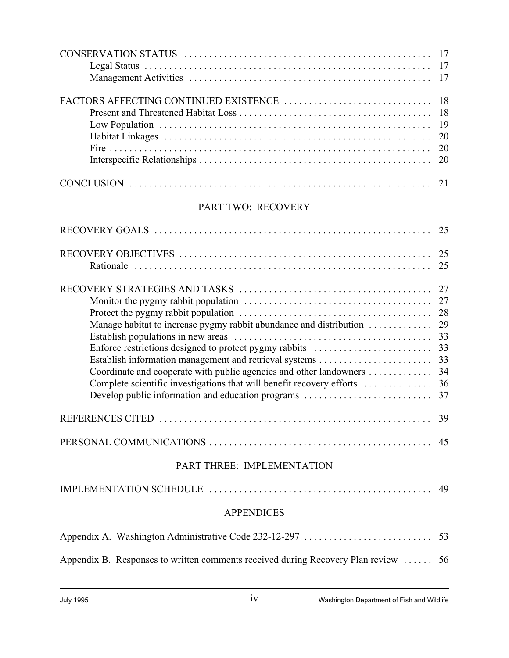| <b>PART TWO: RECOVERY</b> |  |
|---------------------------|--|

| Enforce restrictions designed to protect pygmy rabbits<br>Develop public information and education programs | 33<br>33<br>37 |
|-------------------------------------------------------------------------------------------------------------|----------------|
|                                                                                                             | 39             |
|                                                                                                             | 45             |
| PART THREE: IMPLEMENTATION                                                                                  |                |
|                                                                                                             |                |
| <b>APPENDICES</b>                                                                                           |                |
|                                                                                                             |                |
| Appendix B. Responses to written comments received during Recovery Plan review  56                          |                |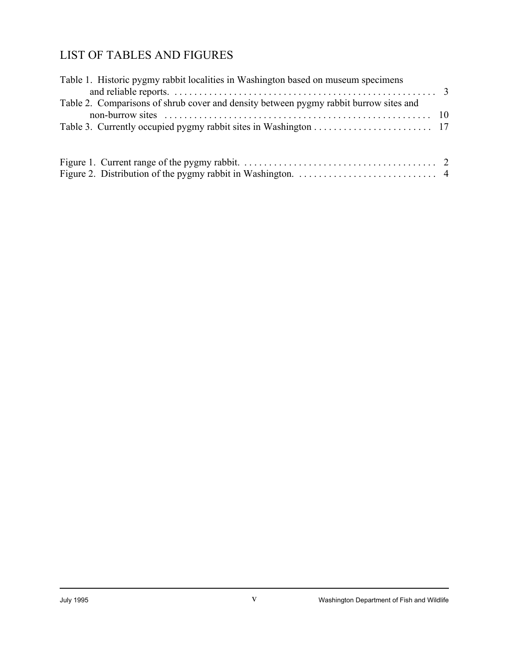## LIST OF TABLES AND FIGURES

| Table 1. Historic pygmy rabbit localities in Washington based on museum specimens     |  |
|---------------------------------------------------------------------------------------|--|
| Table 2. Comparisons of shrub cover and density between pygmy rabbit burrow sites and |  |
|                                                                                       |  |
|                                                                                       |  |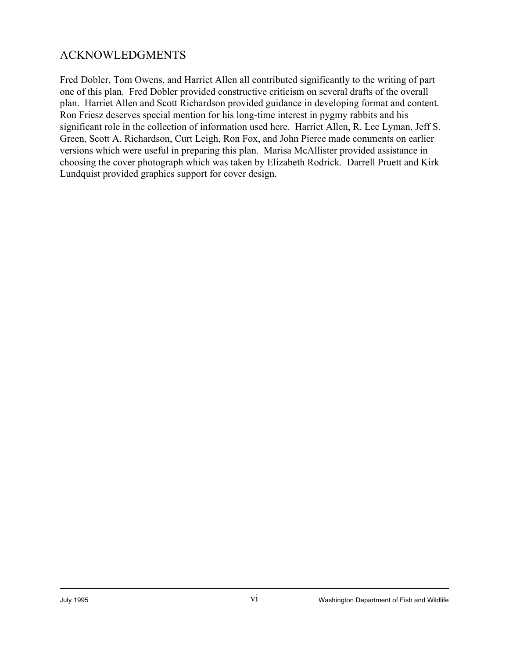## ACKNOWLEDGMENTS

Fred Dobler, Tom Owens, and Harriet Allen all contributed significantly to the writing of part one of this plan. Fred Dobler provided constructive criticism on several drafts of the overall plan. Harriet Allen and Scott Richardson provided guidance in developing format and content. Ron Friesz deserves special mention for his long-time interest in pygmy rabbits and his significant role in the collection of information used here. Harriet Allen, R. Lee Lyman, Jeff S. Green, Scott A. Richardson, Curt Leigh, Ron Fox, and John Pierce made comments on earlier versions which were useful in preparing this plan. Marisa McAllister provided assistance in choosing the cover photograph which was taken by Elizabeth Rodrick. Darrell Pruett and Kirk Lundquist provided graphics support for cover design.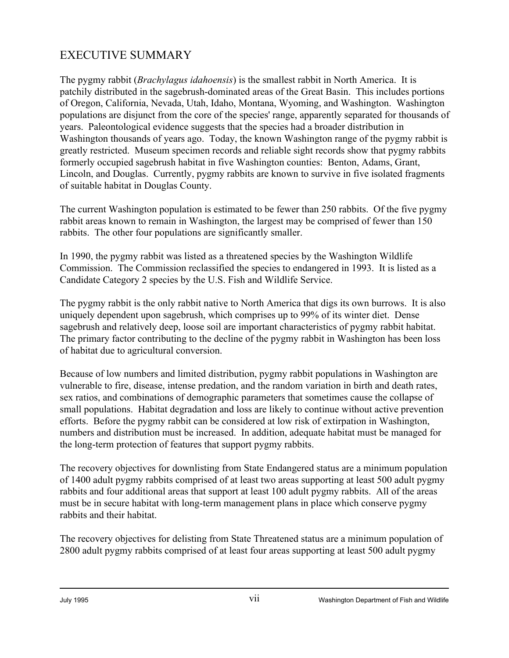## EXECUTIVE SUMMARY

The pygmy rabbit (*Brachylagus idahoensis*) is the smallest rabbit in North America. It is patchily distributed in the sagebrush-dominated areas of the Great Basin. This includes portions of Oregon, California, Nevada, Utah, Idaho, Montana, Wyoming, and Washington. Washington populations are disjunct from the core of the species' range, apparently separated for thousands of years. Paleontological evidence suggests that the species had a broader distribution in Washington thousands of years ago. Today, the known Washington range of the pygmy rabbit is greatly restricted. Museum specimen records and reliable sight records show that pygmy rabbits formerly occupied sagebrush habitat in five Washington counties: Benton, Adams, Grant, Lincoln, and Douglas. Currently, pygmy rabbits are known to survive in five isolated fragments of suitable habitat in Douglas County.

The current Washington population is estimated to be fewer than 250 rabbits. Of the five pygmy rabbit areas known to remain in Washington, the largest may be comprised of fewer than 150 rabbits. The other four populations are significantly smaller.

In 1990, the pygmy rabbit was listed as a threatened species by the Washington Wildlife Commission. The Commission reclassified the species to endangered in 1993. It is listed as a Candidate Category 2 species by the U.S. Fish and Wildlife Service.

The pygmy rabbit is the only rabbit native to North America that digs its own burrows. It is also uniquely dependent upon sagebrush, which comprises up to 99% of its winter diet. Dense sagebrush and relatively deep, loose soil are important characteristics of pygmy rabbit habitat. The primary factor contributing to the decline of the pygmy rabbit in Washington has been loss of habitat due to agricultural conversion.

Because of low numbers and limited distribution, pygmy rabbit populations in Washington are vulnerable to fire, disease, intense predation, and the random variation in birth and death rates, sex ratios, and combinations of demographic parameters that sometimes cause the collapse of small populations. Habitat degradation and loss are likely to continue without active prevention efforts. Before the pygmy rabbit can be considered at low risk of extirpation in Washington, numbers and distribution must be increased. In addition, adequate habitat must be managed for the long-term protection of features that support pygmy rabbits.

The recovery objectives for downlisting from State Endangered status are a minimum population of 1400 adult pygmy rabbits comprised of at least two areas supporting at least 500 adult pygmy rabbits and four additional areas that support at least 100 adult pygmy rabbits. All of the areas must be in secure habitat with long-term management plans in place which conserve pygmy rabbits and their habitat.

The recovery objectives for delisting from State Threatened status are a minimum population of 2800 adult pygmy rabbits comprised of at least four areas supporting at least 500 adult pygmy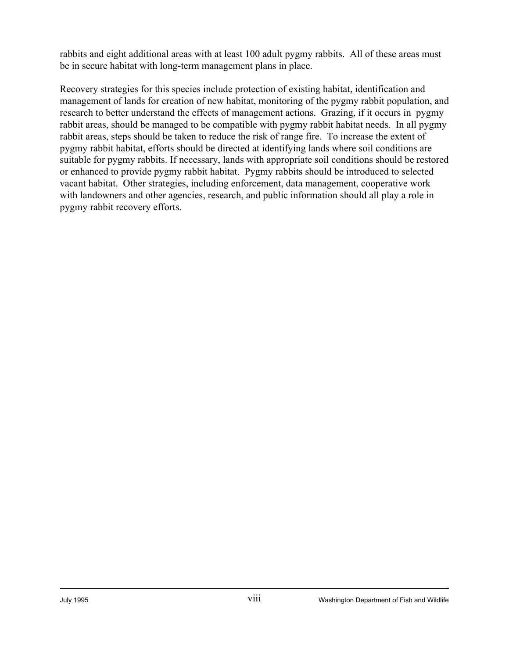rabbits and eight additional areas with at least 100 adult pygmy rabbits. All of these areas must be in secure habitat with long-term management plans in place.

Recovery strategies for this species include protection of existing habitat, identification and management of lands for creation of new habitat, monitoring of the pygmy rabbit population, and research to better understand the effects of management actions. Grazing, if it occurs in pygmy rabbit areas, should be managed to be compatible with pygmy rabbit habitat needs. In all pygmy rabbit areas, steps should be taken to reduce the risk of range fire. To increase the extent of pygmy rabbit habitat, efforts should be directed at identifying lands where soil conditions are suitable for pygmy rabbits. If necessary, lands with appropriate soil conditions should be restored or enhanced to provide pygmy rabbit habitat. Pygmy rabbits should be introduced to selected vacant habitat. Other strategies, including enforcement, data management, cooperative work with landowners and other agencies, research, and public information should all play a role in pygmy rabbit recovery efforts.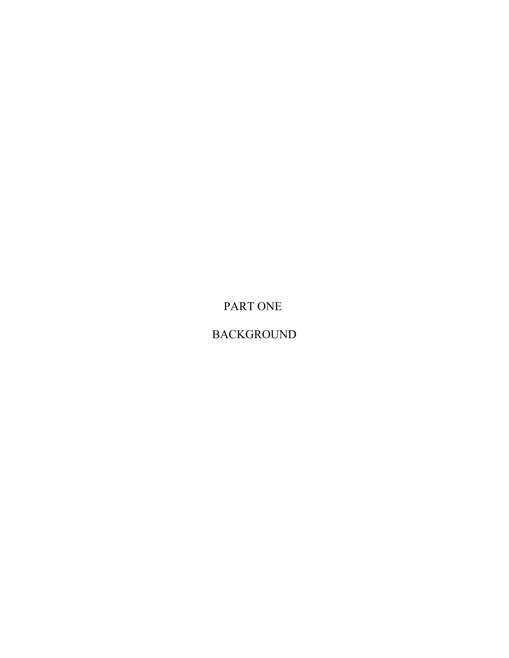PART ONE

BACKGROUND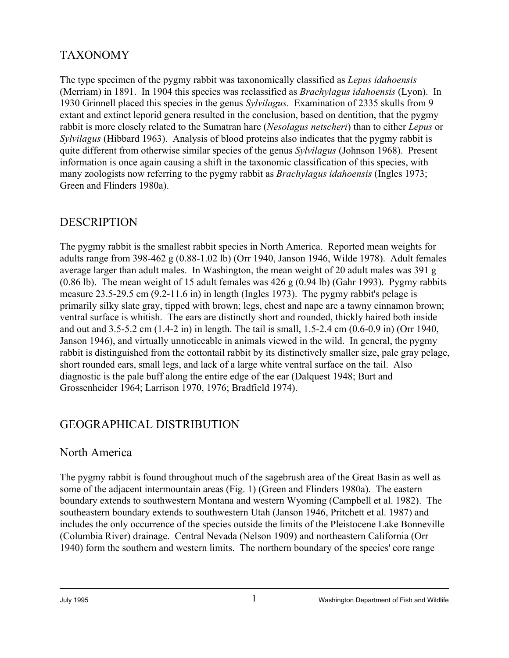## TAXONOMY

The type specimen of the pygmy rabbit was taxonomically classified as *Lepus idahoensis* (Merriam) in 1891. In 1904 this species was reclassified as *Brachylagus idahoensis* (Lyon). In 1930 Grinnell placed this species in the genus *Sylvilagus*. Examination of 2335 skulls from 9 extant and extinct leporid genera resulted in the conclusion, based on dentition, that the pygmy rabbit is more closely related to the Sumatran hare (*Nesolagus netscheri*) than to either *Lepus* or *Sylvilagus* (Hibbard 1963). Analysis of blood proteins also indicates that the pygmy rabbit is quite different from otherwise similar species of the genus *Sylvilagus* (Johnson 1968). Present information is once again causing a shift in the taxonomic classification of this species, with many zoologists now referring to the pygmy rabbit as *Brachylagus idahoensis* (Ingles 1973; Green and Flinders 1980a).

## DESCRIPTION

The pygmy rabbit is the smallest rabbit species in North America. Reported mean weights for adults range from 398-462 g (0.88-1.02 lb) (Orr 1940, Janson 1946, Wilde 1978). Adult females average larger than adult males. In Washington, the mean weight of 20 adult males was 391 g  $(0.86 \text{ lb})$ . The mean weight of 15 adult females was  $426 \text{ g} (0.94 \text{ lb})$  (Gahr 1993). Pygmy rabbits measure 23.5-29.5 cm (9.2-11.6 in) in length (Ingles 1973). The pygmy rabbit's pelage is primarily silky slate gray, tipped with brown; legs, chest and nape are a tawny cinnamon brown; ventral surface is whitish. The ears are distinctly short and rounded, thickly haired both inside and out and 3.5-5.2 cm (1.4-2 in) in length. The tail is small, 1.5-2.4 cm (0.6-0.9 in) (Orr 1940, Janson 1946), and virtually unnoticeable in animals viewed in the wild. In general, the pygmy rabbit is distinguished from the cottontail rabbit by its distinctively smaller size, pale gray pelage, short rounded ears, small legs, and lack of a large white ventral surface on the tail. Also diagnostic is the pale buff along the entire edge of the ear (Dalquest 1948; Burt and Grossenheider 1964; Larrison 1970, 1976; Bradfield 1974).

## GEOGRAPHICAL DISTRIBUTION

#### North America

The pygmy rabbit is found throughout much of the sagebrush area of the Great Basin as well as some of the adjacent intermountain areas (Fig. 1) (Green and Flinders 1980a). The eastern boundary extends to southwestern Montana and western Wyoming (Campbell et al. 1982). The southeastern boundary extends to southwestern Utah (Janson 1946, Pritchett et al. 1987) and includes the only occurrence of the species outside the limits of the Pleistocene Lake Bonneville (Columbia River) drainage. Central Nevada (Nelson 1909) and northeastern California (Orr 1940) form the southern and western limits. The northern boundary of the species' core range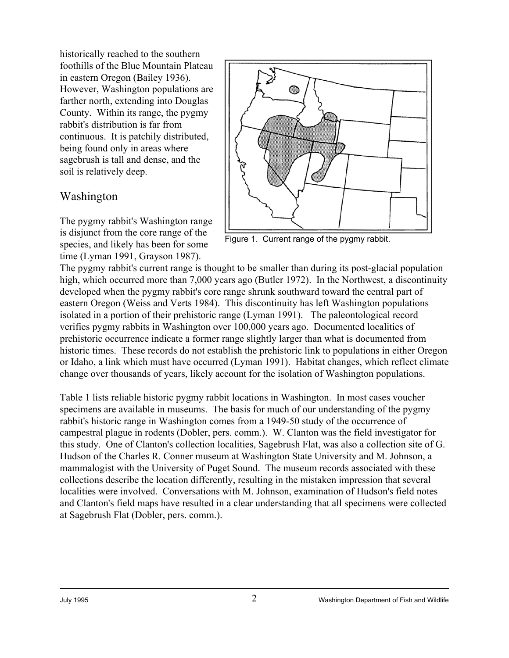historically reached to the southern foothills of the Blue Mountain Plateau in eastern Oregon (Bailey 1936). However, Washington populations are farther north, extending into Douglas County. Within its range, the pygmy rabbit's distribution is far from continuous. It is patchily distributed, being found only in areas where sagebrush is tall and dense, and the soil is relatively deep.

#### Washington

The pygmy rabbit's Washington range is disjunct from the core range of the species, and likely has been for some time (Lyman 1991, Grayson 1987).



Figure 1. Current range of the pygmy rabbit.

The pygmy rabbit's current range is thought to be smaller than during its post-glacial population high, which occurred more than 7,000 years ago (Butler 1972). In the Northwest, a discontinuity developed when the pygmy rabbit's core range shrunk southward toward the central part of eastern Oregon (Weiss and Verts 1984). This discontinuity has left Washington populations isolated in a portion of their prehistoric range (Lyman 1991). The paleontological record verifies pygmy rabbits in Washington over 100,000 years ago. Documented localities of prehistoric occurrence indicate a former range slightly larger than what is documented from historic times. These records do not establish the prehistoric link to populations in either Oregon or Idaho, a link which must have occurred (Lyman 1991). Habitat changes, which reflect climate change over thousands of years, likely account for the isolation of Washington populations.

Table 1 lists reliable historic pygmy rabbit locations in Washington. In most cases voucher specimens are available in museums. The basis for much of our understanding of the pygmy rabbit's historic range in Washington comes from a 1949-50 study of the occurrence of campestral plague in rodents (Dobler, pers. comm.). W. Clanton was the field investigator for this study. One of Clanton's collection localities, Sagebrush Flat, was also a collection site of G. Hudson of the Charles R. Conner museum at Washington State University and M. Johnson, a mammalogist with the University of Puget Sound. The museum records associated with these collections describe the location differently, resulting in the mistaken impression that several localities were involved. Conversations with M. Johnson, examination of Hudson's field notes and Clanton's field maps have resulted in a clear understanding that all specimens were collected at Sagebrush Flat (Dobler, pers. comm.).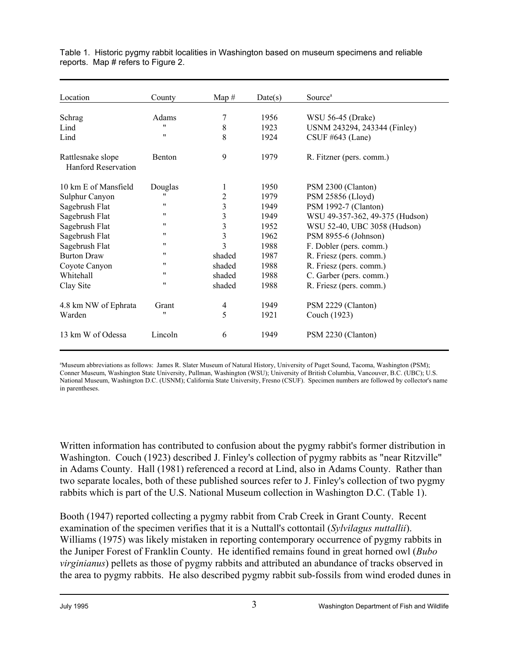| Location                                 | County  | Map $#$                 | Date(s) | Source <sup>a</sup>             |
|------------------------------------------|---------|-------------------------|---------|---------------------------------|
| Schrag                                   | Adams   | 7                       | 1956    | WSU 56-45 (Drake)               |
| Lind                                     | 11      | 8                       | 1923    | USNM 243294, 243344 (Finley)    |
| Lind                                     | 11      | 8                       | 1924    | CSUF $#643$ (Lane)              |
| Rattlesnake slope<br>Hanford Reservation | Benton  | 9                       | 1979    | R. Fitzner (pers. comm.)        |
| 10 km E of Mansfield                     | Douglas | 1                       | 1950    | PSM 2300 (Clanton)              |
| Sulphur Canyon                           | "       | $\overline{c}$          | 1979    | PSM 25856 (Lloyd)               |
| Sagebrush Flat                           | "       | $\overline{\mathbf{3}}$ | 1949    | PSM 1992-7 (Clanton)            |
| Sagebrush Flat                           | 11      | $\overline{\mathbf{3}}$ | 1949    | WSU 49-357-362, 49-375 (Hudson) |
| Sagebrush Flat                           | 11      | 3                       | 1952    | WSU 52-40, UBC 3058 (Hudson)    |
| Sagebrush Flat                           | 11      | $\overline{3}$          | 1962    | PSM 8955-6 (Johnson)            |
| Sagebrush Flat                           | 11      | 3                       | 1988    | F. Dobler (pers. comm.)         |
| <b>Burton Draw</b>                       | 11      | shaded                  | 1987    | R. Friesz (pers. comm.)         |
| Coyote Canyon                            | "       | shaded                  | 1988    | R. Friesz (pers. comm.)         |
| Whitehall                                | "       | shaded                  | 1988    | C. Garber (pers. comm.)         |
| Clay Site                                | 11      | shaded                  | 1988    | R. Friesz (pers. comm.)         |
| 4.8 km NW of Ephrata                     | Grant   | 4                       | 1949    | PSM 2229 (Clanton)              |
| Warden                                   | "       | 5                       | 1921    | Couch (1923)                    |
| 13 km W of Odessa                        | Lincoln | 6                       | 1949    | PSM 2230 (Clanton)              |

Table 1. Historic pygmy rabbit localities in Washington based on museum specimens and reliable reports. Map # refers to Figure 2.

<sup>a</sup>Museum abbreviations as follows: James R. Slater Museum of Natural History, University of Puget Sound, Tacoma, Washington (PSM); Conner Museum, Washington State University, Pullman, Washington (WSU); University of British Columbia, Vancouver, B.C. (UBC); U.S. National Museum, Washington D.C. (USNM); California State University, Fresno (CSUF). Specimen numbers are followed by collector's name in parentheses.

Written information has contributed to confusion about the pygmy rabbit's former distribution in Washington. Couch (1923) described J. Finley's collection of pygmy rabbits as "near Ritzville" in Adams County. Hall (1981) referenced a record at Lind, also in Adams County. Rather than two separate locales, both of these published sources refer to J. Finley's collection of two pygmy rabbits which is part of the U.S. National Museum collection in Washington D.C. (Table 1).

Booth (1947) reported collecting a pygmy rabbit from Crab Creek in Grant County. Recent examination of the specimen verifies that it is a Nuttall's cottontail (*Sylvilagus nuttallii*). Williams (1975) was likely mistaken in reporting contemporary occurrence of pygmy rabbits in the Juniper Forest of Franklin County. He identified remains found in great horned owl (*Bubo virginianus*) pellets as those of pygmy rabbits and attributed an abundance of tracks observed in the area to pygmy rabbits. He also described pygmy rabbit sub-fossils from wind eroded dunes in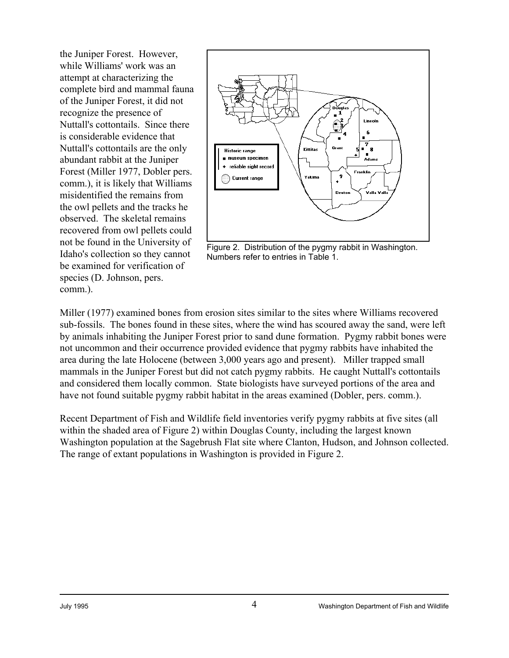the Juniper Forest. However, while Williams' work was an attempt at characterizing the complete bird and mammal fauna of the Juniper Forest, it did not recognize the presence of Nuttall's cottontails. Since there is considerable evidence that Nuttall's cottontails are the only abundant rabbit at the Juniper Forest (Miller 1977, Dobler pers. comm.), it is likely that Williams misidentified the remains from the owl pellets and the tracks he observed. The skeletal remains recovered from owl pellets could not be found in the University of Idaho's collection so they cannot be examined for verification of species (D. Johnson, pers. comm.).



Figure 2. Distribution of the pygmy rabbit in Washington. Numbers refer to entries in Table 1.

Miller (1977) examined bones from erosion sites similar to the sites where Williams recovered sub-fossils. The bones found in these sites, where the wind has scoured away the sand, were left by animals inhabiting the Juniper Forest prior to sand dune formation. Pygmy rabbit bones were not uncommon and their occurrence provided evidence that pygmy rabbits have inhabited the area during the late Holocene (between 3,000 years ago and present). Miller trapped small mammals in the Juniper Forest but did not catch pygmy rabbits. He caught Nuttall's cottontails and considered them locally common. State biologists have surveyed portions of the area and have not found suitable pygmy rabbit habitat in the areas examined (Dobler, pers. comm.).

Recent Department of Fish and Wildlife field inventories verify pygmy rabbits at five sites (all within the shaded area of Figure 2) within Douglas County, including the largest known Washington population at the Sagebrush Flat site where Clanton, Hudson, and Johnson collected. The range of extant populations in Washington is provided in Figure 2.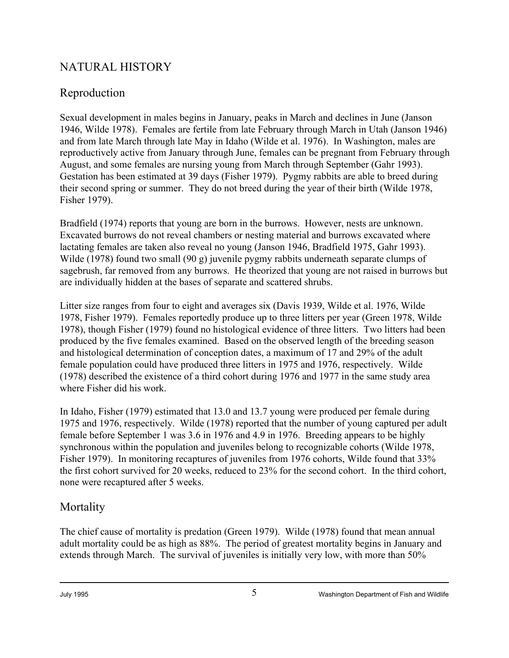## NATURAL HISTORY

## Reproduction

Sexual development in males begins in January, peaks in March and declines in June (Janson 1946, Wilde 1978). Females are fertile from late February through March in Utah (Janson 1946) and from late March through late May in Idaho (Wilde et al. 1976). In Washington, males are reproductively active from January through June, females can be pregnant from February through August, and some females are nursing young from March through September (Gahr 1993). Gestation has been estimated at 39 days (Fisher 1979). Pygmy rabbits are able to breed during their second spring or summer. They do not breed during the year of their birth (Wilde 1978, Fisher 1979).

Bradfield (1974) reports that young are born in the burrows. However, nests are unknown. Excavated burrows do not reveal chambers or nesting material and burrows excavated where lactating females are taken also reveal no young (Janson 1946, Bradfield 1975, Gahr 1993). Wilde (1978) found two small (90 g) juvenile pygmy rabbits underneath separate clumps of sagebrush, far removed from any burrows. He theorized that young are not raised in burrows but are individually hidden at the bases of separate and scattered shrubs.

Litter size ranges from four to eight and averages six (Davis 1939, Wilde et al. 1976, Wilde 1978, Fisher 1979). Females reportedly produce up to three litters per year (Green 1978, Wilde 1978), though Fisher (1979) found no histological evidence of three litters. Two litters had been produced by the five females examined. Based on the observed length of the breeding season and histological determination of conception dates, a maximum of 17 and 29% of the adult female population could have produced three litters in 1975 and 1976, respectively. Wilde (1978) described the existence of a third cohort during 1976 and 1977 in the same study area where Fisher did his work.

In Idaho, Fisher (1979) estimated that 13.0 and 13.7 young were produced per female during 1975 and 1976, respectively. Wilde (1978) reported that the number of young captured per adult female before September 1 was 3.6 in 1976 and 4.9 in 1976. Breeding appears to be highly synchronous within the population and juveniles belong to recognizable cohorts (Wilde 1978, Fisher 1979). In monitoring recaptures of juveniles from 1976 cohorts, Wilde found that 33% the first cohort survived for 20 weeks, reduced to 23% for the second cohort. In the third cohort, none were recaptured after 5 weeks.

### Mortality

The chief cause of mortality is predation (Green 1979). Wilde (1978) found that mean annual adult mortality could be as high as 88%. The period of greatest mortality begins in January and extends through March. The survival of juveniles is initially very low, with more than 50%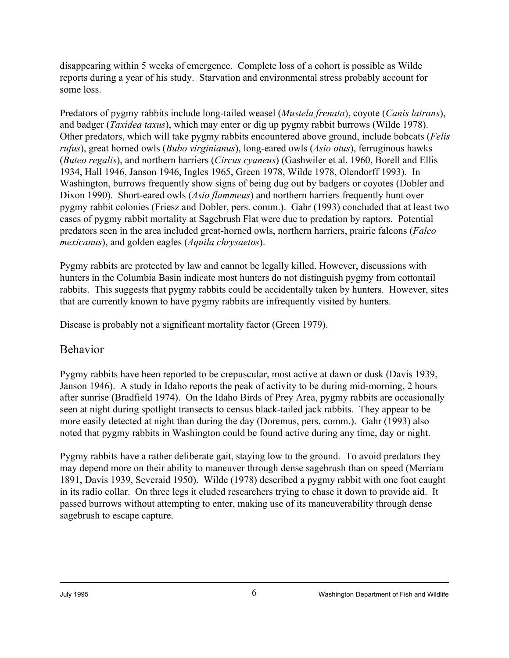disappearing within 5 weeks of emergence. Complete loss of a cohort is possible as Wilde reports during a year of his study. Starvation and environmental stress probably account for some loss.

Predators of pygmy rabbits include long-tailed weasel (*Mustela frenata*), coyote (*Canis latrans*), and badger (*Taxidea taxus*), which may enter or dig up pygmy rabbit burrows (Wilde 1978). Other predators, which will take pygmy rabbits encountered above ground, include bobcats (*Felis rufus*), great horned owls (*Bubo virginianus*), long-eared owls (*Asio otus*), ferruginous hawks (*Buteo regalis*), and northern harriers (*Circus cyaneus*) (Gashwiler et al. 1960, Borell and Ellis 1934, Hall 1946, Janson 1946, Ingles 1965, Green 1978, Wilde 1978, Olendorff 1993). In Washington, burrows frequently show signs of being dug out by badgers or coyotes (Dobler and Dixon 1990). Short-eared owls (*Asio flammeus*) and northern harriers frequently hunt over pygmy rabbit colonies (Friesz and Dobler, pers. comm.). Gahr (1993) concluded that at least two cases of pygmy rabbit mortality at Sagebrush Flat were due to predation by raptors. Potential predators seen in the area included great-horned owls, northern harriers, prairie falcons (*Falco mexicanus*), and golden eagles (*Aquila chrysaetos*).

Pygmy rabbits are protected by law and cannot be legally killed. However, discussions with hunters in the Columbia Basin indicate most hunters do not distinguish pygmy from cottontail rabbits. This suggests that pygmy rabbits could be accidentally taken by hunters. However, sites that are currently known to have pygmy rabbits are infrequently visited by hunters.

Disease is probably not a significant mortality factor (Green 1979).

### Behavior

Pygmy rabbits have been reported to be crepuscular, most active at dawn or dusk (Davis 1939, Janson 1946). A study in Idaho reports the peak of activity to be during mid-morning, 2 hours after sunrise (Bradfield 1974). On the Idaho Birds of Prey Area, pygmy rabbits are occasionally seen at night during spotlight transects to census black-tailed jack rabbits. They appear to be more easily detected at night than during the day (Doremus, pers. comm.). Gahr (1993) also noted that pygmy rabbits in Washington could be found active during any time, day or night.

Pygmy rabbits have a rather deliberate gait, staying low to the ground. To avoid predators they may depend more on their ability to maneuver through dense sagebrush than on speed (Merriam 1891, Davis 1939, Severaid 1950). Wilde (1978) described a pygmy rabbit with one foot caught in its radio collar. On three legs it eluded researchers trying to chase it down to provide aid. It passed burrows without attempting to enter, making use of its maneuverability through dense sagebrush to escape capture.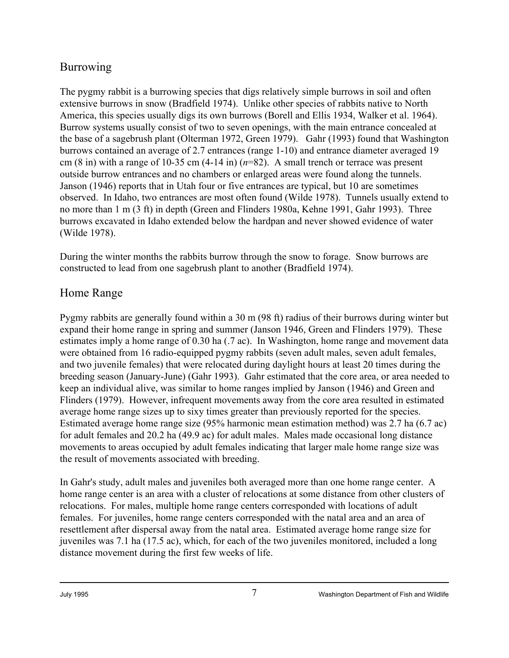# Burrowing

The pygmy rabbit is a burrowing species that digs relatively simple burrows in soil and often extensive burrows in snow (Bradfield 1974). Unlike other species of rabbits native to North America, this species usually digs its own burrows (Borell and Ellis 1934, Walker et al. 1964). Burrow systems usually consist of two to seven openings, with the main entrance concealed at the base of a sagebrush plant (Olterman 1972, Green 1979). Gahr (1993) found that Washington burrows contained an average of 2.7 entrances (range 1-10) and entrance diameter averaged 19 cm  $(8 \text{ in})$  with a range of 10-35 cm  $(4-14 \text{ in})$   $(n=82)$ . A small trench or terrace was present outside burrow entrances and no chambers or enlarged areas were found along the tunnels. Janson (1946) reports that in Utah four or five entrances are typical, but 10 are sometimes observed. In Idaho, two entrances are most often found (Wilde 1978). Tunnels usually extend to no more than 1 m (3 ft) in depth (Green and Flinders 1980a, Kehne 1991, Gahr 1993). Three burrows excavated in Idaho extended below the hardpan and never showed evidence of water (Wilde 1978).

During the winter months the rabbits burrow through the snow to forage. Snow burrows are constructed to lead from one sagebrush plant to another (Bradfield 1974).

### Home Range

Pygmy rabbits are generally found within a 30 m (98 ft) radius of their burrows during winter but expand their home range in spring and summer (Janson 1946, Green and Flinders 1979). These estimates imply a home range of 0.30 ha (.7 ac). In Washington, home range and movement data were obtained from 16 radio-equipped pygmy rabbits (seven adult males, seven adult females, and two juvenile females) that were relocated during daylight hours at least 20 times during the breeding season (January-June) (Gahr 1993). Gahr estimated that the core area, or area needed to keep an individual alive, was similar to home ranges implied by Janson (1946) and Green and Flinders (1979). However, infrequent movements away from the core area resulted in estimated average home range sizes up to sixy times greater than previously reported for the species. Estimated average home range size (95% harmonic mean estimation method) was 2.7 ha (6.7 ac) for adult females and 20.2 ha (49.9 ac) for adult males. Males made occasional long distance movements to areas occupied by adult females indicating that larger male home range size was the result of movements associated with breeding.

In Gahr's study, adult males and juveniles both averaged more than one home range center. A home range center is an area with a cluster of relocations at some distance from other clusters of relocations. For males, multiple home range centers corresponded with locations of adult females. For juveniles, home range centers corresponded with the natal area and an area of resettlement after dispersal away from the natal area. Estimated average home range size for juveniles was 7.1 ha (17.5 ac), which, for each of the two juveniles monitored, included a long distance movement during the first few weeks of life.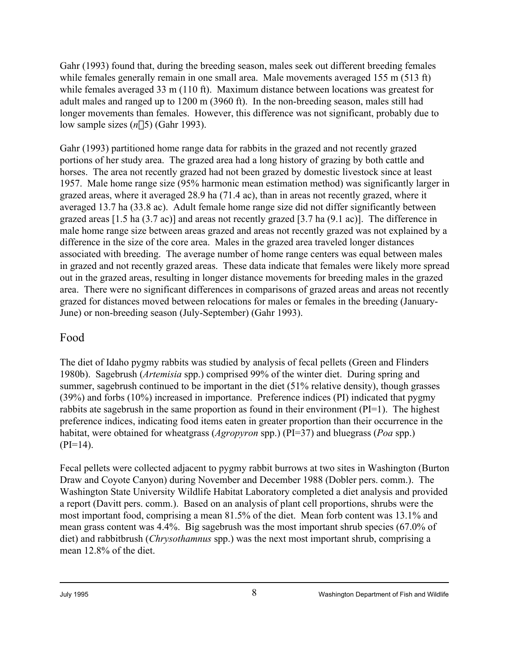Gahr (1993) found that, during the breeding season, males seek out different breeding females while females generally remain in one small area. Male movements averaged 155 m (513 ft) while females averaged 33 m (110 ft). Maximum distance between locations was greatest for adult males and ranged up to 1200 m (3960 ft). In the non-breeding season, males still had longer movements than females. However, this difference was not significant, probably due to low sample sizes  $(n, 5)$  (Gahr 1993).

Gahr (1993) partitioned home range data for rabbits in the grazed and not recently grazed portions of her study area. The grazed area had a long history of grazing by both cattle and horses. The area not recently grazed had not been grazed by domestic livestock since at least 1957. Male home range size (95% harmonic mean estimation method) was significantly larger in grazed areas, where it averaged 28.9 ha (71.4 ac), than in areas not recently grazed, where it averaged 13.7 ha (33.8 ac). Adult female home range size did not differ significantly between grazed areas [1.5 ha (3.7 ac)] and areas not recently grazed [3.7 ha (9.1 ac)]. The difference in male home range size between areas grazed and areas not recently grazed was not explained by a difference in the size of the core area. Males in the grazed area traveled longer distances associated with breeding. The average number of home range centers was equal between males in grazed and not recently grazed areas. These data indicate that females were likely more spread out in the grazed areas, resulting in longer distance movements for breeding males in the grazed area. There were no significant differences in comparisons of grazed areas and areas not recently grazed for distances moved between relocations for males or females in the breeding (January-June) or non-breeding season (July-September) (Gahr 1993).

#### Food

The diet of Idaho pygmy rabbits was studied by analysis of fecal pellets (Green and Flinders 1980b). Sagebrush (*Artemisia* spp.) comprised 99% of the winter diet. During spring and summer, sagebrush continued to be important in the diet (51% relative density), though grasses (39%) and forbs (10%) increased in importance. Preference indices (PI) indicated that pygmy rabbits ate sagebrush in the same proportion as found in their environment (PI=1). The highest preference indices, indicating food items eaten in greater proportion than their occurrence in the habitat, were obtained for wheatgrass (*Agropyron* spp.) (PI=37) and bluegrass (*Poa* spp.)  $(PI=14)$ .

Fecal pellets were collected adjacent to pygmy rabbit burrows at two sites in Washington (Burton Draw and Coyote Canyon) during November and December 1988 (Dobler pers. comm.). The Washington State University Wildlife Habitat Laboratory completed a diet analysis and provided a report (Davitt pers. comm.). Based on an analysis of plant cell proportions, shrubs were the most important food, comprising a mean 81.5% of the diet. Mean forb content was 13.1% and mean grass content was 4.4%. Big sagebrush was the most important shrub species (67.0% of diet) and rabbitbrush (*Chrysothamnus* spp.) was the next most important shrub, comprising a mean 12.8% of the diet.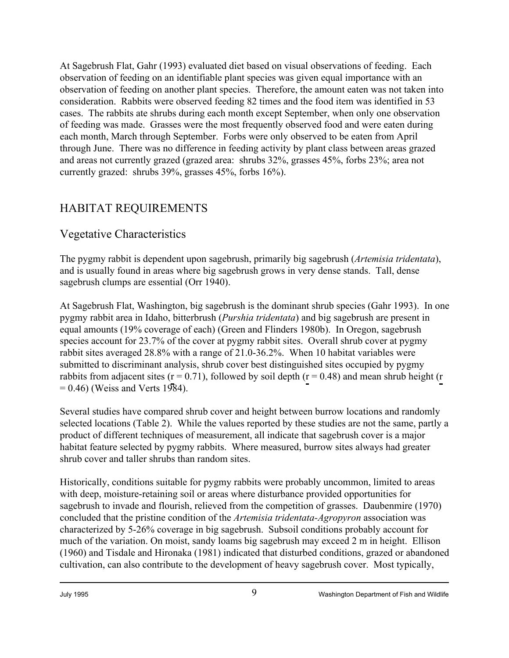At Sagebrush Flat, Gahr (1993) evaluated diet based on visual observations of feeding. Each observation of feeding on an identifiable plant species was given equal importance with an observation of feeding on another plant species. Therefore, the amount eaten was not taken into consideration. Rabbits were observed feeding 82 times and the food item was identified in 53 cases. The rabbits ate shrubs during each month except September, when only one observation of feeding was made. Grasses were the most frequently observed food and were eaten during each month, March through September. Forbs were only observed to be eaten from April through June. There was no difference in feeding activity by plant class between areas grazed and areas not currently grazed (grazed area: shrubs 32%, grasses 45%, forbs 23%; area not currently grazed: shrubs 39%, grasses 45%, forbs 16%).

## HABITAT REQUIREMENTS

## Vegetative Characteristics

The pygmy rabbit is dependent upon sagebrush, primarily big sagebrush (*Artemisia tridentata*), and is usually found in areas where big sagebrush grows in very dense stands. Tall, dense sagebrush clumps are essential (Orr 1940).

At Sagebrush Flat, Washington, big sagebrush is the dominant shrub species (Gahr 1993). In one pygmy rabbit area in Idaho, bitterbrush (*Purshia tridentata*) and big sagebrush are present in equal amounts (19% coverage of each) (Green and Flinders 1980b). In Oregon, sagebrush species account for 23.7% of the cover at pygmy rabbit sites. Overall shrub cover at pygmy rabbit sites averaged 28.8% with a range of 21.0-36.2%. When 10 habitat variables were submitted to discriminant analysis, shrub cover best distinguished sites occupied by pygmy rabbits from adjacent sites ( $r = 0.71$ ), followed by soil depth ( $r = 0.48$ ) and mean shrub height ( $r = 0.48$ )  $= 0.46$ ) (Weiss and Verts 1984).

Several studies have compared shrub cover and height between burrow locations and randomly selected locations (Table 2). While the values reported by these studies are not the same, partly a product of different techniques of measurement, all indicate that sagebrush cover is a major habitat feature selected by pygmy rabbits. Where measured, burrow sites always had greater shrub cover and taller shrubs than random sites.

Historically, conditions suitable for pygmy rabbits were probably uncommon, limited to areas with deep, moisture-retaining soil or areas where disturbance provided opportunities for sagebrush to invade and flourish, relieved from the competition of grasses. Daubenmire (1970) concluded that the pristine condition of the *Artemisia tridentata-Agropyron* association was characterized by 5-26% coverage in big sagebrush. Subsoil conditions probably account for much of the variation. On moist, sandy loams big sagebrush may exceed 2 m in height. Ellison (1960) and Tisdale and Hironaka (1981) indicated that disturbed conditions, grazed or abandoned cultivation, can also contribute to the development of heavy sagebrush cover. Most typically,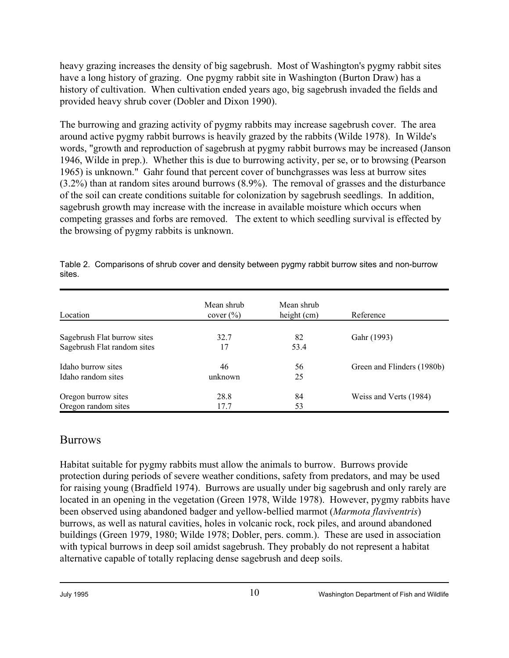heavy grazing increases the density of big sagebrush. Most of Washington's pygmy rabbit sites have a long history of grazing. One pygmy rabbit site in Washington (Burton Draw) has a history of cultivation. When cultivation ended years ago, big sagebrush invaded the fields and provided heavy shrub cover (Dobler and Dixon 1990).

The burrowing and grazing activity of pygmy rabbits may increase sagebrush cover. The area around active pygmy rabbit burrows is heavily grazed by the rabbits (Wilde 1978). In Wilde's words, "growth and reproduction of sagebrush at pygmy rabbit burrows may be increased (Janson 1946, Wilde in prep.). Whether this is due to burrowing activity, per se, or to browsing (Pearson 1965) is unknown." Gahr found that percent cover of bunchgrasses was less at burrow sites (3.2%) than at random sites around burrows (8.9%). The removal of grasses and the disturbance of the soil can create conditions suitable for colonization by sagebrush seedlings. In addition, sagebrush growth may increase with the increase in available moisture which occurs when competing grasses and forbs are removed. The extent to which seedling survival is effected by the browsing of pygmy rabbits is unknown.

| Location                    | Mean shrub<br>cover $(\% )$ | Mean shrub<br>height (cm) | Reference                  |  |
|-----------------------------|-----------------------------|---------------------------|----------------------------|--|
|                             |                             |                           |                            |  |
| Sagebrush Flat burrow sites | 32.7                        | 82                        | Gahr (1993)                |  |
| Sagebrush Flat random sites | 17                          | 53.4                      |                            |  |
| Idaho burrow sites          | 46                          | 56                        | Green and Flinders (1980b) |  |
| Idaho random sites          | unknown                     | 25                        |                            |  |
| Oregon burrow sites         | 28.8                        | 84                        | Weiss and Verts (1984)     |  |
| Oregon random sites         | 17.7                        | 53                        |                            |  |

Table 2. Comparisons of shrub cover and density between pygmy rabbit burrow sites and non-burrow sites.

### **Burrows**

Habitat suitable for pygmy rabbits must allow the animals to burrow. Burrows provide protection during periods of severe weather conditions, safety from predators, and may be used for raising young (Bradfield 1974). Burrows are usually under big sagebrush and only rarely are located in an opening in the vegetation (Green 1978, Wilde 1978). However, pygmy rabbits have been observed using abandoned badger and yellow-bellied marmot (*Marmota flaviventris*) burrows, as well as natural cavities, holes in volcanic rock, rock piles, and around abandoned buildings (Green 1979, 1980; Wilde 1978; Dobler, pers. comm.). These are used in association with typical burrows in deep soil amidst sagebrush. They probably do not represent a habitat alternative capable of totally replacing dense sagebrush and deep soils.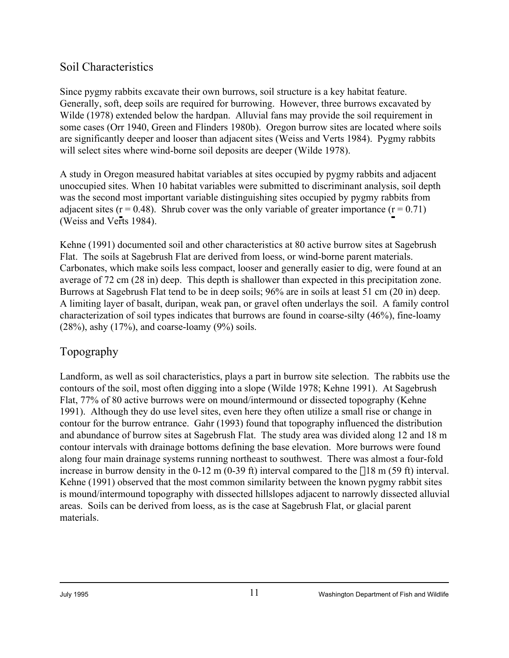## Soil Characteristics

Since pygmy rabbits excavate their own burrows, soil structure is a key habitat feature. Generally, soft, deep soils are required for burrowing. However, three burrows excavated by Wilde (1978) extended below the hardpan. Alluvial fans may provide the soil requirement in some cases (Orr 1940, Green and Flinders 1980b). Oregon burrow sites are located where soils are significantly deeper and looser than adjacent sites (Weiss and Verts 1984). Pygmy rabbits will select sites where wind-borne soil deposits are deeper (Wilde 1978).

A study in Oregon measured habitat variables at sites occupied by pygmy rabbits and adjacent unoccupied sites. When 10 habitat variables were submitted to discriminant analysis, soil depth was the second most important variable distinguishing sites occupied by pygmy rabbits from adjacent sites ( $r = 0.48$ ). Shrub cover was the only variable of greater importance ( $r = 0.71$ ) (Weiss and Verts 1984).

Kehne (1991) documented soil and other characteristics at 80 active burrow sites at Sagebrush Flat. The soils at Sagebrush Flat are derived from loess, or wind-borne parent materials. Carbonates, which make soils less compact, looser and generally easier to dig, were found at an average of 72 cm (28 in) deep. This depth is shallower than expected in this precipitation zone. Burrows at Sagebrush Flat tend to be in deep soils; 96% are in soils at least 51 cm (20 in) deep. A limiting layer of basalt, duripan, weak pan, or gravel often underlays the soil. A family control characterization of soil types indicates that burrows are found in coarse-silty (46%), fine-loamy  $(28\%)$ , ashy  $(17\%)$ , and coarse-loamy  $(9\%)$  soils.

# Topography

Landform, as well as soil characteristics, plays a part in burrow site selection. The rabbits use the contours of the soil, most often digging into a slope (Wilde 1978; Kehne 1991). At Sagebrush Flat, 77% of 80 active burrows were on mound/intermound or dissected topography (Kehne 1991). Although they do use level sites, even here they often utilize a small rise or change in contour for the burrow entrance. Gahr (1993) found that topography influenced the distribution and abundance of burrow sites at Sagebrush Flat. The study area was divided along 12 and 18 m contour intervals with drainage bottoms defining the base elevation. More burrows were found along four main drainage systems running northeast to southwest. There was almost a four-fold increase in burrow density in the 0-12 m (0-39 ft) interval compared to the  $\degree$  18 m (59 ft) interval. Kehne (1991) observed that the most common similarity between the known pygmy rabbit sites is mound/intermound topography with dissected hillslopes adjacent to narrowly dissected alluvial areas. Soils can be derived from loess, as is the case at Sagebrush Flat, or glacial parent materials.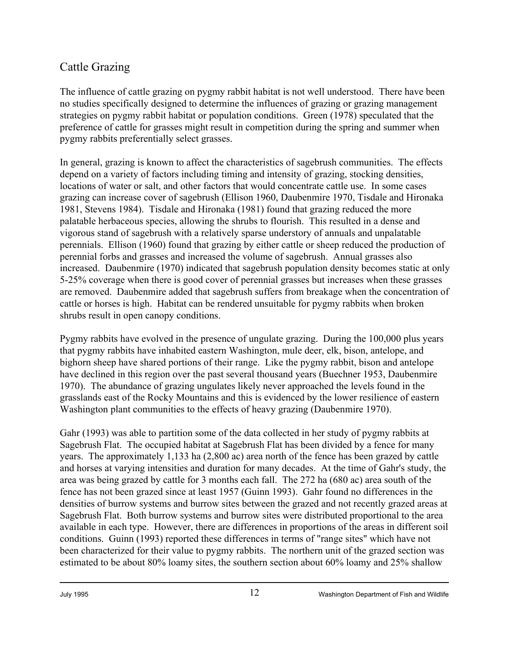# Cattle Grazing

The influence of cattle grazing on pygmy rabbit habitat is not well understood. There have been no studies specifically designed to determine the influences of grazing or grazing management strategies on pygmy rabbit habitat or population conditions. Green (1978) speculated that the preference of cattle for grasses might result in competition during the spring and summer when pygmy rabbits preferentially select grasses.

In general, grazing is known to affect the characteristics of sagebrush communities. The effects depend on a variety of factors including timing and intensity of grazing, stocking densities, locations of water or salt, and other factors that would concentrate cattle use. In some cases grazing can increase cover of sagebrush (Ellison 1960, Daubenmire 1970, Tisdale and Hironaka 1981, Stevens 1984). Tisdale and Hironaka (1981) found that grazing reduced the more palatable herbaceous species, allowing the shrubs to flourish. This resulted in a dense and vigorous stand of sagebrush with a relatively sparse understory of annuals and unpalatable perennials. Ellison (1960) found that grazing by either cattle or sheep reduced the production of perennial forbs and grasses and increased the volume of sagebrush. Annual grasses also increased. Daubenmire (1970) indicated that sagebrush population density becomes static at only 5-25% coverage when there is good cover of perennial grasses but increases when these grasses are removed. Daubenmire added that sagebrush suffers from breakage when the concentration of cattle or horses is high. Habitat can be rendered unsuitable for pygmy rabbits when broken shrubs result in open canopy conditions.

Pygmy rabbits have evolved in the presence of ungulate grazing. During the 100,000 plus years that pygmy rabbits have inhabited eastern Washington, mule deer, elk, bison, antelope, and bighorn sheep have shared portions of their range. Like the pygmy rabbit, bison and antelope have declined in this region over the past several thousand years (Buechner 1953, Daubenmire 1970). The abundance of grazing ungulates likely never approached the levels found in the grasslands east of the Rocky Mountains and this is evidenced by the lower resilience of eastern Washington plant communities to the effects of heavy grazing (Daubenmire 1970).

Gahr (1993) was able to partition some of the data collected in her study of pygmy rabbits at Sagebrush Flat. The occupied habitat at Sagebrush Flat has been divided by a fence for many years. The approximately 1,133 ha (2,800 ac) area north of the fence has been grazed by cattle and horses at varying intensities and duration for many decades. At the time of Gahr's study, the area was being grazed by cattle for 3 months each fall. The 272 ha (680 ac) area south of the fence has not been grazed since at least 1957 (Guinn 1993). Gahr found no differences in the densities of burrow systems and burrow sites between the grazed and not recently grazed areas at Sagebrush Flat. Both burrow systems and burrow sites were distributed proportional to the area available in each type. However, there are differences in proportions of the areas in different soil conditions. Guinn (1993) reported these differences in terms of "range sites" which have not been characterized for their value to pygmy rabbits. The northern unit of the grazed section was estimated to be about 80% loamy sites, the southern section about 60% loamy and 25% shallow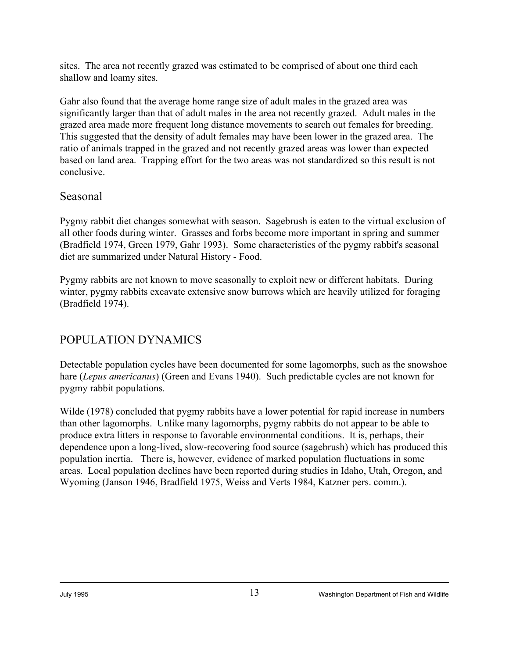sites. The area not recently grazed was estimated to be comprised of about one third each shallow and loamy sites.

Gahr also found that the average home range size of adult males in the grazed area was significantly larger than that of adult males in the area not recently grazed. Adult males in the grazed area made more frequent long distance movements to search out females for breeding. This suggested that the density of adult females may have been lower in the grazed area. The ratio of animals trapped in the grazed and not recently grazed areas was lower than expected based on land area. Trapping effort for the two areas was not standardized so this result is not conclusive.

### Seasonal

Pygmy rabbit diet changes somewhat with season. Sagebrush is eaten to the virtual exclusion of all other foods during winter. Grasses and forbs become more important in spring and summer (Bradfield 1974, Green 1979, Gahr 1993). Some characteristics of the pygmy rabbit's seasonal diet are summarized under Natural History - Food.

Pygmy rabbits are not known to move seasonally to exploit new or different habitats. During winter, pygmy rabbits excavate extensive snow burrows which are heavily utilized for foraging (Bradfield 1974).

## POPULATION DYNAMICS

Detectable population cycles have been documented for some lagomorphs, such as the snowshoe hare (*Lepus americanus*) (Green and Evans 1940). Such predictable cycles are not known for pygmy rabbit populations.

Wilde (1978) concluded that pygmy rabbits have a lower potential for rapid increase in numbers than other lagomorphs. Unlike many lagomorphs, pygmy rabbits do not appear to be able to produce extra litters in response to favorable environmental conditions. It is, perhaps, their dependence upon a long-lived, slow-recovering food source (sagebrush) which has produced this population inertia. There is, however, evidence of marked population fluctuations in some areas. Local population declines have been reported during studies in Idaho, Utah, Oregon, and Wyoming (Janson 1946, Bradfield 1975, Weiss and Verts 1984, Katzner pers. comm.).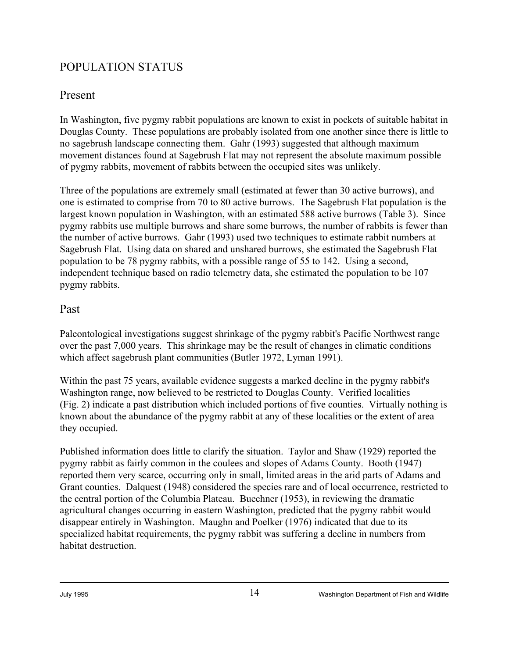# POPULATION STATUS

## Present

In Washington, five pygmy rabbit populations are known to exist in pockets of suitable habitat in Douglas County. These populations are probably isolated from one another since there is little to no sagebrush landscape connecting them. Gahr (1993) suggested that although maximum movement distances found at Sagebrush Flat may not represent the absolute maximum possible of pygmy rabbits, movement of rabbits between the occupied sites was unlikely.

Three of the populations are extremely small (estimated at fewer than 30 active burrows), and one is estimated to comprise from 70 to 80 active burrows. The Sagebrush Flat population is the largest known population in Washington, with an estimated 588 active burrows (Table 3). Since pygmy rabbits use multiple burrows and share some burrows, the number of rabbits is fewer than the number of active burrows. Gahr (1993) used two techniques to estimate rabbit numbers at Sagebrush Flat. Using data on shared and unshared burrows, she estimated the Sagebrush Flat population to be 78 pygmy rabbits, with a possible range of 55 to 142. Using a second, independent technique based on radio telemetry data, she estimated the population to be 107 pygmy rabbits.

#### Past

Paleontological investigations suggest shrinkage of the pygmy rabbit's Pacific Northwest range over the past 7,000 years. This shrinkage may be the result of changes in climatic conditions which affect sagebrush plant communities (Butler 1972, Lyman 1991).

Within the past 75 years, available evidence suggests a marked decline in the pygmy rabbit's Washington range, now believed to be restricted to Douglas County. Verified localities (Fig. 2) indicate a past distribution which included portions of five counties. Virtually nothing is known about the abundance of the pygmy rabbit at any of these localities or the extent of area they occupied.

Published information does little to clarify the situation. Taylor and Shaw (1929) reported the pygmy rabbit as fairly common in the coulees and slopes of Adams County. Booth (1947) reported them very scarce, occurring only in small, limited areas in the arid parts of Adams and Grant counties. Dalquest (1948) considered the species rare and of local occurrence, restricted to the central portion of the Columbia Plateau. Buechner (1953), in reviewing the dramatic agricultural changes occurring in eastern Washington, predicted that the pygmy rabbit would disappear entirely in Washington. Maughn and Poelker (1976) indicated that due to its specialized habitat requirements, the pygmy rabbit was suffering a decline in numbers from habitat destruction.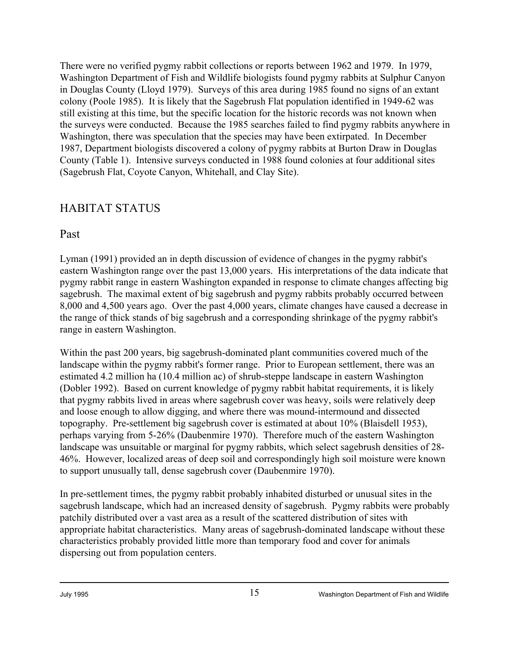There were no verified pygmy rabbit collections or reports between 1962 and 1979. In 1979, Washington Department of Fish and Wildlife biologists found pygmy rabbits at Sulphur Canyon in Douglas County (Lloyd 1979). Surveys of this area during 1985 found no signs of an extant colony (Poole 1985). It is likely that the Sagebrush Flat population identified in 1949-62 was still existing at this time, but the specific location for the historic records was not known when the surveys were conducted. Because the 1985 searches failed to find pygmy rabbits anywhere in Washington, there was speculation that the species may have been extirpated. In December 1987, Department biologists discovered a colony of pygmy rabbits at Burton Draw in Douglas County (Table 1). Intensive surveys conducted in 1988 found colonies at four additional sites (Sagebrush Flat, Coyote Canyon, Whitehall, and Clay Site).

## HABITAT STATUS

Past

Lyman (1991) provided an in depth discussion of evidence of changes in the pygmy rabbit's eastern Washington range over the past 13,000 years. His interpretations of the data indicate that pygmy rabbit range in eastern Washington expanded in response to climate changes affecting big sagebrush. The maximal extent of big sagebrush and pygmy rabbits probably occurred between 8,000 and 4,500 years ago. Over the past 4,000 years, climate changes have caused a decrease in the range of thick stands of big sagebrush and a corresponding shrinkage of the pygmy rabbit's range in eastern Washington.

Within the past 200 years, big sagebrush-dominated plant communities covered much of the landscape within the pygmy rabbit's former range. Prior to European settlement, there was an estimated 4.2 million ha (10.4 million ac) of shrub-steppe landscape in eastern Washington (Dobler 1992). Based on current knowledge of pygmy rabbit habitat requirements, it is likely that pygmy rabbits lived in areas where sagebrush cover was heavy, soils were relatively deep and loose enough to allow digging, and where there was mound-intermound and dissected topography. Pre-settlement big sagebrush cover is estimated at about 10% (Blaisdell 1953), perhaps varying from 5-26% (Daubenmire 1970). Therefore much of the eastern Washington landscape was unsuitable or marginal for pygmy rabbits, which select sagebrush densities of 28- 46%. However, localized areas of deep soil and correspondingly high soil moisture were known to support unusually tall, dense sagebrush cover (Daubenmire 1970).

In pre-settlement times, the pygmy rabbit probably inhabited disturbed or unusual sites in the sagebrush landscape, which had an increased density of sagebrush. Pygmy rabbits were probably patchily distributed over a vast area as a result of the scattered distribution of sites with appropriate habitat characteristics. Many areas of sagebrush-dominated landscape without these characteristics probably provided little more than temporary food and cover for animals dispersing out from population centers.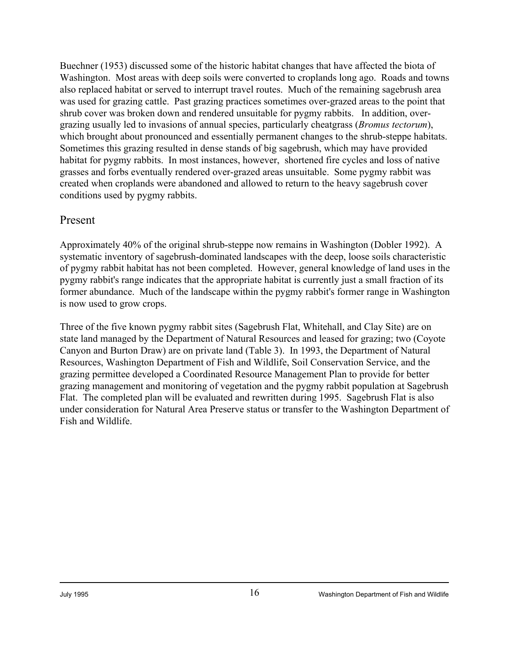Buechner (1953) discussed some of the historic habitat changes that have affected the biota of Washington. Most areas with deep soils were converted to croplands long ago. Roads and towns also replaced habitat or served to interrupt travel routes. Much of the remaining sagebrush area was used for grazing cattle. Past grazing practices sometimes over-grazed areas to the point that shrub cover was broken down and rendered unsuitable for pygmy rabbits. In addition, overgrazing usually led to invasions of annual species, particularly cheatgrass (*Bromus tectorum*), which brought about pronounced and essentially permanent changes to the shrub-steppe habitats. Sometimes this grazing resulted in dense stands of big sagebrush, which may have provided habitat for pygmy rabbits. In most instances, however, shortened fire cycles and loss of native grasses and forbs eventually rendered over-grazed areas unsuitable. Some pygmy rabbit was created when croplands were abandoned and allowed to return to the heavy sagebrush cover conditions used by pygmy rabbits.

#### Present

Approximately 40% of the original shrub-steppe now remains in Washington (Dobler 1992). A systematic inventory of sagebrush-dominated landscapes with the deep, loose soils characteristic of pygmy rabbit habitat has not been completed. However, general knowledge of land uses in the pygmy rabbit's range indicates that the appropriate habitat is currently just a small fraction of its former abundance. Much of the landscape within the pygmy rabbit's former range in Washington is now used to grow crops.

Three of the five known pygmy rabbit sites (Sagebrush Flat, Whitehall, and Clay Site) are on state land managed by the Department of Natural Resources and leased for grazing; two (Coyote Canyon and Burton Draw) are on private land (Table 3). In 1993, the Department of Natural Resources, Washington Department of Fish and Wildlife, Soil Conservation Service, and the grazing permittee developed a Coordinated Resource Management Plan to provide for better grazing management and monitoring of vegetation and the pygmy rabbit population at Sagebrush Flat. The completed plan will be evaluated and rewritten during 1995. Sagebrush Flat is also under consideration for Natural Area Preserve status or transfer to the Washington Department of Fish and Wildlife.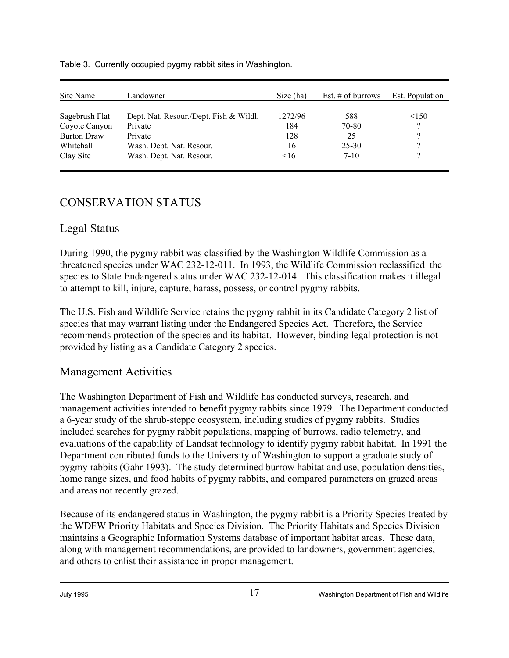| Site Name          | Landowner                              | Size (ha) | Est. $#$ of burrows | Est. Population |
|--------------------|----------------------------------------|-----------|---------------------|-----------------|
| Sagebrush Flat     | Dept. Nat. Resour./Dept. Fish & Wildl. | 1272/96   | 588                 | < 150           |
| Coyote Canyon      | Private                                | 184       | 70-80               |                 |
| <b>Burton Draw</b> | Private                                | 128       | 25                  |                 |
| Whitehall          | Wash. Dept. Nat. Resour.               | 16        | $25 - 30$           |                 |
| Clay Site          | Wash. Dept. Nat. Resour.               | $\leq 16$ | $7-10$              |                 |

Table 3. Currently occupied pygmy rabbit sites in Washington.

## CONSERVATION STATUS

#### Legal Status

During 1990, the pygmy rabbit was classified by the Washington Wildlife Commission as a threatened species under WAC 232-12-011. In 1993, the Wildlife Commission reclassified the species to State Endangered status under WAC 232-12-014. This classification makes it illegal to attempt to kill, injure, capture, harass, possess, or control pygmy rabbits.

The U.S. Fish and Wildlife Service retains the pygmy rabbit in its Candidate Category 2 list of species that may warrant listing under the Endangered Species Act. Therefore, the Service recommends protection of the species and its habitat. However, binding legal protection is not provided by listing as a Candidate Category 2 species.

#### Management Activities

The Washington Department of Fish and Wildlife has conducted surveys, research, and management activities intended to benefit pygmy rabbits since 1979. The Department conducted a 6-year study of the shrub-steppe ecosystem, including studies of pygmy rabbits. Studies included searches for pygmy rabbit populations, mapping of burrows, radio telemetry, and evaluations of the capability of Landsat technology to identify pygmy rabbit habitat. In 1991 the Department contributed funds to the University of Washington to support a graduate study of pygmy rabbits (Gahr 1993). The study determined burrow habitat and use, population densities, home range sizes, and food habits of pygmy rabbits, and compared parameters on grazed areas and areas not recently grazed.

Because of its endangered status in Washington, the pygmy rabbit is a Priority Species treated by the WDFW Priority Habitats and Species Division. The Priority Habitats and Species Division maintains a Geographic Information Systems database of important habitat areas. These data, along with management recommendations, are provided to landowners, government agencies, and others to enlist their assistance in proper management.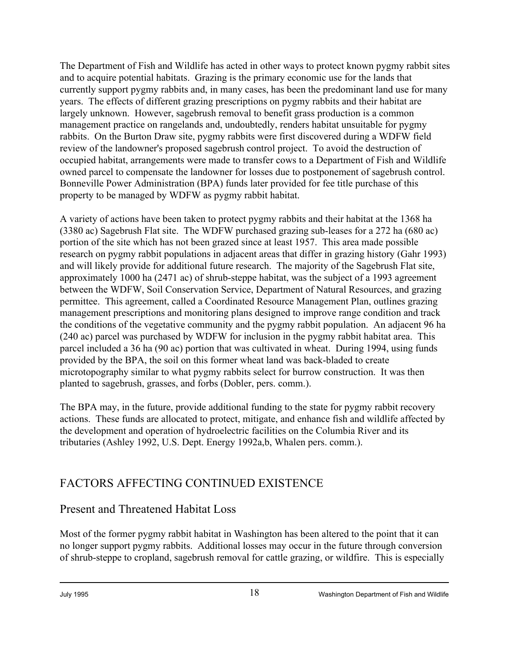The Department of Fish and Wildlife has acted in other ways to protect known pygmy rabbit sites and to acquire potential habitats. Grazing is the primary economic use for the lands that currently support pygmy rabbits and, in many cases, has been the predominant land use for many years. The effects of different grazing prescriptions on pygmy rabbits and their habitat are largely unknown. However, sagebrush removal to benefit grass production is a common management practice on rangelands and, undoubtedly, renders habitat unsuitable for pygmy rabbits. On the Burton Draw site, pygmy rabbits were first discovered during a WDFW field review of the landowner's proposed sagebrush control project. To avoid the destruction of occupied habitat, arrangements were made to transfer cows to a Department of Fish and Wildlife owned parcel to compensate the landowner for losses due to postponement of sagebrush control. Bonneville Power Administration (BPA) funds later provided for fee title purchase of this property to be managed by WDFW as pygmy rabbit habitat.

A variety of actions have been taken to protect pygmy rabbits and their habitat at the 1368 ha (3380 ac) Sagebrush Flat site. The WDFW purchased grazing sub-leases for a 272 ha (680 ac) portion of the site which has not been grazed since at least 1957. This area made possible research on pygmy rabbit populations in adjacent areas that differ in grazing history (Gahr 1993) and will likely provide for additional future research. The majority of the Sagebrush Flat site, approximately 1000 ha (2471 ac) of shrub-steppe habitat, was the subject of a 1993 agreement between the WDFW, Soil Conservation Service, Department of Natural Resources, and grazing permittee. This agreement, called a Coordinated Resource Management Plan, outlines grazing management prescriptions and monitoring plans designed to improve range condition and track the conditions of the vegetative community and the pygmy rabbit population. An adjacent 96 ha (240 ac) parcel was purchased by WDFW for inclusion in the pygmy rabbit habitat area. This parcel included a 36 ha (90 ac) portion that was cultivated in wheat. During 1994, using funds provided by the BPA, the soil on this former wheat land was back-bladed to create microtopography similar to what pygmy rabbits select for burrow construction. It was then planted to sagebrush, grasses, and forbs (Dobler, pers. comm.).

The BPA may, in the future, provide additional funding to the state for pygmy rabbit recovery actions. These funds are allocated to protect, mitigate, and enhance fish and wildlife affected by the development and operation of hydroelectric facilities on the Columbia River and its tributaries (Ashley 1992, U.S. Dept. Energy 1992a,b, Whalen pers. comm.).

# FACTORS AFFECTING CONTINUED EXISTENCE

## Present and Threatened Habitat Loss

Most of the former pygmy rabbit habitat in Washington has been altered to the point that it can no longer support pygmy rabbits. Additional losses may occur in the future through conversion of shrub-steppe to cropland, sagebrush removal for cattle grazing, or wildfire. This is especially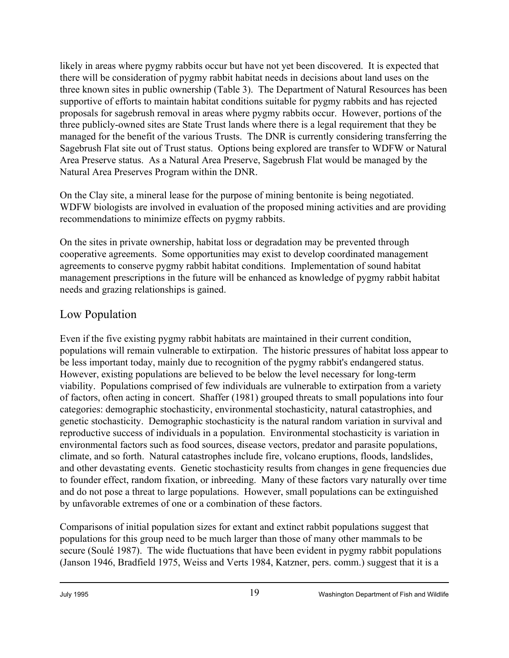likely in areas where pygmy rabbits occur but have not yet been discovered. It is expected that there will be consideration of pygmy rabbit habitat needs in decisions about land uses on the three known sites in public ownership (Table 3). The Department of Natural Resources has been supportive of efforts to maintain habitat conditions suitable for pygmy rabbits and has rejected proposals for sagebrush removal in areas where pygmy rabbits occur. However, portions of the three publicly-owned sites are State Trust lands where there is a legal requirement that they be managed for the benefit of the various Trusts. The DNR is currently considering transferring the Sagebrush Flat site out of Trust status. Options being explored are transfer to WDFW or Natural Area Preserve status. As a Natural Area Preserve, Sagebrush Flat would be managed by the Natural Area Preserves Program within the DNR.

On the Clay site, a mineral lease for the purpose of mining bentonite is being negotiated. WDFW biologists are involved in evaluation of the proposed mining activities and are providing recommendations to minimize effects on pygmy rabbits.

On the sites in private ownership, habitat loss or degradation may be prevented through cooperative agreements. Some opportunities may exist to develop coordinated management agreements to conserve pygmy rabbit habitat conditions. Implementation of sound habitat management prescriptions in the future will be enhanced as knowledge of pygmy rabbit habitat needs and grazing relationships is gained.

### Low Population

Even if the five existing pygmy rabbit habitats are maintained in their current condition, populations will remain vulnerable to extirpation. The historic pressures of habitat loss appear to be less important today, mainly due to recognition of the pygmy rabbit's endangered status. However, existing populations are believed to be below the level necessary for long-term viability. Populations comprised of few individuals are vulnerable to extirpation from a variety of factors, often acting in concert. Shaffer (1981) grouped threats to small populations into four categories: demographic stochasticity, environmental stochasticity, natural catastrophies, and genetic stochasticity. Demographic stochasticity is the natural random variation in survival and reproductive success of individuals in a population. Environmental stochasticity is variation in environmental factors such as food sources, disease vectors, predator and parasite populations, climate, and so forth. Natural catastrophes include fire, volcano eruptions, floods, landslides, and other devastating events. Genetic stochasticity results from changes in gene frequencies due to founder effect, random fixation, or inbreeding. Many of these factors vary naturally over time and do not pose a threat to large populations. However, small populations can be extinguished by unfavorable extremes of one or a combination of these factors.

Comparisons of initial population sizes for extant and extinct rabbit populations suggest that populations for this group need to be much larger than those of many other mammals to be secure (Soulé 1987). The wide fluctuations that have been evident in pygmy rabbit populations (Janson 1946, Bradfield 1975, Weiss and Verts 1984, Katzner, pers. comm.) suggest that it is a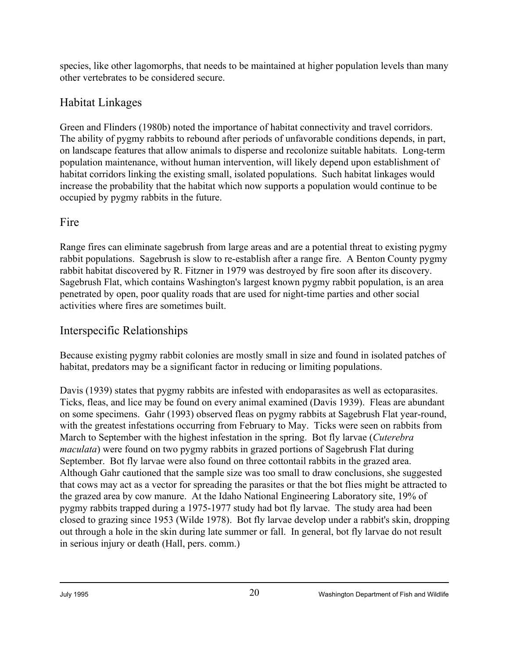species, like other lagomorphs, that needs to be maintained at higher population levels than many other vertebrates to be considered secure.

# Habitat Linkages

Green and Flinders (1980b) noted the importance of habitat connectivity and travel corridors. The ability of pygmy rabbits to rebound after periods of unfavorable conditions depends, in part, on landscape features that allow animals to disperse and recolonize suitable habitats. Long-term population maintenance, without human intervention, will likely depend upon establishment of habitat corridors linking the existing small, isolated populations. Such habitat linkages would increase the probability that the habitat which now supports a population would continue to be occupied by pygmy rabbits in the future.

### Fire

Range fires can eliminate sagebrush from large areas and are a potential threat to existing pygmy rabbit populations. Sagebrush is slow to re-establish after a range fire. A Benton County pygmy rabbit habitat discovered by R. Fitzner in 1979 was destroyed by fire soon after its discovery. Sagebrush Flat, which contains Washington's largest known pygmy rabbit population, is an area penetrated by open, poor quality roads that are used for night-time parties and other social activities where fires are sometimes built.

## Interspecific Relationships

Because existing pygmy rabbit colonies are mostly small in size and found in isolated patches of habitat, predators may be a significant factor in reducing or limiting populations.

Davis (1939) states that pygmy rabbits are infested with endoparasites as well as ectoparasites. Ticks, fleas, and lice may be found on every animal examined (Davis 1939). Fleas are abundant on some specimens. Gahr (1993) observed fleas on pygmy rabbits at Sagebrush Flat year-round, with the greatest infestations occurring from February to May. Ticks were seen on rabbits from March to September with the highest infestation in the spring. Bot fly larvae (*Cuterebra maculata*) were found on two pygmy rabbits in grazed portions of Sagebrush Flat during September. Bot fly larvae were also found on three cottontail rabbits in the grazed area. Although Gahr cautioned that the sample size was too small to draw conclusions, she suggested that cows may act as a vector for spreading the parasites or that the bot flies might be attracted to the grazed area by cow manure. At the Idaho National Engineering Laboratory site, 19% of pygmy rabbits trapped during a 1975-1977 study had bot fly larvae. The study area had been closed to grazing since 1953 (Wilde 1978). Bot fly larvae develop under a rabbit's skin, dropping out through a hole in the skin during late summer or fall. In general, bot fly larvae do not result in serious injury or death (Hall, pers. comm.)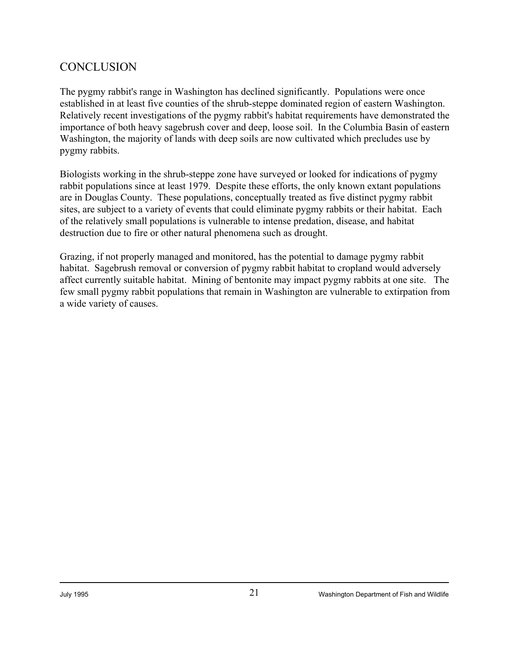## **CONCLUSION**

The pygmy rabbit's range in Washington has declined significantly. Populations were once established in at least five counties of the shrub-steppe dominated region of eastern Washington. Relatively recent investigations of the pygmy rabbit's habitat requirements have demonstrated the importance of both heavy sagebrush cover and deep, loose soil. In the Columbia Basin of eastern Washington, the majority of lands with deep soils are now cultivated which precludes use by pygmy rabbits.

Biologists working in the shrub-steppe zone have surveyed or looked for indications of pygmy rabbit populations since at least 1979. Despite these efforts, the only known extant populations are in Douglas County. These populations, conceptually treated as five distinct pygmy rabbit sites, are subject to a variety of events that could eliminate pygmy rabbits or their habitat. Each of the relatively small populations is vulnerable to intense predation, disease, and habitat destruction due to fire or other natural phenomena such as drought.

Grazing, if not properly managed and monitored, has the potential to damage pygmy rabbit habitat. Sagebrush removal or conversion of pygmy rabbit habitat to cropland would adversely affect currently suitable habitat. Mining of bentonite may impact pygmy rabbits at one site. The few small pygmy rabbit populations that remain in Washington are vulnerable to extirpation from a wide variety of causes.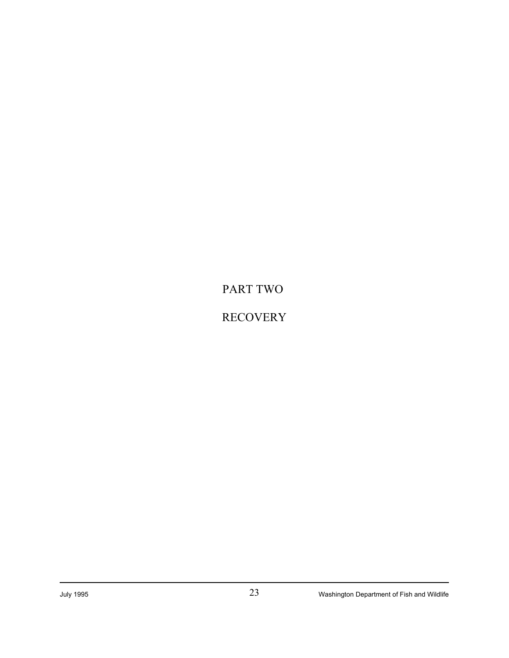PART TWO

RECOVERY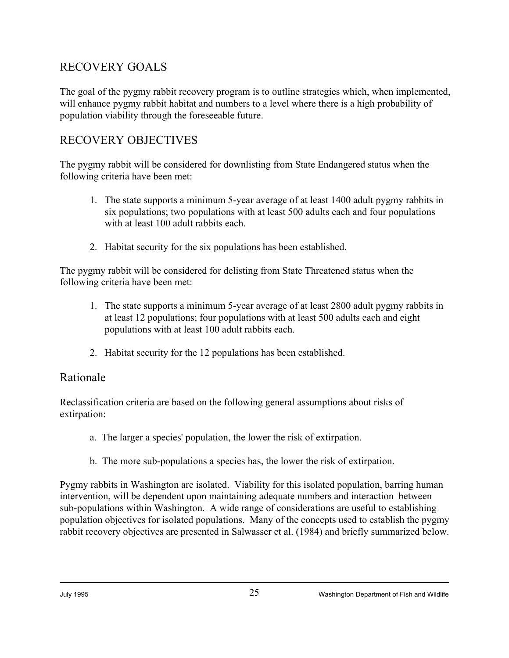# RECOVERY GOALS

The goal of the pygmy rabbit recovery program is to outline strategies which, when implemented, will enhance pygmy rabbit habitat and numbers to a level where there is a high probability of population viability through the foreseeable future.

## RECOVERY OBJECTIVES

The pygmy rabbit will be considered for downlisting from State Endangered status when the following criteria have been met:

- 1. The state supports a minimum 5-year average of at least 1400 adult pygmy rabbits in six populations; two populations with at least 500 adults each and four populations with at least 100 adult rabbits each.
- 2. Habitat security for the six populations has been established.

The pygmy rabbit will be considered for delisting from State Threatened status when the following criteria have been met:

- 1. The state supports a minimum 5-year average of at least 2800 adult pygmy rabbits in at least 12 populations; four populations with at least 500 adults each and eight populations with at least 100 adult rabbits each.
- 2. Habitat security for the 12 populations has been established.

### Rationale

Reclassification criteria are based on the following general assumptions about risks of extirpation:

- a. The larger a species' population, the lower the risk of extirpation.
- b. The more sub-populations a species has, the lower the risk of extirpation.

Pygmy rabbits in Washington are isolated. Viability for this isolated population, barring human intervention, will be dependent upon maintaining adequate numbers and interaction between sub-populations within Washington. A wide range of considerations are useful to establishing population objectives for isolated populations. Many of the concepts used to establish the pygmy rabbit recovery objectives are presented in Salwasser et al. (1984) and briefly summarized below.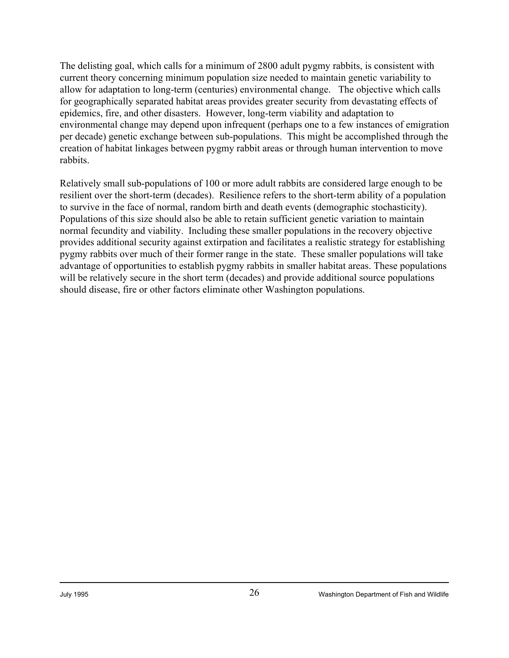The delisting goal, which calls for a minimum of 2800 adult pygmy rabbits, is consistent with current theory concerning minimum population size needed to maintain genetic variability to allow for adaptation to long-term (centuries) environmental change. The objective which calls for geographically separated habitat areas provides greater security from devastating effects of epidemics, fire, and other disasters. However, long-term viability and adaptation to environmental change may depend upon infrequent (perhaps one to a few instances of emigration per decade) genetic exchange between sub-populations. This might be accomplished through the creation of habitat linkages between pygmy rabbit areas or through human intervention to move rabbits.

Relatively small sub-populations of 100 or more adult rabbits are considered large enough to be resilient over the short-term (decades). Resilience refers to the short-term ability of a population to survive in the face of normal, random birth and death events (demographic stochasticity). Populations of this size should also be able to retain sufficient genetic variation to maintain normal fecundity and viability. Including these smaller populations in the recovery objective provides additional security against extirpation and facilitates a realistic strategy for establishing pygmy rabbits over much of their former range in the state. These smaller populations will take advantage of opportunities to establish pygmy rabbits in smaller habitat areas. These populations will be relatively secure in the short term (decades) and provide additional source populations should disease, fire or other factors eliminate other Washington populations.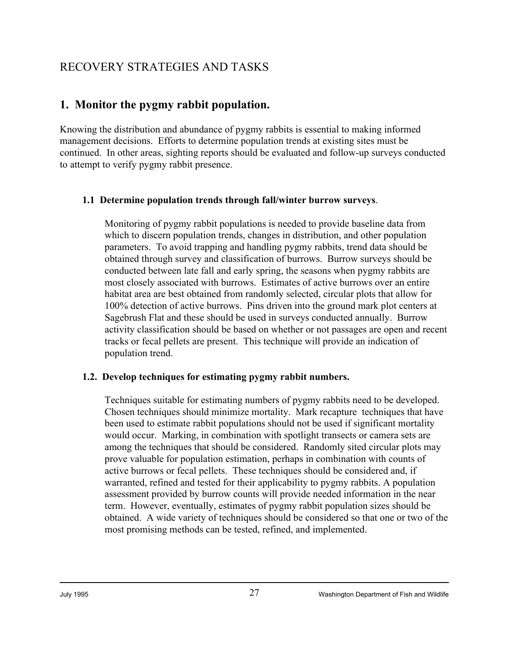# RECOVERY STRATEGIES AND TASKS

# **1. Monitor the pygmy rabbit population.**

Knowing the distribution and abundance of pygmy rabbits is essential to making informed management decisions. Efforts to determine population trends at existing sites must be continued. In other areas, sighting reports should be evaluated and follow-up surveys conducted to attempt to verify pygmy rabbit presence.

### **1.1 Determine population trends through fall/winter burrow surveys**.

Monitoring of pygmy rabbit populations is needed to provide baseline data from which to discern population trends, changes in distribution, and other population parameters. To avoid trapping and handling pygmy rabbits, trend data should be obtained through survey and classification of burrows. Burrow surveys should be conducted between late fall and early spring, the seasons when pygmy rabbits are most closely associated with burrows. Estimates of active burrows over an entire habitat area are best obtained from randomly selected, circular plots that allow for 100% detection of active burrows. Pins driven into the ground mark plot centers at Sagebrush Flat and these should be used in surveys conducted annually. Burrow activity classification should be based on whether or not passages are open and recent tracks or fecal pellets are present. This technique will provide an indication of population trend.

# **1.2. Develop techniques for estimating pygmy rabbit numbers.**

Techniques suitable for estimating numbers of pygmy rabbits need to be developed. Chosen techniques should minimize mortality. Mark recapture techniques that have been used to estimate rabbit populations should not be used if significant mortality would occur. Marking, in combination with spotlight transects or camera sets are among the techniques that should be considered. Randomly sited circular plots may prove valuable for population estimation, perhaps in combination with counts of active burrows or fecal pellets. These techniques should be considered and, if warranted, refined and tested for their applicability to pygmy rabbits. A population assessment provided by burrow counts will provide needed information in the near term. However, eventually, estimates of pygmy rabbit population sizes should be obtained. A wide variety of techniques should be considered so that one or two of the most promising methods can be tested, refined, and implemented.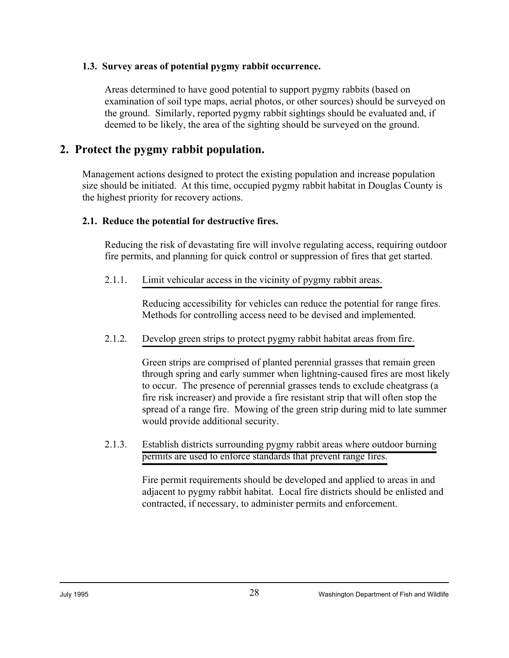# **1.3. Survey areas of potential pygmy rabbit occurrence.**

Areas determined to have good potential to support pygmy rabbits (based on examination of soil type maps, aerial photos, or other sources) should be surveyed on the ground. Similarly, reported pygmy rabbit sightings should be evaluated and, if deemed to be likely, the area of the sighting should be surveyed on the ground.

# **2. Protect the pygmy rabbit population.**

Management actions designed to protect the existing population and increase population size should be initiated. At this time, occupied pygmy rabbit habitat in Douglas County is the highest priority for recovery actions.

# **2.1. Reduce the potential for destructive fires.**

Reducing the risk of devastating fire will involve regulating access, requiring outdoor fire permits, and planning for quick control or suppression of fires that get started.

2.1.1. Limit vehicular access in the vicinity of pygmy rabbit areas.

Reducing accessibility for vehicles can reduce the potential for range fires. Methods for controlling access need to be devised and implemented.

2.1.2. Develop green strips to protect pygmy rabbit habitat areas from fire.

Green strips are comprised of planted perennial grasses that remain green through spring and early summer when lightning-caused fires are most likely to occur. The presence of perennial grasses tends to exclude cheatgrass (a fire risk increaser) and provide a fire resistant strip that will often stop the spread of a range fire. Mowing of the green strip during mid to late summer would provide additional security.

2.1.3. Establish districts surrounding pygmy rabbit areas where outdoor burning permits are used to enforce standards that prevent range fires.

> Fire permit requirements should be developed and applied to areas in and adjacent to pygmy rabbit habitat. Local fire districts should be enlisted and contracted, if necessary, to administer permits and enforcement.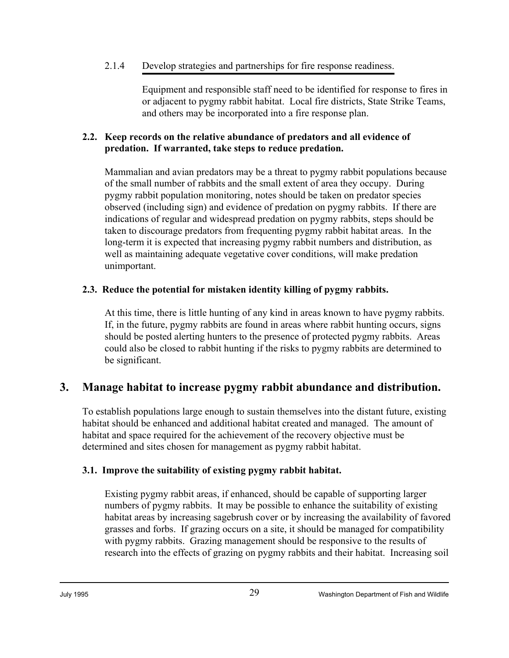# 2.1.4 Develop strategies and partnerships for fire response readiness.

Equipment and responsible staff need to be identified for response to fires in or adjacent to pygmy rabbit habitat. Local fire districts, State Strike Teams, and others may be incorporated into a fire response plan.

# **2.2. Keep records on the relative abundance of predators and all evidence of predation. If warranted, take steps to reduce predation.**

Mammalian and avian predators may be a threat to pygmy rabbit populations because of the small number of rabbits and the small extent of area they occupy. During pygmy rabbit population monitoring, notes should be taken on predator species observed (including sign) and evidence of predation on pygmy rabbits. If there are indications of regular and widespread predation on pygmy rabbits, steps should be taken to discourage predators from frequenting pygmy rabbit habitat areas. In the long-term it is expected that increasing pygmy rabbit numbers and distribution, as well as maintaining adequate vegetative cover conditions, will make predation unimportant.

# **2.3. Reduce the potential for mistaken identity killing of pygmy rabbits.**

At this time, there is little hunting of any kind in areas known to have pygmy rabbits. If, in the future, pygmy rabbits are found in areas where rabbit hunting occurs, signs should be posted alerting hunters to the presence of protected pygmy rabbits. Areas could also be closed to rabbit hunting if the risks to pygmy rabbits are determined to be significant.

# **3. Manage habitat to increase pygmy rabbit abundance and distribution.**

To establish populations large enough to sustain themselves into the distant future, existing habitat should be enhanced and additional habitat created and managed. The amount of habitat and space required for the achievement of the recovery objective must be determined and sites chosen for management as pygmy rabbit habitat.

# **3.1. Improve the suitability of existing pygmy rabbit habitat.**

Existing pygmy rabbit areas, if enhanced, should be capable of supporting larger numbers of pygmy rabbits. It may be possible to enhance the suitability of existing habitat areas by increasing sagebrush cover or by increasing the availability of favored grasses and forbs. If grazing occurs on a site, it should be managed for compatibility with pygmy rabbits. Grazing management should be responsive to the results of research into the effects of grazing on pygmy rabbits and their habitat. Increasing soil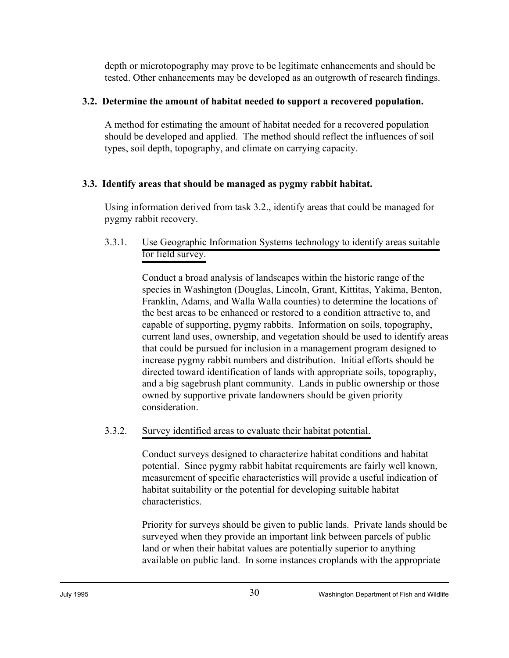depth or microtopography may prove to be legitimate enhancements and should be tested. Other enhancements may be developed as an outgrowth of research findings.

# **3.2. Determine the amount of habitat needed to support a recovered population.**

A method for estimating the amount of habitat needed for a recovered population should be developed and applied. The method should reflect the influences of soil types, soil depth, topography, and climate on carrying capacity.

# **3.3. Identify areas that should be managed as pygmy rabbit habitat.**

Using information derived from task 3.2., identify areas that could be managed for pygmy rabbit recovery.

# 3.3.1. Use Geographic Information Systems technology to identify areas suitable for field survey.

Conduct a broad analysis of landscapes within the historic range of the species in Washington (Douglas, Lincoln, Grant, Kittitas, Yakima, Benton, Franklin, Adams, and Walla Walla counties) to determine the locations of the best areas to be enhanced or restored to a condition attractive to, and capable of supporting, pygmy rabbits. Information on soils, topography, current land uses, ownership, and vegetation should be used to identify areas that could be pursued for inclusion in a management program designed to increase pygmy rabbit numbers and distribution. Initial efforts should be directed toward identification of lands with appropriate soils, topography, and a big sagebrush plant community. Lands in public ownership or those owned by supportive private landowners should be given priority consideration.

# 3.3.2. Survey identified areas to evaluate their habitat potential.

Conduct surveys designed to characterize habitat conditions and habitat potential. Since pygmy rabbit habitat requirements are fairly well known, measurement of specific characteristics will provide a useful indication of habitat suitability or the potential for developing suitable habitat characteristics.

Priority for surveys should be given to public lands. Private lands should be surveyed when they provide an important link between parcels of public land or when their habitat values are potentially superior to anything available on public land. In some instances croplands with the appropriate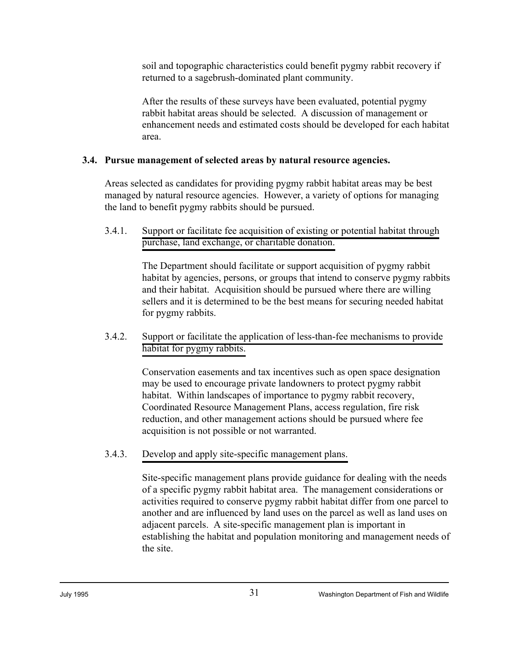soil and topographic characteristics could benefit pygmy rabbit recovery if returned to a sagebrush-dominated plant community.

After the results of these surveys have been evaluated, potential pygmy rabbit habitat areas should be selected. A discussion of management or enhancement needs and estimated costs should be developed for each habitat area.

# **3.4. Pursue management of selected areas by natural resource agencies.**

Areas selected as candidates for providing pygmy rabbit habitat areas may be best managed by natural resource agencies. However, a variety of options for managing the land to benefit pygmy rabbits should be pursued.

3.4.1. Support or facilitate fee acquisition of existing or potential habitat through purchase, land exchange, or charitable donation.

> The Department should facilitate or support acquisition of pygmy rabbit habitat by agencies, persons, or groups that intend to conserve pygmy rabbits and their habitat. Acquisition should be pursued where there are willing sellers and it is determined to be the best means for securing needed habitat for pygmy rabbits.

# 3.4.2. Support or facilitate the application of less-than-fee mechanisms to provide habitat for pygmy rabbits.

Conservation easements and tax incentives such as open space designation may be used to encourage private landowners to protect pygmy rabbit habitat. Within landscapes of importance to pygmy rabbit recovery, Coordinated Resource Management Plans, access regulation, fire risk reduction, and other management actions should be pursued where fee acquisition is not possible or not warranted.

# 3.4.3. Develop and apply site-specific management plans.

Site-specific management plans provide guidance for dealing with the needs of a specific pygmy rabbit habitat area. The management considerations or activities required to conserve pygmy rabbit habitat differ from one parcel to another and are influenced by land uses on the parcel as well as land uses on adjacent parcels. A site-specific management plan is important in establishing the habitat and population monitoring and management needs of the site.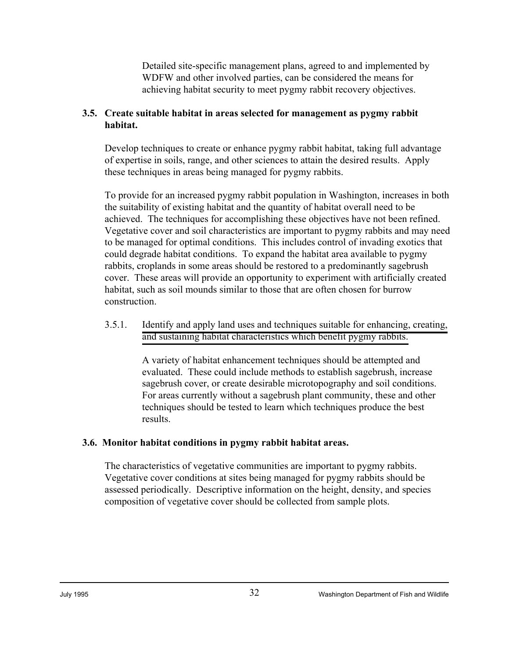Detailed site-specific management plans, agreed to and implemented by WDFW and other involved parties, can be considered the means for achieving habitat security to meet pygmy rabbit recovery objectives.

# **3.5. Create suitable habitat in areas selected for management as pygmy rabbit habitat.**

Develop techniques to create or enhance pygmy rabbit habitat, taking full advantage of expertise in soils, range, and other sciences to attain the desired results. Apply these techniques in areas being managed for pygmy rabbits.

To provide for an increased pygmy rabbit population in Washington, increases in both the suitability of existing habitat and the quantity of habitat overall need to be achieved. The techniques for accomplishing these objectives have not been refined. Vegetative cover and soil characteristics are important to pygmy rabbits and may need to be managed for optimal conditions. This includes control of invading exotics that could degrade habitat conditions. To expand the habitat area available to pygmy rabbits, croplands in some areas should be restored to a predominantly sagebrush cover. These areas will provide an opportunity to experiment with artificially created habitat, such as soil mounds similar to those that are often chosen for burrow construction.

3.5.1. Identify and apply land uses and techniques suitable for enhancing, creating, and sustaining habitat characteristics which benefit pygmy rabbits.

> A variety of habitat enhancement techniques should be attempted and evaluated. These could include methods to establish sagebrush, increase sagebrush cover, or create desirable microtopography and soil conditions. For areas currently without a sagebrush plant community, these and other techniques should be tested to learn which techniques produce the best results.

# **3.6. Monitor habitat conditions in pygmy rabbit habitat areas.**

The characteristics of vegetative communities are important to pygmy rabbits. Vegetative cover conditions at sites being managed for pygmy rabbits should be assessed periodically. Descriptive information on the height, density, and species composition of vegetative cover should be collected from sample plots.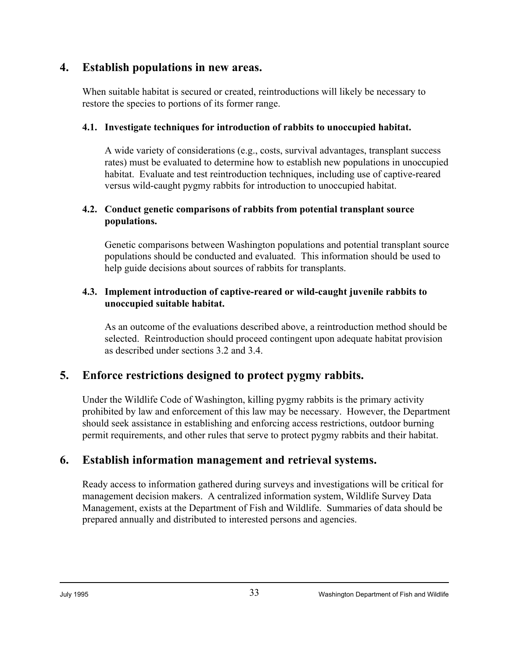# **4. Establish populations in new areas.**

When suitable habitat is secured or created, reintroductions will likely be necessary to restore the species to portions of its former range.

# **4.1. Investigate techniques for introduction of rabbits to unoccupied habitat.**

A wide variety of considerations (e.g., costs, survival advantages, transplant success rates) must be evaluated to determine how to establish new populations in unoccupied habitat. Evaluate and test reintroduction techniques, including use of captive-reared versus wild-caught pygmy rabbits for introduction to unoccupied habitat.

# **4.2. Conduct genetic comparisons of rabbits from potential transplant source populations.**

Genetic comparisons between Washington populations and potential transplant source populations should be conducted and evaluated. This information should be used to help guide decisions about sources of rabbits for transplants.

# **4.3. Implement introduction of captive-reared or wild-caught juvenile rabbits to unoccupied suitable habitat.**

As an outcome of the evaluations described above, a reintroduction method should be selected. Reintroduction should proceed contingent upon adequate habitat provision as described under sections 3.2 and 3.4.

# **5. Enforce restrictions designed to protect pygmy rabbits.**

Under the Wildlife Code of Washington, killing pygmy rabbits is the primary activity prohibited by law and enforcement of this law may be necessary. However, the Department should seek assistance in establishing and enforcing access restrictions, outdoor burning permit requirements, and other rules that serve to protect pygmy rabbits and their habitat.

# **6. Establish information management and retrieval systems.**

Ready access to information gathered during surveys and investigations will be critical for management decision makers. A centralized information system, Wildlife Survey Data Management, exists at the Department of Fish and Wildlife. Summaries of data should be prepared annually and distributed to interested persons and agencies.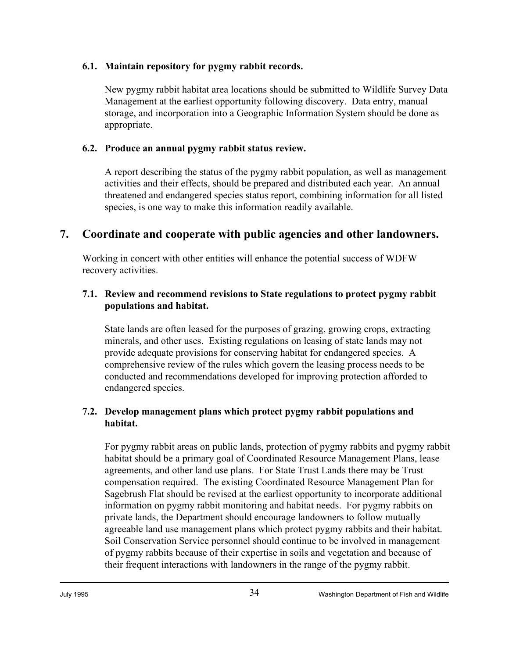## **6.1. Maintain repository for pygmy rabbit records.**

New pygmy rabbit habitat area locations should be submitted to Wildlife Survey Data Management at the earliest opportunity following discovery. Data entry, manual storage, and incorporation into a Geographic Information System should be done as appropriate.

# **6.2. Produce an annual pygmy rabbit status review.**

A report describing the status of the pygmy rabbit population, as well as management activities and their effects, should be prepared and distributed each year. An annual threatened and endangered species status report, combining information for all listed species, is one way to make this information readily available.

# **7. Coordinate and cooperate with public agencies and other landowners.**

Working in concert with other entities will enhance the potential success of WDFW recovery activities.

## **7.1. Review and recommend revisions to State regulations to protect pygmy rabbit populations and habitat.**

State lands are often leased for the purposes of grazing, growing crops, extracting minerals, and other uses. Existing regulations on leasing of state lands may not provide adequate provisions for conserving habitat for endangered species. A comprehensive review of the rules which govern the leasing process needs to be conducted and recommendations developed for improving protection afforded to endangered species.

# **7.2. Develop management plans which protect pygmy rabbit populations and habitat.**

For pygmy rabbit areas on public lands, protection of pygmy rabbits and pygmy rabbit habitat should be a primary goal of Coordinated Resource Management Plans, lease agreements, and other land use plans. For State Trust Lands there may be Trust compensation required. The existing Coordinated Resource Management Plan for Sagebrush Flat should be revised at the earliest opportunity to incorporate additional information on pygmy rabbit monitoring and habitat needs. For pygmy rabbits on private lands, the Department should encourage landowners to follow mutually agreeable land use management plans which protect pygmy rabbits and their habitat. Soil Conservation Service personnel should continue to be involved in management of pygmy rabbits because of their expertise in soils and vegetation and because of their frequent interactions with landowners in the range of the pygmy rabbit.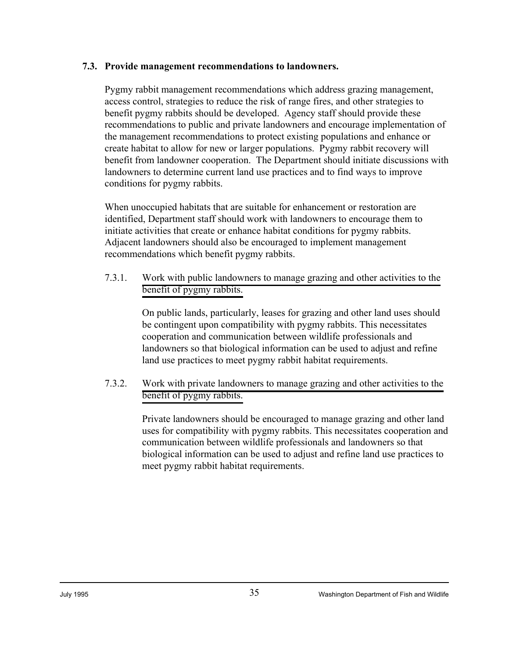### **7.3. Provide management recommendations to landowners.**

Pygmy rabbit management recommendations which address grazing management, access control, strategies to reduce the risk of range fires, and other strategies to benefit pygmy rabbits should be developed. Agency staff should provide these recommendations to public and private landowners and encourage implementation of the management recommendations to protect existing populations and enhance or create habitat to allow for new or larger populations. Pygmy rabbit recovery will benefit from landowner cooperation. The Department should initiate discussions with landowners to determine current land use practices and to find ways to improve conditions for pygmy rabbits.

When unoccupied habitats that are suitable for enhancement or restoration are identified, Department staff should work with landowners to encourage them to initiate activities that create or enhance habitat conditions for pygmy rabbits. Adjacent landowners should also be encouraged to implement management recommendations which benefit pygmy rabbits.

7.3.1. Work with public landowners to manage grazing and other activities to the benefit of pygmy rabbits.

> On public lands, particularly, leases for grazing and other land uses should be contingent upon compatibility with pygmy rabbits. This necessitates cooperation and communication between wildlife professionals and landowners so that biological information can be used to adjust and refine land use practices to meet pygmy rabbit habitat requirements.

7.3.2. Work with private landowners to manage grazing and other activities to the benefit of pygmy rabbits.

> Private landowners should be encouraged to manage grazing and other land uses for compatibility with pygmy rabbits. This necessitates cooperation and communication between wildlife professionals and landowners so that biological information can be used to adjust and refine land use practices to meet pygmy rabbit habitat requirements.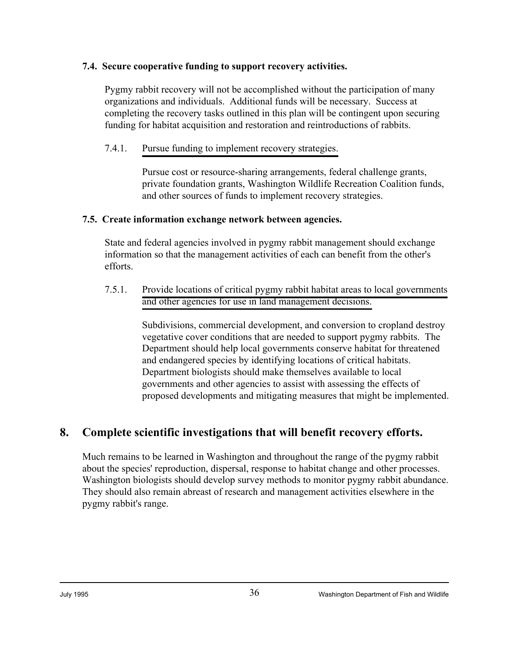# **7.4. Secure cooperative funding to support recovery activities.**

Pygmy rabbit recovery will not be accomplished without the participation of many organizations and individuals. Additional funds will be necessary. Success at completing the recovery tasks outlined in this plan will be contingent upon securing funding for habitat acquisition and restoration and reintroductions of rabbits.

# 7.4.1. Pursue funding to implement recovery strategies.

Pursue cost or resource-sharing arrangements, federal challenge grants, private foundation grants, Washington Wildlife Recreation Coalition funds, and other sources of funds to implement recovery strategies.

# **7.5. Create information exchange network between agencies.**

State and federal agencies involved in pygmy rabbit management should exchange information so that the management activities of each can benefit from the other's efforts.

7.5.1. Provide locations of critical pygmy rabbit habitat areas to local governments and other agencies for use in land management decisions.

> Subdivisions, commercial development, and conversion to cropland destroy vegetative cover conditions that are needed to support pygmy rabbits. The Department should help local governments conserve habitat for threatened and endangered species by identifying locations of critical habitats. Department biologists should make themselves available to local governments and other agencies to assist with assessing the effects of proposed developments and mitigating measures that might be implemented.

# **8. Complete scientific investigations that will benefit recovery efforts.**

Much remains to be learned in Washington and throughout the range of the pygmy rabbit about the species' reproduction, dispersal, response to habitat change and other processes. Washington biologists should develop survey methods to monitor pygmy rabbit abundance. They should also remain abreast of research and management activities elsewhere in the pygmy rabbit's range.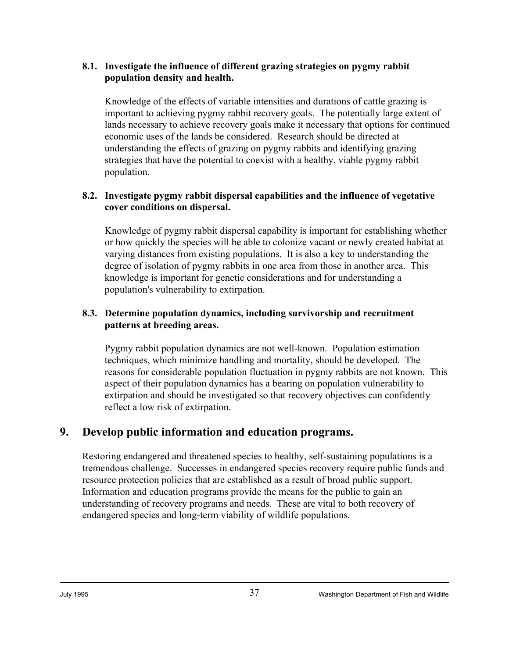# **8.1. Investigate the influence of different grazing strategies on pygmy rabbit population density and health.**

Knowledge of the effects of variable intensities and durations of cattle grazing is important to achieving pygmy rabbit recovery goals. The potentially large extent of lands necessary to achieve recovery goals make it necessary that options for continued economic uses of the lands be considered. Research should be directed at understanding the effects of grazing on pygmy rabbits and identifying grazing strategies that have the potential to coexist with a healthy, viable pygmy rabbit population.

# **8.2. Investigate pygmy rabbit dispersal capabilities and the influence of vegetative cover conditions on dispersal.**

Knowledge of pygmy rabbit dispersal capability is important for establishing whether or how quickly the species will be able to colonize vacant or newly created habitat at varying distances from existing populations. It is also a key to understanding the degree of isolation of pygmy rabbits in one area from those in another area. This knowledge is important for genetic considerations and for understanding a population's vulnerability to extirpation.

# **8.3. Determine population dynamics, including survivorship and recruitment patterns at breeding areas.**

Pygmy rabbit population dynamics are not well-known. Population estimation techniques, which minimize handling and mortality, should be developed. The reasons for considerable population fluctuation in pygmy rabbits are not known. This aspect of their population dynamics has a bearing on population vulnerability to extirpation and should be investigated so that recovery objectives can confidently reflect a low risk of extirpation.

# **9. Develop public information and education programs.**

Restoring endangered and threatened species to healthy, self-sustaining populations is a tremendous challenge. Successes in endangered species recovery require public funds and resource protection policies that are established as a result of broad public support. Information and education programs provide the means for the public to gain an understanding of recovery programs and needs. These are vital to both recovery of endangered species and long-term viability of wildlife populations.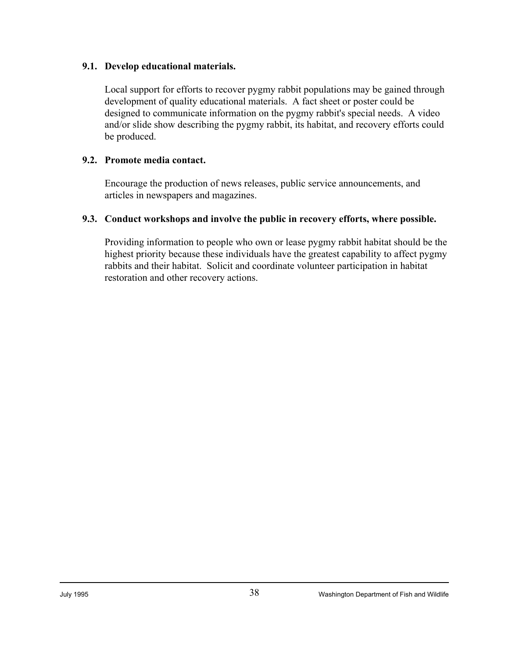### **9.1. Develop educational materials.**

Local support for efforts to recover pygmy rabbit populations may be gained through development of quality educational materials. A fact sheet or poster could be designed to communicate information on the pygmy rabbit's special needs. A video and/or slide show describing the pygmy rabbit, its habitat, and recovery efforts could be produced.

## **9.2. Promote media contact.**

Encourage the production of news releases, public service announcements, and articles in newspapers and magazines.

### **9.3. Conduct workshops and involve the public in recovery efforts, where possible.**

Providing information to people who own or lease pygmy rabbit habitat should be the highest priority because these individuals have the greatest capability to affect pygmy rabbits and their habitat. Solicit and coordinate volunteer participation in habitat restoration and other recovery actions.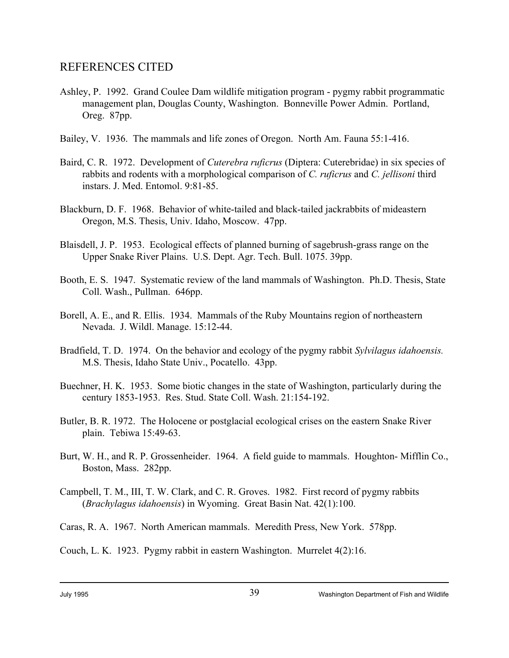# REFERENCES CITED

- Ashley, P. 1992. Grand Coulee Dam wildlife mitigation program pygmy rabbit programmatic management plan, Douglas County, Washington. Bonneville Power Admin. Portland, Oreg. 87pp.
- Bailey, V. 1936. The mammals and life zones of Oregon. North Am. Fauna 55:1-416.
- Baird, C. R. 1972. Development of *Cuterebra ruficrus* (Diptera: Cuterebridae) in six species of rabbits and rodents with a morphological comparison of *C. ruficrus* and *C. jellisoni* third instars. J. Med. Entomol. 9:81-85.
- Blackburn, D. F. 1968. Behavior of white-tailed and black-tailed jackrabbits of mideastern Oregon, M.S. Thesis, Univ. Idaho, Moscow. 47pp.
- Blaisdell, J. P. 1953. Ecological effects of planned burning of sagebrush-grass range on the Upper Snake River Plains. U.S. Dept. Agr. Tech. Bull. 1075. 39pp.
- Booth, E. S. 1947. Systematic review of the land mammals of Washington. Ph.D. Thesis, State Coll. Wash., Pullman. 646pp.
- Borell, A. E., and R. Ellis. 1934. Mammals of the Ruby Mountains region of northeastern Nevada. J. Wildl. Manage. 15:12-44.
- Bradfield, T. D. 1974. On the behavior and ecology of the pygmy rabbit *Sylvilagus idahoensis.*  M.S. Thesis, Idaho State Univ., Pocatello. 43pp.
- Buechner, H. K. 1953. Some biotic changes in the state of Washington, particularly during the century 1853-1953. Res. Stud. State Coll. Wash. 21:154-192.
- Butler, B. R. 1972. The Holocene or postglacial ecological crises on the eastern Snake River plain. Tebiwa 15:49-63.
- Burt, W. H., and R. P. Grossenheider. 1964. A field guide to mammals. Houghton- Mifflin Co., Boston, Mass. 282pp.
- Campbell, T. M., III, T. W. Clark, and C. R. Groves. 1982. First record of pygmy rabbits (*Brachylagus idahoensis*) in Wyoming. Great Basin Nat. 42(1):100.
- Caras, R. A. 1967. North American mammals. Meredith Press, New York. 578pp.

Couch, L. K. 1923. Pygmy rabbit in eastern Washington. Murrelet 4(2):16.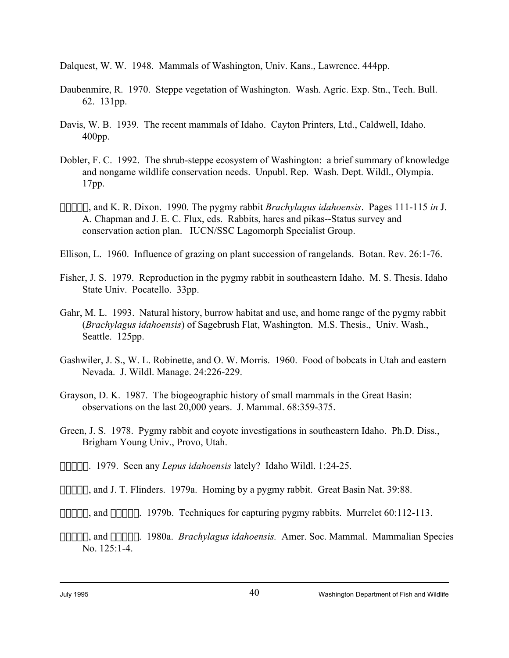Dalquest, W. W. 1948. Mammals of Washington, Univ. Kans., Lawrence. 444pp.

- Daubenmire, R. 1970. Steppe vegetation of Washington. Wash. Agric. Exp. Stn., Tech. Bull. 62. 131pp.
- Davis, W. B. 1939. The recent mammals of Idaho. Cayton Printers, Ltd., Caldwell, Idaho. 400pp.
- Dobler, F. C. 1992. The shrub-steppe ecosystem of Washington: a brief summary of knowledge and nongame wildlife conservation needs. Unpubl. Rep. Wash. Dept. Wildl., Olympia. 17pp.
- , and K. R. Dixon. 1990. The pygmy rabbit *Brachylagus idahoensis*. Pages 111-115 *in* J. A. Chapman and J. E. C. Flux, eds. Rabbits, hares and pikas--Status survey and conservation action plan. IUCN/SSC Lagomorph Specialist Group.
- Ellison, L. 1960. Influence of grazing on plant succession of rangelands. Botan. Rev. 26:1-76.
- Fisher, J. S. 1979. Reproduction in the pygmy rabbit in southeastern Idaho. M. S. Thesis. Idaho State Univ. Pocatello. 33pp.
- Gahr, M. L. 1993. Natural history, burrow habitat and use, and home range of the pygmy rabbit (*Brachylagus idahoensis*) of Sagebrush Flat, Washington. M.S. Thesis., Univ. Wash., Seattle. 125pp.
- Gashwiler, J. S., W. L. Robinette, and O. W. Morris. 1960. Food of bobcats in Utah and eastern Nevada. J. Wildl. Manage. 24:226-229.
- Grayson, D. K. 1987. The biogeographic history of small mammals in the Great Basin: observations on the last 20,000 years. J. Mammal. 68:359-375.
- Green, J. S. 1978. Pygmy rabbit and coyote investigations in southeastern Idaho. Ph.D. Diss., Brigham Young Univ., Provo, Utah.
- . 1979. Seen any *Lepus idahoensis* lately? Idaho Wildl. 1:24-25.
- , and J. T. Flinders. 1979a. Homing by a pygmy rabbit. Great Basin Nat. 39:88.
- , and . 1979b. Techniques for capturing pygmy rabbits. Murrelet 60:112-113.
- , and . 1980a. *Brachylagus idahoensis.* Amer. Soc. Mammal. Mammalian Species No. 125:1-4.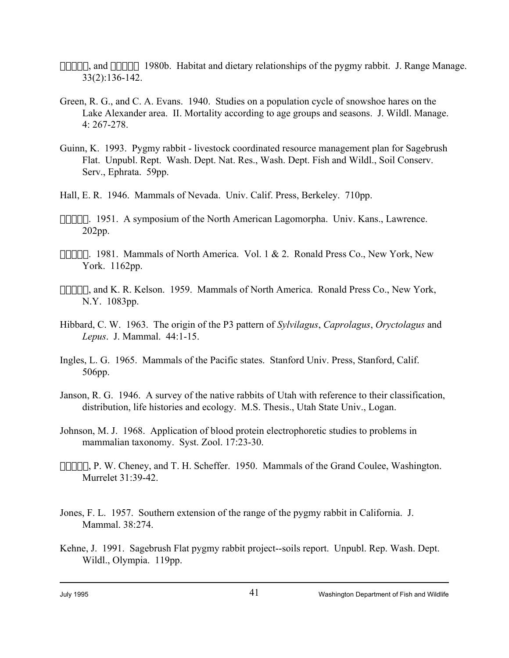- , and  1980b. Habitat and dietary relationships of the pygmy rabbit. J. Range Manage. 33(2):136-142.
- Green, R. G., and C. A. Evans. 1940. Studies on a population cycle of snowshoe hares on the Lake Alexander area. II. Mortality according to age groups and seasons. J. Wildl. Manage. 4: 267-278.
- Guinn, K. 1993. Pygmy rabbit livestock coordinated resource management plan for Sagebrush Flat. Unpubl. Rept. Wash. Dept. Nat. Res., Wash. Dept. Fish and Wildl., Soil Conserv. Serv., Ephrata. 59pp.
- Hall, E. R. 1946. Mammals of Nevada. Univ. Calif. Press, Berkeley. 710pp.
- . 1951. A symposium of the North American Lagomorpha. Univ. Kans., Lawrence. 202pp.
- . 1981. Mammals of North America. Vol. 1 & 2. Ronald Press Co., New York, New York. 1162pp.
- , and K. R. Kelson. 1959. Mammals of North America. Ronald Press Co., New York, N.Y. 1083pp.
- Hibbard, C. W. 1963. The origin of the P3 pattern of *Sylvilagus*, *Caprolagus*, *Oryctolagus* and *Lepus*. J. Mammal. 44:1-15.
- Ingles, L. G. 1965. Mammals of the Pacific states. Stanford Univ. Press, Stanford, Calif. 506pp.
- Janson, R. G. 1946. A survey of the native rabbits of Utah with reference to their classification, distribution, life histories and ecology. M.S. Thesis., Utah State Univ., Logan.
- Johnson, M. J. 1968. Application of blood protein electrophoretic studies to problems in mammalian taxonomy. Syst. Zool. 17:23-30.
- , P. W. Cheney, and T. H. Scheffer. 1950. Mammals of the Grand Coulee, Washington. Murrelet 31:39-42.
- Jones, F. L. 1957. Southern extension of the range of the pygmy rabbit in California. J. Mammal. 38:274.
- Kehne, J. 1991. Sagebrush Flat pygmy rabbit project--soils report. Unpubl. Rep. Wash. Dept. Wildl., Olympia. 119pp.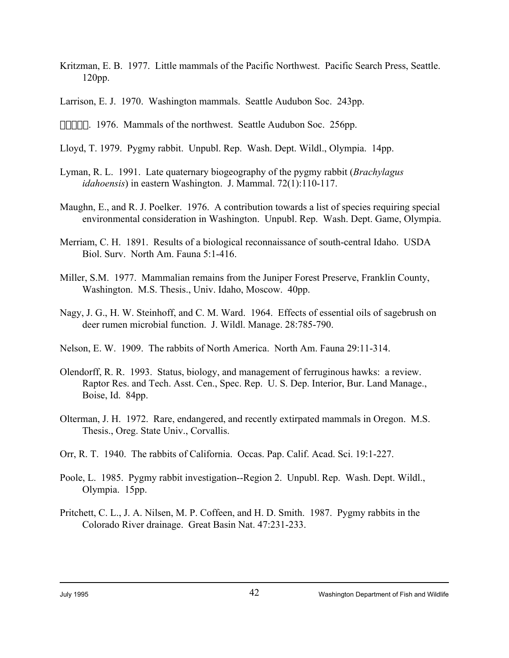- Kritzman, E. B. 1977. Little mammals of the Pacific Northwest. Pacific Search Press, Seattle. 120pp.
- Larrison, E. J. 1970. Washington mammals. Seattle Audubon Soc. 243pp.
- . 1976. Mammals of the northwest. Seattle Audubon Soc. 256pp.
- Lloyd, T. 1979. Pygmy rabbit. Unpubl. Rep. Wash. Dept. Wildl., Olympia. 14pp.
- Lyman, R. L. 1991. Late quaternary biogeography of the pygmy rabbit (*Brachylagus idahoensis*) in eastern Washington. J. Mammal. 72(1):110-117.
- Maughn, E., and R. J. Poelker. 1976. A contribution towards a list of species requiring special environmental consideration in Washington. Unpubl. Rep. Wash. Dept. Game, Olympia.
- Merriam, C. H. 1891. Results of a biological reconnaissance of south-central Idaho. USDA Biol. Surv. North Am. Fauna 5:1-416.
- Miller, S.M. 1977. Mammalian remains from the Juniper Forest Preserve, Franklin County, Washington. M.S. Thesis., Univ. Idaho, Moscow. 40pp.
- Nagy, J. G., H. W. Steinhoff, and C. M. Ward. 1964. Effects of essential oils of sagebrush on deer rumen microbial function. J. Wildl. Manage. 28:785-790.
- Nelson, E. W. 1909. The rabbits of North America. North Am. Fauna 29:11-314.
- Olendorff, R. R. 1993. Status, biology, and management of ferruginous hawks: a review. Raptor Res. and Tech. Asst. Cen., Spec. Rep. U. S. Dep. Interior, Bur. Land Manage., Boise, Id. 84pp.
- Olterman, J. H. 1972. Rare, endangered, and recently extirpated mammals in Oregon. M.S. Thesis., Oreg. State Univ., Corvallis.
- Orr, R. T. 1940. The rabbits of California. Occas. Pap. Calif. Acad. Sci. 19:1-227.
- Poole, L. 1985. Pygmy rabbit investigation--Region 2. Unpubl. Rep. Wash. Dept. Wildl., Olympia. 15pp.
- Pritchett, C. L., J. A. Nilsen, M. P. Coffeen, and H. D. Smith. 1987. Pygmy rabbits in the Colorado River drainage. Great Basin Nat. 47:231-233.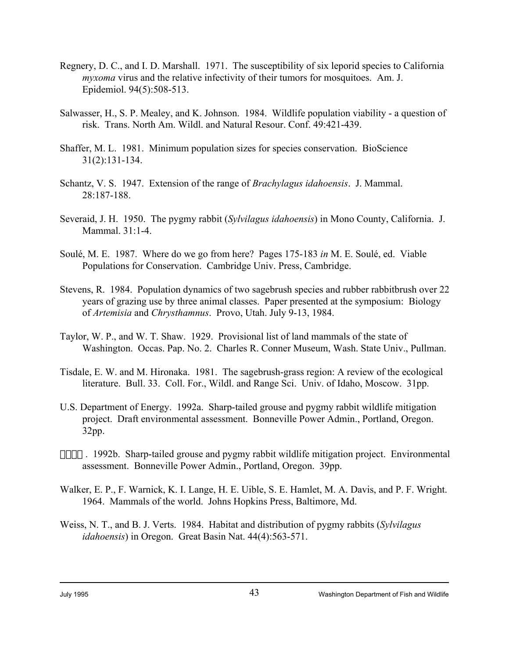- Regnery, D. C., and I. D. Marshall. 1971. The susceptibility of six leporid species to California *myxoma* virus and the relative infectivity of their tumors for mosquitoes. Am. J. Epidemiol. 94(5):508-513.
- Salwasser, H., S. P. Mealey, and K. Johnson. 1984. Wildlife population viability a question of risk. Trans. North Am. Wildl. and Natural Resour. Conf. 49:421-439.
- Shaffer, M. L. 1981. Minimum population sizes for species conservation. BioScience 31(2):131-134.
- Schantz, V. S. 1947. Extension of the range of *Brachylagus idahoensis*. J. Mammal. 28:187-188.
- Severaid, J. H. 1950. The pygmy rabbit (*Sylvilagus idahoensis*) in Mono County, California. J. Mammal. 31:1-4.
- Soulé, M. E. 1987. Where do we go from here? Pages 175-183 *in* M. E. Soulé, ed. Viable Populations for Conservation. Cambridge Univ. Press, Cambridge.
- Stevens, R. 1984. Population dynamics of two sagebrush species and rubber rabbitbrush over 22 years of grazing use by three animal classes. Paper presented at the symposium: Biology of *Artemisia* and *Chrysthamnus*. Provo, Utah. July 9-13, 1984.
- Taylor, W. P., and W. T. Shaw. 1929. Provisional list of land mammals of the state of Washington. Occas. Pap. No. 2. Charles R. Conner Museum, Wash. State Univ., Pullman.
- Tisdale, E. W. and M. Hironaka. 1981. The sagebrush-grass region: A review of the ecological literature. Bull. 33. Coll. For., Wildl. and Range Sci. Univ. of Idaho, Moscow. 31pp.
- U.S. Department of Energy. 1992a. Sharp-tailed grouse and pygmy rabbit wildlife mitigation project. Draft environmental assessment. Bonneville Power Admin., Portland, Oregon. 32pp.
- . 1992b. Sharp-tailed grouse and pygmy rabbit wildlife mitigation project. Environmental assessment. Bonneville Power Admin., Portland, Oregon. 39pp.
- Walker, E. P., F. Warnick, K. I. Lange, H. E. Uible, S. E. Hamlet, M. A. Davis, and P. F. Wright. 1964. Mammals of the world. Johns Hopkins Press, Baltimore, Md.
- Weiss, N. T., and B. J. Verts. 1984. Habitat and distribution of pygmy rabbits (*Sylvilagus idahoensis*) in Oregon. Great Basin Nat. 44(4):563-571.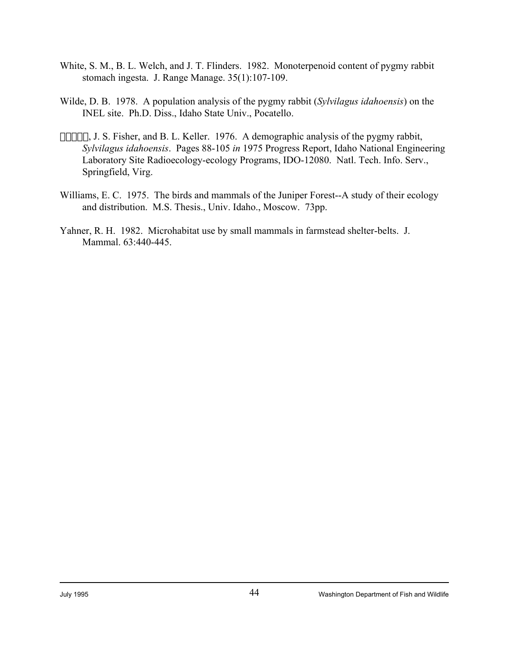- White, S. M., B. L. Welch, and J. T. Flinders. 1982. Monoterpenoid content of pygmy rabbit stomach ingesta. J. Range Manage. 35(1):107-109.
- Wilde, D. B. 1978. A population analysis of the pygmy rabbit (*Sylvilagus idahoensis*) on the INEL site. Ph.D. Diss., Idaho State Univ., Pocatello.
- , J. S. Fisher, and B. L. Keller. 1976. A demographic analysis of the pygmy rabbit, *Sylvilagus idahoensis*. Pages 88-105 *in* 1975 Progress Report, Idaho National Engineering Laboratory Site Radioecology-ecology Programs, IDO-12080. Natl. Tech. Info. Serv., Springfield, Virg.
- Williams, E. C. 1975. The birds and mammals of the Juniper Forest--A study of their ecology and distribution. M.S. Thesis., Univ. Idaho., Moscow. 73pp.
- Yahner, R. H. 1982. Microhabitat use by small mammals in farmstead shelter-belts. J. Mammal. 63:440-445.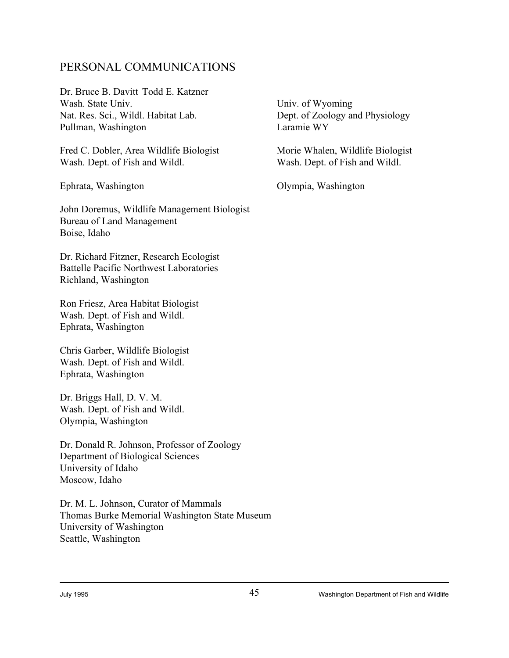# PERSONAL COMMUNICATIONS

Dr. Bruce B. Davitt Todd E. Katzner Wash. State Univ. Univ. of Wyoming Nat. Res. Sci., Wildl. Habitat Lab. Dept. of Zoology and Physiology Pullman, Washington Laramie WY

Fred C. Dobler, Area Wildlife Biologist Morie Whalen, Wildlife Biologist Wash. Dept. of Fish and Wildl. Wash. Dept. of Fish and Wildl.

John Doremus, Wildlife Management Biologist Bureau of Land Management Boise, Idaho

Dr. Richard Fitzner, Research Ecologist Battelle Pacific Northwest Laboratories Richland, Washington

Ron Friesz, Area Habitat Biologist Wash. Dept. of Fish and Wildl. Ephrata, Washington

Chris Garber, Wildlife Biologist Wash. Dept. of Fish and Wildl. Ephrata, Washington

Dr. Briggs Hall, D. V. M. Wash. Dept. of Fish and Wildl. Olympia, Washington

Dr. Donald R. Johnson, Professor of Zoology Department of Biological Sciences University of Idaho Moscow, Idaho

Dr. M. L. Johnson, Curator of Mammals Thomas Burke Memorial Washington State Museum University of Washington Seattle, Washington

Ephrata, Washington Olympia, Washington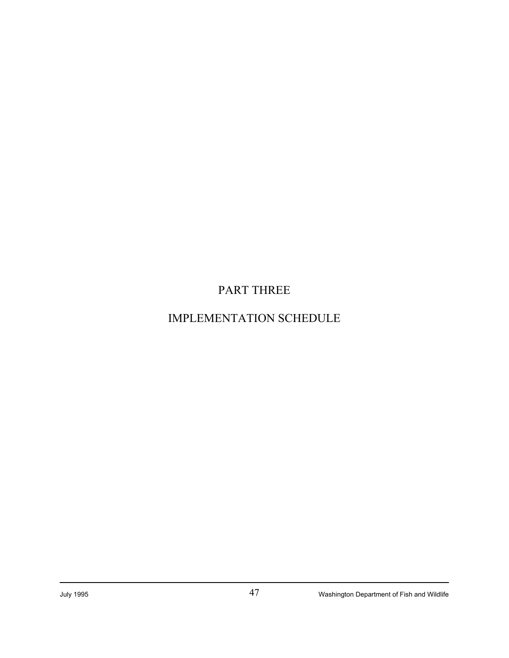# PART THREE

# IMPLEMENTATION SCHEDULE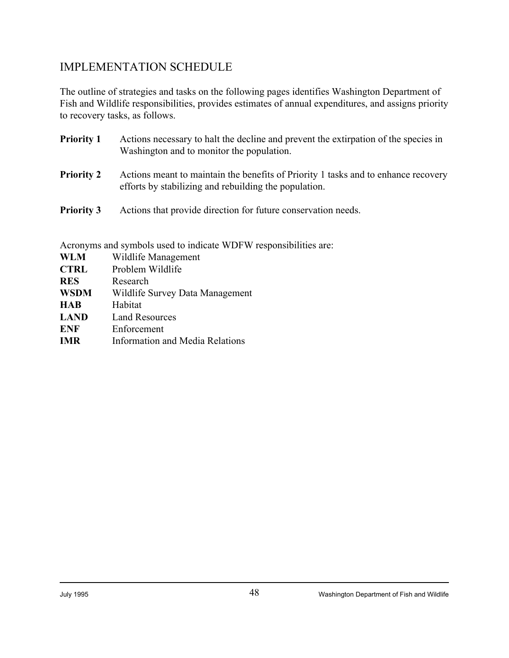# IMPLEMENTATION SCHEDULE

The outline of strategies and tasks on the following pages identifies Washington Department of Fish and Wildlife responsibilities, provides estimates of annual expenditures, and assigns priority to recovery tasks, as follows.

| <b>Priority 1</b> | Actions necessary to halt the decline and prevent the extirpation of the species in<br>Washington and to monitor the population.            |
|-------------------|---------------------------------------------------------------------------------------------------------------------------------------------|
| <b>Priority 2</b> | Actions meant to maintain the benefits of Priority 1 tasks and to enhance recovery<br>efforts by stabilizing and rebuilding the population. |
| <b>Priority 3</b> | Actions that provide direction for future conservation needs.                                                                               |

Acronyms and symbols used to indicate WDFW responsibilities are:

| <b>WLM</b>  | Wildlife Management                    |
|-------------|----------------------------------------|
| <b>CTRL</b> | Problem Wildlife                       |
| <b>RES</b>  | Research                               |
| <b>WSDM</b> | Wildlife Survey Data Management        |
| <b>HAB</b>  | Habitat                                |
| <b>LAND</b> | <b>Land Resources</b>                  |
| <b>ENF</b>  | Enforcement                            |
| <b>IMR</b>  | <b>Information and Media Relations</b> |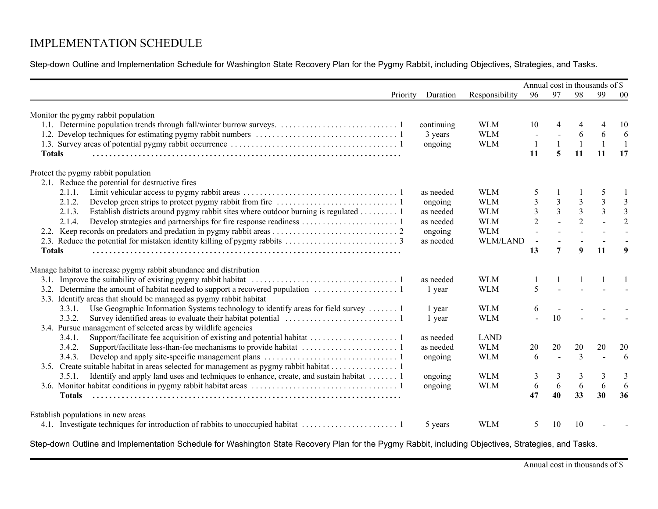# IMPLEMENTATION SCHEDULE

Step-down Outline and Implementation Schedule for Washington State Recovery Plan for the Pygmy Rabbit, including Objectives, Strategies, and Tasks.

|                                                                                                  |            |                 | Annual cost in thousands of \$ |                |                |                |                  |
|--------------------------------------------------------------------------------------------------|------------|-----------------|--------------------------------|----------------|----------------|----------------|------------------|
| Priority                                                                                         | Duration   | Responsibility  | 96                             | 97             | 98             | 99             | $00\,$           |
| Monitor the pygmy rabbit population                                                              |            |                 |                                |                |                |                |                  |
|                                                                                                  | continuing | <b>WLM</b>      | 10                             |                | 4              |                | 10               |
|                                                                                                  | 3 years    | <b>WLM</b>      |                                |                | 6              | 6              | 6                |
|                                                                                                  | ongoing    | <b>WLM</b>      |                                |                |                |                |                  |
| <b>Totals</b>                                                                                    |            |                 | 11                             | 5              | 11             | 11             | 17               |
| Protect the pygmy rabbit population                                                              |            |                 |                                |                |                |                |                  |
| 2.1. Reduce the potential for destructive fires                                                  |            |                 |                                |                |                |                |                  |
| 2.1.1.                                                                                           | as needed  | <b>WLM</b>      | 5                              |                |                | 5              |                  |
| 2.1.2.                                                                                           | ongoing    | <b>WLM</b>      | $\mathfrak{Z}$                 | $\mathfrak{Z}$ | $\mathfrak{Z}$ | 3              | 3                |
| 2.1.3.<br>Establish districts around pygmy rabbit sites where outdoor burning is regulated 1     | as needed  | <b>WLM</b>      | 3                              | 3              | $\overline{3}$ | $\mathfrak{Z}$ | $\overline{3}$   |
| 2.1.4.                                                                                           | as needed  | <b>WLM</b>      | $\overline{2}$                 |                | $\overline{2}$ |                | $\overline{2}$   |
|                                                                                                  | ongoing    | <b>WLM</b>      |                                |                |                |                |                  |
|                                                                                                  | as needed  | <b>WLM/LAND</b> |                                |                |                |                |                  |
| <b>Totals</b>                                                                                    |            |                 | 13                             | $\overline{7}$ | 9              | 11             | $\boldsymbol{9}$ |
| Manage habitat to increase pygmy rabbit abundance and distribution                               |            |                 |                                |                |                |                |                  |
|                                                                                                  | as needed  | <b>WLM</b>      |                                |                |                |                |                  |
|                                                                                                  | 1 year     | <b>WLM</b>      | 5                              |                |                |                |                  |
| 3.3. Identify areas that should be managed as pygmy rabbit habitat                               |            |                 |                                |                |                |                |                  |
| Use Geographic Information Systems technology to identify areas for field survey 1<br>3.3.1.     | 1 year     | <b>WLM</b>      | 6                              |                |                |                |                  |
| 3.3.2.                                                                                           | 1 year     | <b>WLM</b>      |                                | 10             |                |                |                  |
| 3.4. Pursue management of selected areas by wildlife agencies                                    |            |                 |                                |                |                |                |                  |
| 3.4.1.                                                                                           | as needed  | <b>LAND</b>     |                                |                |                |                |                  |
| 3.4.2.                                                                                           | as needed  | <b>WLM</b>      | 20                             | 20             | 20             | 20             | 20               |
| 3.4.3.                                                                                           | ongoing    | <b>WLM</b>      | 6                              |                | 3              |                | 6                |
| 3.5. Create suitable habitat in areas selected for management as pygmy rabbit habitat 1          |            |                 |                                |                |                |                |                  |
| Identify and apply land uses and techniques to enhance, create, and sustain habitat  1<br>3.5.1. | ongoing    | <b>WLM</b>      | 3                              | 3              | 3              | 3              | 3                |
|                                                                                                  | ongoing    | <b>WLM</b>      | 6                              | 6              | 6              | 6              | 6                |
| <b>Totals</b>                                                                                    |            |                 | 47                             | 40             | 33             | 30             | 36               |
| Establish populations in new areas                                                               |            |                 |                                |                |                |                |                  |
|                                                                                                  | 5 years    | <b>WLM</b>      | 5.                             | 10             | 10             |                |                  |

Step-down Outline and Implementation Schedule for Washington State Recovery Plan for the Pygmy Rabbit, including Objectives, Strategies, and Tasks.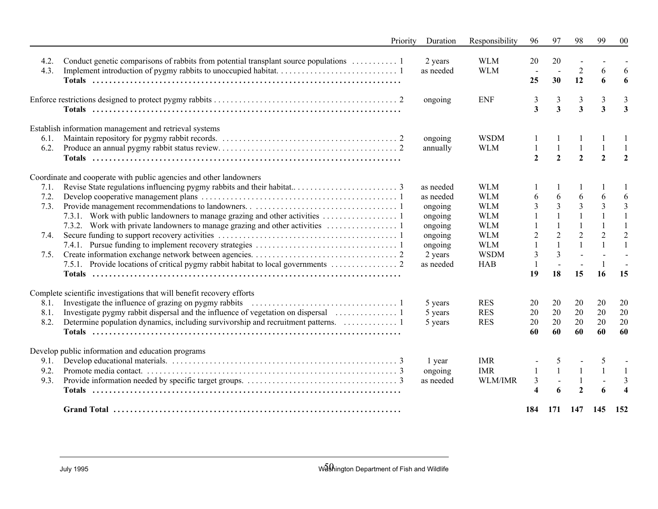|              | Priority                                                                          | Duration             | Responsibility            | 96                           | 97                           | 98                           | 99             | $00\,$                       |
|--------------|-----------------------------------------------------------------------------------|----------------------|---------------------------|------------------------------|------------------------------|------------------------------|----------------|------------------------------|
| 4.2.<br>4.3. |                                                                                   | 2 years<br>as needed | <b>WLM</b><br><b>WLM</b>  | 20<br>$\overline{a}$<br>25   | 20<br>30                     | $\overline{2}$<br>12         | 6<br>6         | 6<br>6                       |
|              |                                                                                   | ongoing              | <b>ENF</b>                | 3<br>$\overline{\mathbf{3}}$ | 3<br>$\overline{\mathbf{3}}$ | 3<br>$\overline{\mathbf{3}}$ | 3<br>3         | 3<br>$\overline{\mathbf{3}}$ |
|              | Establish information management and retrieval systems                            |                      |                           |                              |                              |                              |                |                              |
| 6.1.<br>6.2. |                                                                                   | ongoing<br>annually  | <b>WSDM</b><br><b>WLM</b> | $\overline{2}$               | $\overline{2}$               | 1<br>$\overline{2}$          | $\mathbf{2}$   | $\overline{2}$               |
|              | Coordinate and cooperate with public agencies and other landowners                |                      |                           |                              |                              |                              |                |                              |
| 7.1.         |                                                                                   | as needed            | <b>WLM</b>                |                              |                              |                              |                |                              |
| 7.2.         |                                                                                   | as needed            | <b>WLM</b>                | 6                            | 6                            | 6                            | 6              | 6                            |
| 7.3.         |                                                                                   | ongoing              | <b>WLM</b>                | 3                            | 3                            | 3                            | 3              | 3                            |
|              |                                                                                   | ongoing              | <b>WLM</b>                |                              |                              |                              |                | $\mathbf{1}$                 |
|              |                                                                                   | ongoing              | <b>WLM</b>                |                              |                              |                              |                | $\mathbf{1}$                 |
| 7.4.         |                                                                                   | ongoing              | <b>WLM</b>                | $\overline{2}$               | $\overline{c}$               | $\overline{2}$               | $\overline{c}$ | $\sqrt{2}$                   |
|              |                                                                                   | ongoing              | <b>WLM</b>                | $\mathbf{1}$                 |                              | $\mathbf{1}$                 | $\mathbf{1}$   | $\mathbf{1}$                 |
| 7.5.         |                                                                                   | 2 years              | <b>WSDM</b>               | 3                            | $\overline{3}$               |                              |                |                              |
|              |                                                                                   | as needed            | <b>HAB</b>                | 1                            | $\sim$                       |                              |                |                              |
|              |                                                                                   |                      |                           | 19                           | 18                           | 15                           | 16             | 15                           |
|              | Complete scientific investigations that will benefit recovery efforts             |                      |                           |                              |                              |                              |                |                              |
| 8.1.         |                                                                                   | 5 years              | <b>RES</b>                | 20                           | 20                           | 20                           | 20             | 20                           |
| 8.1.         |                                                                                   | 5 years              | <b>RES</b>                | 20                           | 20                           | 20                           | 20             | 20                           |
| 8.2.         | Determine population dynamics, including survivorship and recruitment patterns. 1 | 5 years              | <b>RES</b>                | 20                           | 20                           | 20                           | 20             | 20                           |
|              |                                                                                   |                      |                           | 60                           | 60                           | 60                           | 60             | 60                           |
|              | Develop public information and education programs                                 |                      |                           |                              |                              |                              |                |                              |
| 9.1.         |                                                                                   | 1 year               | IMR                       |                              |                              |                              | 5              |                              |
| 9.2.         |                                                                                   | ongoing              | <b>IMR</b>                |                              |                              | $\mathbf{1}$                 | $\mathbf{1}$   |                              |
| 9.3.         |                                                                                   | as needed            | WLM/IMR                   | 3                            | $\blacksquare$               | $\mathbf{1}$                 |                | 3                            |
|              |                                                                                   |                      |                           | $\overline{\mathbf{4}}$      | 6                            | $\overline{2}$               | 6              |                              |
|              |                                                                                   |                      |                           | 184                          | 171                          | 147                          | 145            | 152                          |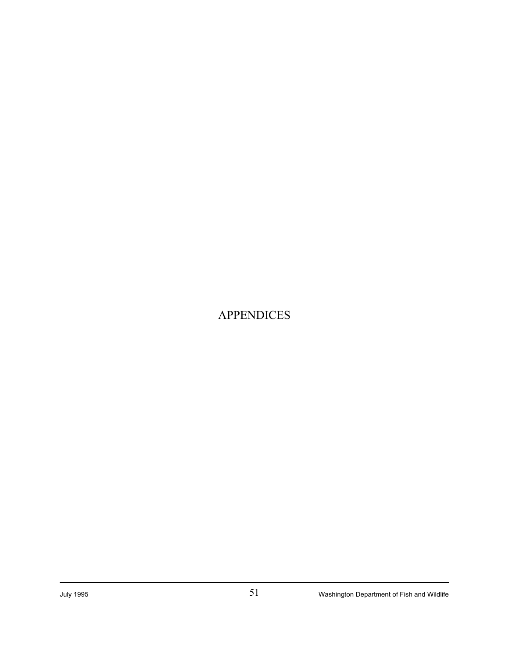# APPENDICES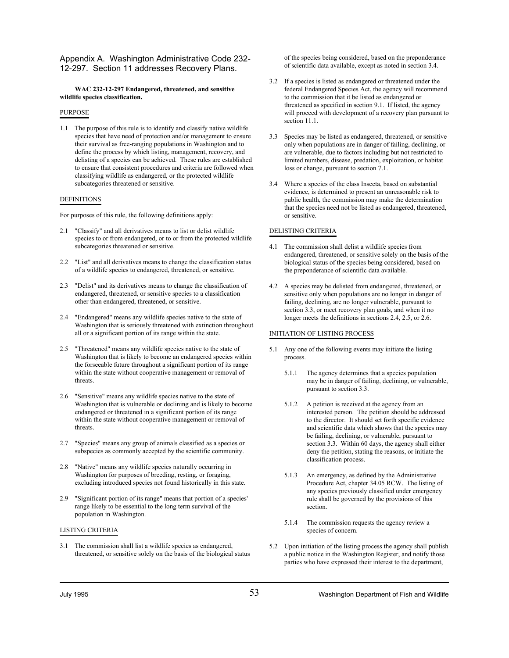#### Appendix A. Washington Administrative Code 232- 12-297. Section 11 addresses Recovery Plans.

#### **WAC 232-12-297 Endangered, threatened, and sensitive wildlife species classification.**

#### PURPOSE

1.1 The purpose of this rule is to identify and classify native wildlife species that have need of protection and/or management to ensure their survival as free-ranging populations in Washington and to define the process by which listing, management, recovery, and delisting of a species can be achieved. These rules are established to ensure that consistent procedures and criteria are followed when classifying wildlife as endangered, or the protected wildlife subcategories threatened or sensitive.

#### **DEFINITIONS**

For purposes of this rule, the following definitions apply:

- 2.1 "Classify" and all derivatives means to list or delist wildlife species to or from endangered, or to or from the protected wildlife subcategories threatened or sensitive.
- 2.2 "List" and all derivatives means to change the classification status of a wildlife species to endangered, threatened, or sensitive.
- 2.3 "Delist" and its derivatives means to change the classification of endangered, threatened, or sensitive species to a classification other than endangered, threatened, or sensitive.
- 2.4 "Endangered" means any wildlife species native to the state of Washington that is seriously threatened with extinction throughout all or a significant portion of its range within the state.
- 2.5 "Threatened" means any wildlife species native to the state of Washington that is likely to become an endangered species within the forseeable future throughout a significant portion of its range within the state without cooperative management or removal of threats.
- 2.6 "Sensitive" means any wildlife species native to the state of Washington that is vulnerable or declining and is likely to become endangered or threatened in a significant portion of its range within the state without cooperative management or removal of threats.
- 2.7 "Species" means any group of animals classified as a species or subspecies as commonly accepted by the scientific community.
- 2.8 "Native" means any wildlife species naturally occurring in Washington for purposes of breeding, resting, or foraging, excluding introduced species not found historically in this state.
- 2.9 "Significant portion of its range" means that portion of a species' range likely to be essential to the long term survival of the population in Washington.

#### LISTING CRITERIA

3.1 The commission shall list a wildlife species as endangered, threatened, or sensitive solely on the basis of the biological status of the species being considered, based on the preponderance of scientific data available, except as noted in section 3.4.

- 3.2 If a species is listed as endangered or threatened under the federal Endangered Species Act, the agency will recommend to the commission that it be listed as endangered or threatened as specified in section 9.1. If listed, the agency will proceed with development of a recovery plan pursuant to section 11.1.
- 3.3 Species may be listed as endangered, threatened, or sensitive only when populations are in danger of failing, declining, or are vulnerable, due to factors including but not restricted to limited numbers, disease, predation, exploitation, or habitat loss or change, pursuant to section 7.1.
- 3.4 Where a species of the class Insecta, based on substantial evidence, is determined to present an unreasonable risk to public health, the commission may make the determination that the species need not be listed as endangered, threatened, or sensitive.

#### DELISTING CRITERIA

- 4.1 The commission shall delist a wildlife species from endangered, threatened, or sensitive solely on the basis of the biological status of the species being considered, based on the preponderance of scientific data available.
- 4.2 A species may be delisted from endangered, threatened, or sensitive only when populations are no longer in danger of failing, declining, are no longer vulnerable, pursuant to section 3.3, or meet recovery plan goals, and when it no longer meets the definitions in sections 2.4, 2.5, or 2.6.

#### INITIATION OF LISTING PROCESS

- 5.1 Any one of the following events may initiate the listing process.
	- 5.1.1 The agency determines that a species population may be in danger of failing, declining, or vulnerable, pursuant to section 3.3.
	- 5.1.2 A petition is received at the agency from an interested person. The petition should be addressed to the director. It should set forth specific evidence and scientific data which shows that the species may be failing, declining, or vulnerable, pursuant to section 3.3. Within 60 days, the agency shall either deny the petition, stating the reasons, or initiate the classification process.
	- 5.1.3 An emergency, as defined by the Administrative Procedure Act, chapter 34.05 RCW. The listing of any species previously classified under emergency rule shall be governed by the provisions of this section.
	- 5.1.4 The commission requests the agency review a species of concern.
- 5.2 Upon initiation of the listing process the agency shall publish a public notice in the Washington Register, and notify those parties who have expressed their interest to the department,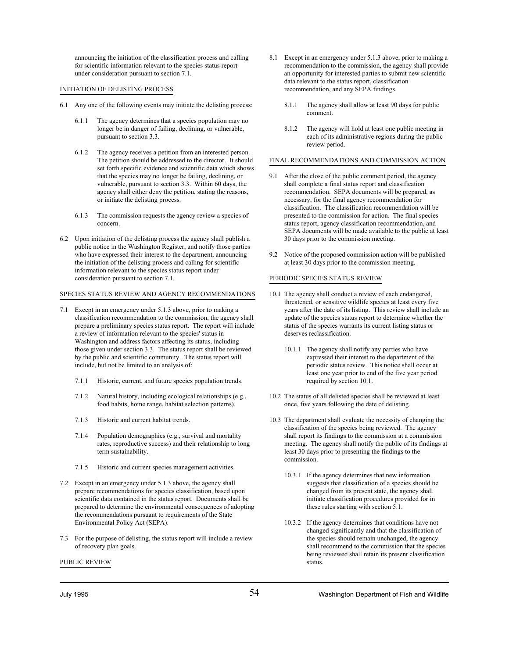- 6.1 Any one of the following events may initiate the delisting process: 8.1.1 The agency shall allow at least 90 days for public
	- 6.1.1 The agency determines that a species population may no
	- 6.1.2 The agency receives a petition from an interested person. set forth specific evidence and scientific data which shows vulnerable, pursuant to section 3.3. Within 60 days, the shall complete a final status report and classification agency shall either deny the petition, stating the reasons, recommendation. SEPA documents will be prepared or initiate the delisting process. necessary, for the final agency recommendation for
	- 6.1.3 The commission requests the agency review a species of presented to the commission for action. The final species
- 6.2 Upon initiation of the delisting process the agency shall publish a 30 days prior to the commission meeting. public notice in the Washington Register, and notify those parties who have expressed their interest to the department, announcing 9.2 Notice of the proposed commission action will be published the initiation of the delisting process and calling for scientific at least 30 days prior to the commission meeting. information relevant to the species status report under consideration pursuant to section 7.1. PERIODIC SPECIES STATUS REVIEW

#### SPECIES STATUS REVIEW AND AGENCY RECOMMENDATIONS 10.1 The agency shall conduct a review of each endangered,

- 7.1 Except in an emergency under 5.1.3 above, prior to making a years after the date of its listing. This review shall include an classification recommendation to the commission, the agency shall update of the species status report to determine whether the prepare a preliminary species status report. The report will include a review of information relevant to the species' status in deserves reclassification. Washington and address factors affecting its status, including those given under section 3.3. The status report shall be reviewed 10.1.1 The agency shall notify any parties who have by the public and scientific community. The status report will expressed their interest to the department of the include, but not be limited to an analysis of:<br>
periodic status review. This notice shall occur a
	- 7.1.1 Historic, current, and future species population trends. required by section 10.1.
	- 7.1.2 Natural history, including ecological relationships (e.g., 10.2 The status of all delisted species shall be reviewed at least food habits, home range, habitat selection patterns). once, five years following the date of delisting.
	-
	- 7.1.4 Population demographics (e.g., survival and mortality shall report its findings to the commission at a commission term sustainability. least 30 days prior to presenting the findings to the
	- 7.1.5 Historic and current species management activities.
- 7.2 Except in an emergency under 5.1.3 above, the agency shall suggests that classification of a species should be prepare recommendations for species classification, based upon changed from its present state, the agency shall scientific data contained in the status report. Documents shall be initiate classification procedures provided for in prepared to determine the environmental consequences of adopting these rules starting with section 5.1. the recommendations pursuant to requirements of the State Environmental Policy Act (SEPA). 10.3.2 If the agency determines that conditions have not
- 7.3 For the purpose of delisting, the status report will include a review the species should remain unchanged, the agency of recovery plan goals. shall recommend to the commission that the species

#### PUBLIC REVIEW status.

- announcing the initiation of the classification process and calling 8.1 Except in an emergency under 5.1.3 above, prior to making a for scientific information relevant to the species status report recommendation to the commission, the agency shall provide under consideration pursuant to section 7.1. and opportunity for interested parties to submit new scientific INITIATION OF DELISTING PROCESS recommendation, and any SEPA findings. data relevant to the status report, classification
	- comment.
	- longer be in danger of failing, declining, or vulnerable, 8.1.2 The agency will hold at least one public meeting in pursuant to section 3.3. each of its administrative regions during the public each of its administrative regions during the public review period.

#### FINAL RECOMMENDATIONS AND COMMISSION ACTION

- that the species may no longer be failing, declining, or 9.1 After the close of the public comment period, the agency recommendation. SEPA documents will be prepared, as concern. status report, agency classification recommendation, and classification. The classification recommendation will be SEPA documents will be made available to the public at least
	-

- threatened, or sensitive wildlife species at least every five
	- periodic status review. This notice shall occur at least one year prior to end of the five year period
- 
- 7.1.3 Historic and current habitat trends. 10.3 The department shall evaluate the necessity of changing the rates, reproductive success) and their relationship to long meeting. The agency shall notify the public of its findings at classification of the species being reviewed. The agency commission.
	- 10.3.1 If the agency determines that new information
	- changed significantly and that the classification of being reviewed shall retain its present classification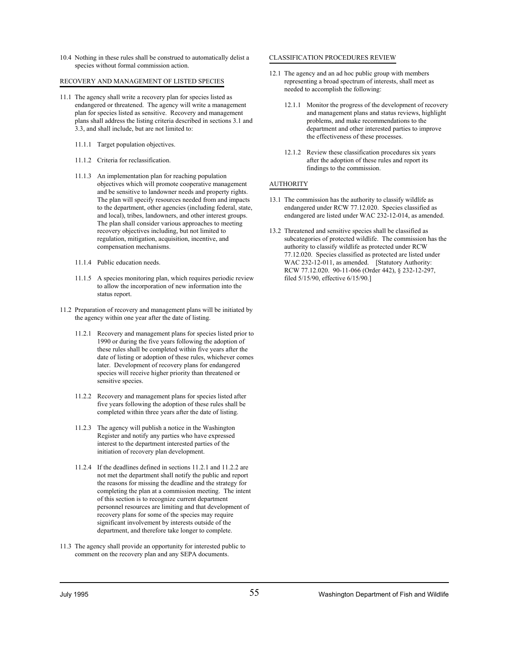10.4 Nothing in these rules shall be construed to automatically delist a CLASSIFICATION PROCEDURES REVIEW species without formal commission action.

- 11.1 The agency shall write a recovery plan for species listed as endangered or threatened. The agency will write a management 12.1.1 Monitor the progress of the development of recovery plan for species listed as sensitive. Recovery and management and management plans and status reviews, highlight plans shall address the listing criteria described in sections 3.1 and management plans shall address the lis plans shall address the listing criteria described in sections 3.1 and 3.3, and shall include, but are not limited to: department and other interested parties to improve
	- 11.1.1 Target population objectives.
	-
	- 11.1.3 An implementation plan for reaching population objectives which will promote cooperative management AUTHORITY and be sensitive to landowner needs and property rights. The plan shall consider various approaches to meeting recovery objectives including, but not limited to 13.2 Threatened and sensitive species shall be classified as
	-
	- 11.1.5 A species monitoring plan, which requires periodic review filed 5/15/90, effective 6/15/90.] to allow the incorporation of new information into the status report.
- 11.2 Preparation of recovery and management plans will be initiated by the agency within one year after the date of listing.
	- 11.2.1 Recovery and management plans for species listed prior to 1990 or during the five years following the adoption of these rules shall be completed within five years after the date of listing or adoption of these rules, whichever comes later. Development of recovery plans for endangered species will receive higher priority than threatened or sensitive species.
	- 11.2.2 Recovery and management plans for species listed after five years following the adoption of these rules shall be completed within three years after the date of listing.
	- 11.2.3 The agency will publish a notice in the Washington Register and notify any parties who have expressed interest to the department interested parties of the initiation of recovery plan development.
	- 11.2.4 If the deadlines defined in sections 11.2.1 and 11.2.2 are not met the department shall notify the public and report the reasons for missing the deadline and the strategy for completing the plan at a commission meeting. The intent of this section is to recognize current department personnel resources are limiting and that development of recovery plans for some of the species may require significant involvement by interests outside of the department, and therefore take longer to complete.
- 11.3 The agency shall provide an opportunity for interested public to comment on the recovery plan and any SEPA documents.

- RECOVERY AND MANAGEMENT OF LISTED SPECIES representing a broad spectrum of interests, shall meet as 12.1 The agency and an ad hoc public group with members needed to accomplish the following:
	- the effectiveness of these processes.
	- 11.1.2 Criteria for reclassification. The adoption of these rules and report its and report its 12.1.2 Review these classification procedures six years findings to the commission.

- The plan will specify resources needed from and impacts 13.1 The commission has the authority to classify wildlife as to the department, other agencies (including federal, state, endangered under RCW 77.12.020. Species classified as and local), tribes, landowners, and other interest groups. endangered are listed under WAC 232-12-014, as amended.
- regulation, mitigation, acquisition, incentive, and subcategories of protected wildlife. The commission has the compensation mechanisms. authority to classify wildlife as protected under RCW 11.1.4 Public education needs. WAC 232-12-011, as amended. [Statutory Authority: 77.12.020. Species classified as protected are listed under RCW 77.12.020. 90-11-066 (Order 442), § 232-12-297,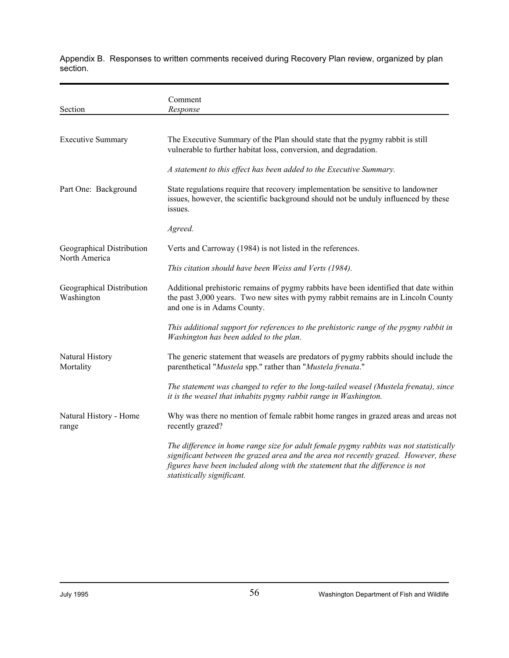Appendix B. Responses to written comments received during Recovery Plan review, organized by plan section.

| Section                                 | Comment<br>Response                                                                                                                                                                                                                                                                            |  |  |
|-----------------------------------------|------------------------------------------------------------------------------------------------------------------------------------------------------------------------------------------------------------------------------------------------------------------------------------------------|--|--|
| <b>Executive Summary</b>                | The Executive Summary of the Plan should state that the pygmy rabbit is still<br>vulnerable to further habitat loss, conversion, and degradation.                                                                                                                                              |  |  |
|                                         | A statement to this effect has been added to the Executive Summary.                                                                                                                                                                                                                            |  |  |
| Part One: Background                    | State regulations require that recovery implementation be sensitive to landowner<br>issues, however, the scientific background should not be unduly influenced by these<br>issues.                                                                                                             |  |  |
|                                         | Agreed.                                                                                                                                                                                                                                                                                        |  |  |
| Geographical Distribution               | Verts and Carroway (1984) is not listed in the references.                                                                                                                                                                                                                                     |  |  |
| North America                           | This citation should have been Weiss and Verts (1984).                                                                                                                                                                                                                                         |  |  |
| Geographical Distribution<br>Washington | Additional prehistoric remains of pygmy rabbits have been identified that date within<br>the past 3,000 years. Two new sites with pymy rabbit remains are in Lincoln County<br>and one is in Adams County.                                                                                     |  |  |
|                                         | This additional support for references to the prehistoric range of the pygmy rabbit in<br>Washington has been added to the plan.                                                                                                                                                               |  |  |
| Natural History<br>Mortality            | The generic statement that weasels are predators of pygmy rabbits should include the<br>parenthetical "Mustela spp." rather than "Mustela frenata."                                                                                                                                            |  |  |
|                                         | The statement was changed to refer to the long-tailed weasel (Mustela frenata), since<br>it is the weasel that inhabits pygmy rabbit range in Washington.                                                                                                                                      |  |  |
| Natural History - Home<br>range         | Why was there no mention of female rabbit home ranges in grazed areas and areas not<br>recently grazed?                                                                                                                                                                                        |  |  |
|                                         | The difference in home range size for adult female pygmy rabbits was not statistically<br>significant between the grazed area and the area not recently grazed. However, these<br>figures have been included along with the statement that the difference is not<br>statistically significant. |  |  |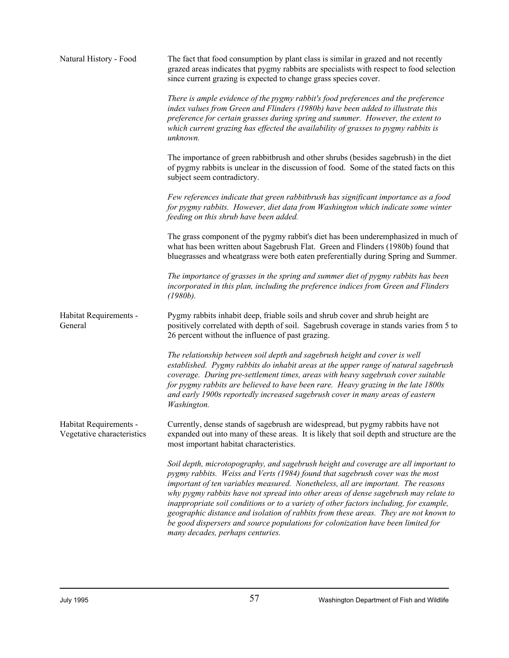| Natural History - Food                               | The fact that food consumption by plant class is similar in grazed and not recently<br>grazed areas indicates that pygmy rabbits are specialists with respect to food selection<br>since current grazing is expected to change grass species cover.                                                                                                                                                                                                                                                                                                                                                                                                       |  |  |  |  |  |
|------------------------------------------------------|-----------------------------------------------------------------------------------------------------------------------------------------------------------------------------------------------------------------------------------------------------------------------------------------------------------------------------------------------------------------------------------------------------------------------------------------------------------------------------------------------------------------------------------------------------------------------------------------------------------------------------------------------------------|--|--|--|--|--|
|                                                      | There is ample evidence of the pygmy rabbit's food preferences and the preference<br>index values from Green and Flinders (1980b) have been added to illustrate this<br>preference for certain grasses during spring and summer. However, the extent to<br>which current grazing has effected the availability of grasses to pygmy rabbits is<br>unknown.                                                                                                                                                                                                                                                                                                 |  |  |  |  |  |
|                                                      | The importance of green rabbitbrush and other shrubs (besides sagebrush) in the diet<br>of pygmy rabbits is unclear in the discussion of food. Some of the stated facts on this<br>subject seem contradictory.                                                                                                                                                                                                                                                                                                                                                                                                                                            |  |  |  |  |  |
|                                                      | Few references indicate that green rabbitbrush has significant importance as a food<br>for pygmy rabbits. However, diet data from Washington which indicate some winter<br>feeding on this shrub have been added.                                                                                                                                                                                                                                                                                                                                                                                                                                         |  |  |  |  |  |
|                                                      | The grass component of the pygmy rabbit's diet has been underemphasized in much of<br>what has been written about Sagebrush Flat. Green and Flinders (1980b) found that<br>bluegrasses and wheatgrass were both eaten preferentially during Spring and Summer.                                                                                                                                                                                                                                                                                                                                                                                            |  |  |  |  |  |
|                                                      | The importance of grasses in the spring and summer diet of pygmy rabbits has been<br>incorporated in this plan, including the preference indices from Green and Flinders<br>(1980b).                                                                                                                                                                                                                                                                                                                                                                                                                                                                      |  |  |  |  |  |
| Habitat Requirements -<br>General                    | Pygmy rabbits inhabit deep, friable soils and shrub cover and shrub height are<br>positively correlated with depth of soil. Sagebrush coverage in stands varies from 5 to<br>26 percent without the influence of past grazing.                                                                                                                                                                                                                                                                                                                                                                                                                            |  |  |  |  |  |
|                                                      | The relationship between soil depth and sagebrush height and cover is well<br>established. Pygmy rabbits do inhabit areas at the upper range of natural sagebrush<br>coverage. During pre-settlement times, areas with heavy sagebrush cover suitable<br>for pygmy rabbits are believed to have been rare. Heavy grazing in the late 1800s<br>and early 1900s reportedly increased sagebrush cover in many areas of eastern<br>Washington.                                                                                                                                                                                                                |  |  |  |  |  |
| Habitat Requirements -<br>Vegetative characteristics | Currently, dense stands of sagebrush are widespread, but pygmy rabbits have not<br>expanded out into many of these areas. It is likely that soil depth and structure are the<br>most important habitat characteristics.                                                                                                                                                                                                                                                                                                                                                                                                                                   |  |  |  |  |  |
|                                                      | Soil depth, microtopography, and sagebrush height and coverage are all important to<br>pygmy rabbits. Weiss and Verts (1984) found that sagebrush cover was the most<br>important of ten variables measured. Nonetheless, all are important. The reasons<br>why pygmy rabbits have not spread into other areas of dense sagebrush may relate to<br>inappropriate soil conditions or to a variety of other factors including, for example,<br>geographic distance and isolation of rabbits from these areas. They are not known to<br>be good dispersers and source populations for colonization have been limited for<br>many decades, perhaps centuries. |  |  |  |  |  |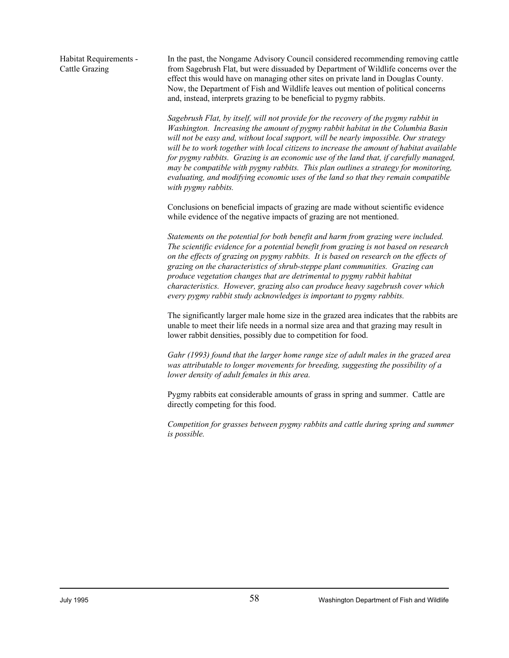Habitat Requirements - In the past, the Nongame Advisory Council considered recommending removing cattle Cattle Grazing from Sagebrush Flat, but were dissuaded by Department of Wildlife concerns over the effect this would have on managing other sites on private land in Douglas County. Now, the Department of Fish and Wildlife leaves out mention of political concerns and, instead, interprets grazing to be beneficial to pygmy rabbits.

> *Sagebrush Flat, by itself, will not provide for the recovery of the pygmy rabbit in Washington. Increasing the amount of pygmy rabbit habitat in the Columbia Basin will not be easy and, without local support, will be nearly impossible. Our strategy will be to work together with local citizens to increase the amount of habitat available for pygmy rabbits. Grazing is an economic use of the land that, if carefully managed, may be compatible with pygmy rabbits. This plan outlines a strategy for monitoring, evaluating, and modifying economic uses of the land so that they remain compatible with pygmy rabbits.*

Conclusions on beneficial impacts of grazing are made without scientific evidence while evidence of the negative impacts of grazing are not mentioned.

*Statements on the potential for both benefit and harm from grazing were included. The scientific evidence for a potential benefit from grazing is not based on research on the effects of grazing on pygmy rabbits. It is based on research on the effects of grazing on the characteristics of shrub-steppe plant communities. Grazing can produce vegetation changes that are detrimental to pygmy rabbit habitat characteristics. However, grazing also can produce heavy sagebrush cover which every pygmy rabbit study acknowledges is important to pygmy rabbits.*

The significantly larger male home size in the grazed area indicates that the rabbits are unable to meet their life needs in a normal size area and that grazing may result in lower rabbit densities, possibly due to competition for food.

*Gahr (1993) found that the larger home range size of adult males in the grazed area was attributable to longer movements for breeding, suggesting the possibility of a lower density of adult females in this area.*

Pygmy rabbits eat considerable amounts of grass in spring and summer. Cattle are directly competing for this food.

*Competition for grasses between pygmy rabbits and cattle during spring and summer is possible.*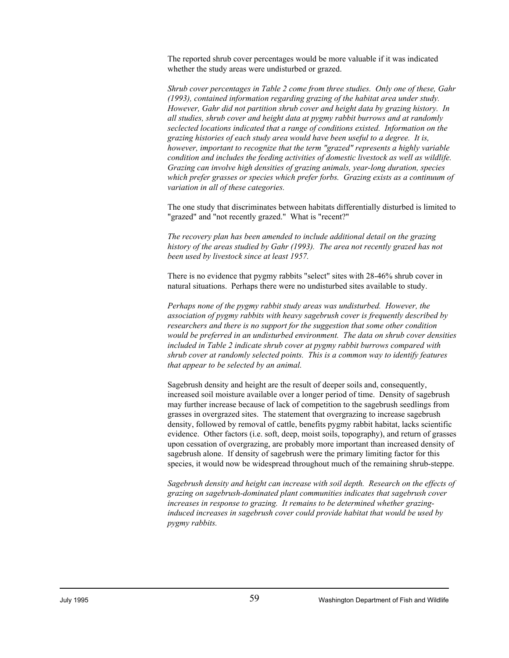The reported shrub cover percentages would be more valuable if it was indicated whether the study areas were undisturbed or grazed.

*Shrub cover percentages in Table 2 come from three studies. Only one of these, Gahr (1993), contained information regarding grazing of the habitat area under study. However, Gahr did not partition shrub cover and height data by grazing history. In all studies, shrub cover and height data at pygmy rabbit burrows and at randomly seclected locations indicated that a range of conditions existed. Information on the grazing histories of each study area would have been useful to a degree. It is, however, important to recognize that the term "grazed" represents a highly variable condition and includes the feeding activities of domestic livestock as well as wildlife. Grazing can involve high densities of grazing animals, year-long duration, species which prefer grasses or species which prefer forbs. Grazing exists as a continuum of variation in all of these categories.*

The one study that discriminates between habitats differentially disturbed is limited to "grazed" and "not recently grazed." What is "recent?"

*The recovery plan has been amended to include additional detail on the grazing history of the areas studied by Gahr (1993). The area not recently grazed has not been used by livestock since at least 1957.*

There is no evidence that pygmy rabbits "select" sites with 28-46% shrub cover in natural situations. Perhaps there were no undisturbed sites available to study.

*Perhaps none of the pygmy rabbit study areas was undisturbed. However, the association of pygmy rabbits with heavy sagebrush cover is frequently described by researchers and there is no support for the suggestion that some other condition would be preferred in an undisturbed environment. The data on shrub cover densities included in Table 2 indicate shrub cover at pygmy rabbit burrows compared with shrub cover at randomly selected points. This is a common way to identify features that appear to be selected by an animal.* 

 Sagebrush density and height are the result of deeper soils and, consequently, increased soil moisture available over a longer period of time. Density of sagebrush may further increase because of lack of competition to the sagebrush seedlings from grasses in overgrazed sites. The statement that overgrazing to increase sagebrush density, followed by removal of cattle, benefits pygmy rabbit habitat, lacks scientific evidence. Other factors (i.e. soft, deep, moist soils, topography), and return of grasses upon cessation of overgrazing, are probably more important than increased density of sagebrush alone. If density of sagebrush were the primary limiting factor for this species, it would now be widespread throughout much of the remaining shrub-steppe.

*Sagebrush density and height can increase with soil depth. Research on the effects of grazing on sagebrush-dominated plant communities indicates that sagebrush cover increases in response to grazing. It remains to be determined whether grazinginduced increases in sagebrush cover could provide habitat that would be used by pygmy rabbits.*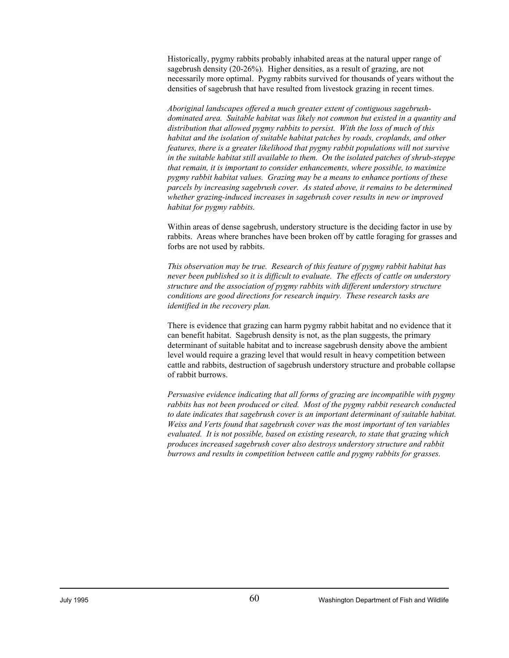Historically, pygmy rabbits probably inhabited areas at the natural upper range of sagebrush density (20-26%). Higher densities, as a result of grazing, are not necessarily more optimal. Pygmy rabbits survived for thousands of years without the densities of sagebrush that have resulted from livestock grazing in recent times.

*Aboriginal landscapes offered a much greater extent of contiguous sagebrushdominated area. Suitable habitat was likely not common but existed in a quantity and distribution that allowed pygmy rabbits to persist. With the loss of much of this habitat and the isolation of suitable habitat patches by roads, croplands, and other features, there is a greater likelihood that pygmy rabbit populations will not survive in the suitable habitat still available to them. On the isolated patches of shrub-steppe that remain, it is important to consider enhancements, where possible, to maximize pygmy rabbit habitat values. Grazing may be a means to enhance portions of these parcels by increasing sagebrush cover. As stated above, it remains to be determined whether grazing-induced increases in sagebrush cover results in new or improved habitat for pygmy rabbits.* 

Within areas of dense sagebrush, understory structure is the deciding factor in use by rabbits. Areas where branches have been broken off by cattle foraging for grasses and forbs are not used by rabbits.

*This observation may be true. Research of this feature of pygmy rabbit habitat has never been published so it is difficult to evaluate. The effects of cattle on understory structure and the association of pygmy rabbits with different understory structure conditions are good directions for research inquiry. These research tasks are identified in the recovery plan.*

There is evidence that grazing can harm pygmy rabbit habitat and no evidence that it can benefit habitat. Sagebrush density is not, as the plan suggests, the primary determinant of suitable habitat and to increase sagebrush density above the ambient level would require a grazing level that would result in heavy competition between cattle and rabbits, destruction of sagebrush understory structure and probable collapse of rabbit burrows.

*Persuasive evidence indicating that all forms of grazing are incompatible with pygmy rabbits has not been produced or cited. Most of the pygmy rabbit research conducted to date indicates that sagebrush cover is an important determinant of suitable habitat. Weiss and Verts found that sagebrush cover was the most important of ten variables evaluated. It is not possible, based on existing research, to state that grazing which produces increased sagebrush cover also destroys understory structure and rabbit burrows and results in competition between cattle and pygmy rabbits for grasses.*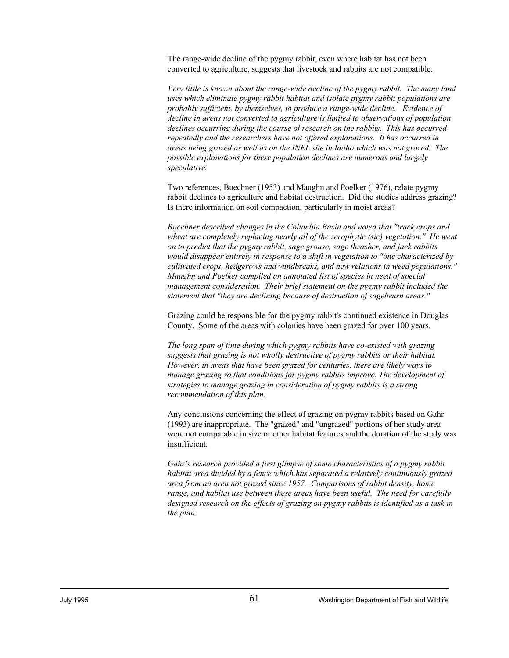The range-wide decline of the pygmy rabbit, even where habitat has not been converted to agriculture, suggests that livestock and rabbits are not compatible.

*Very little is known about the range-wide decline of the pygmy rabbit. The many land uses which eliminate pygmy rabbit habitat and isolate pygmy rabbit populations are probably sufficient, by themselves, to produce a range-wide decline. Evidence of decline in areas not converted to agriculture is limited to observations of population declines occurring during the course of research on the rabbits. This has occurred repeatedly and the researchers have not offered explanations. It has occurred in areas being grazed as well as on the INEL site in Idaho which was not grazed. The possible explanations for these population declines are numerous and largely speculative.*

Two references, Buechner (1953) and Maughn and Poelker (1976), relate pygmy rabbit declines to agriculture and habitat destruction. Did the studies address grazing? Is there information on soil compaction, particularly in moist areas?

*Buechner described changes in the Columbia Basin and noted that "truck crops and wheat are completely replacing nearly all of the zerophytic (sic) vegetation." He went on to predict that the pygmy rabbit, sage grouse, sage thrasher, and jack rabbits would disappear entirely in response to a shift in vegetation to "one characterized by cultivated crops, hedgerows and windbreaks, and new relations in weed populations." Maughn and Poelker compiled an annotated list of species in need of special management consideration. Their brief statement on the pygmy rabbit included the statement that "they are declining because of destruction of sagebrush areas."* 

Grazing could be responsible for the pygmy rabbit's continued existence in Douglas County. Some of the areas with colonies have been grazed for over 100 years.

*The long span of time during which pygmy rabbits have co-existed with grazing suggests that grazing is not wholly destructive of pygmy rabbits or their habitat. However, in areas that have been grazed for centuries, there are likely ways to manage grazing so that conditions for pygmy rabbits improve. The development of strategies to manage grazing in consideration of pygmy rabbits is a strong recommendation of this plan.*

Any conclusions concerning the effect of grazing on pygmy rabbits based on Gahr (1993) are inappropriate. The "grazed" and "ungrazed" portions of her study area were not comparable in size or other habitat features and the duration of the study was insufficient.

*Gahr's research provided a first glimpse of some characteristics of a pygmy rabbit habitat area divided by a fence which has separated a relatively continuously grazed area from an area not grazed since 1957. Comparisons of rabbit density, home range, and habitat use between these areas have been useful. The need for carefully designed research on the effects of grazing on pygmy rabbits is identified as a task in the plan.*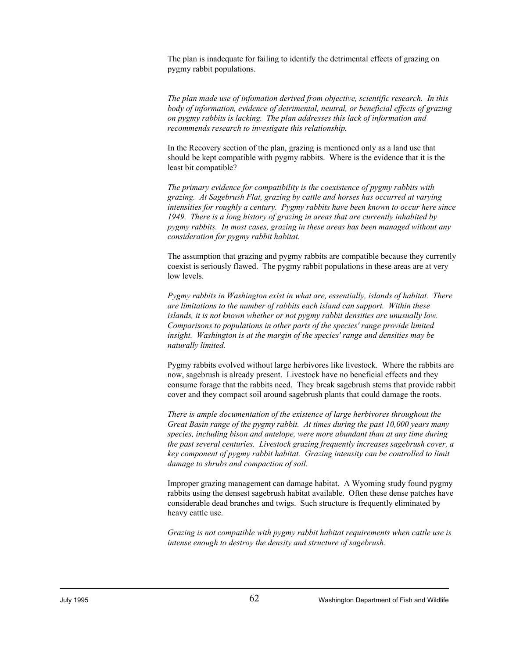The plan is inadequate for failing to identify the detrimental effects of grazing on pygmy rabbit populations.

*The plan made use of infomation derived from objective, scientific research. In this body of information, evidence of detrimental, neutral, or beneficial effects of grazing on pygmy rabbits is lacking. The plan addresses this lack of information and recommends research to investigate this relationship.*

In the Recovery section of the plan, grazing is mentioned only as a land use that should be kept compatible with pygmy rabbits. Where is the evidence that it is the least bit compatible?

*The primary evidence for compatibility is the coexistence of pygmy rabbits with grazing. At Sagebrush Flat, grazing by cattle and horses has occurred at varying intensities for roughly a century. Pygmy rabbits have been known to occur here since 1949. There is a long history of grazing in areas that are currently inhabited by pygmy rabbits. In most cases, grazing in these areas has been managed without any consideration for pygmy rabbit habitat.* 

The assumption that grazing and pygmy rabbits are compatible because they currently coexist is seriously flawed. The pygmy rabbit populations in these areas are at very low levels.

*Pygmy rabbits in Washington exist in what are, essentially, islands of habitat. There are limitations to the number of rabbits each island can support. Within these islands, it is not known whether or not pygmy rabbit densities are unusually low. Comparisons to populations in other parts of the species' range provide limited insight. Washington is at the margin of the species' range and densities may be naturally limited.* 

Pygmy rabbits evolved without large herbivores like livestock. Where the rabbits are now, sagebrush is already present. Livestock have no beneficial effects and they consume forage that the rabbits need. They break sagebrush stems that provide rabbit cover and they compact soil around sagebrush plants that could damage the roots.

*There is ample documentation of the existence of large herbivores throughout the Great Basin range of the pygmy rabbit. At times during the past 10,000 years many species, including bison and antelope, were more abundant than at any time during the past several centuries. Livestock grazing frequently increases sagebrush cover, a key component of pygmy rabbit habitat. Grazing intensity can be controlled to limit damage to shrubs and compaction of soil.*

Improper grazing management can damage habitat. A Wyoming study found pygmy rabbits using the densest sagebrush habitat available. Often these dense patches have considerable dead branches and twigs. Such structure is frequently eliminated by heavy cattle use.

*Grazing is not compatible with pygmy rabbit habitat requirements when cattle use is intense enough to destroy the density and structure of sagebrush.*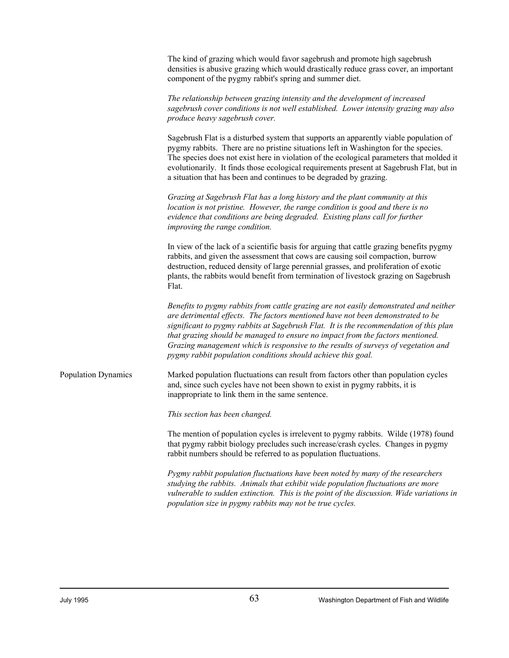| The kind of grazing which would favor sagebrush and promote high sagebrush            |
|---------------------------------------------------------------------------------------|
| densities is abusive grazing which would drastically reduce grass cover, an important |
| component of the pygmy rabbit's spring and summer diet.                               |

*The relationship between grazing intensity and the development of increased sagebrush cover conditions is not well established. Lower intensity grazing may also produce heavy sagebrush cover.*

Sagebrush Flat is a disturbed system that supports an apparently viable population of pygmy rabbits. There are no pristine situations left in Washington for the species. The species does not exist here in violation of the ecological parameters that molded it evolutionarily. It finds those ecological requirements present at Sagebrush Flat, but in a situation that has been and continues to be degraded by grazing.

*Grazing at Sagebrush Flat has a long history and the plant community at this location is not pristine. However, the range condition is good and there is no evidence that conditions are being degraded. Existing plans call for further improving the range condition.* 

In view of the lack of a scientific basis for arguing that cattle grazing benefits pygmy rabbits, and given the assessment that cows are causing soil compaction, burrow destruction, reduced density of large perennial grasses, and proliferation of exotic plants, the rabbits would benefit from termination of livestock grazing on Sagebrush Flat.

*Benefits to pygmy rabbits from cattle grazing are not easily demonstrated and neither are detrimental effects. The factors mentioned have not been demonstrated to be significant to pygmy rabbits at Sagebrush Flat. It is the recommendation of this plan that grazing should be managed to ensure no impact from the factors mentioned. Grazing management which is responsive to the results of surveys of vegetation and pygmy rabbit population conditions should achieve this goal.*

Population Dynamics Marked population fluctuations can result from factors other than population cycles and, since such cycles have not been shown to exist in pygmy rabbits, it is inappropriate to link them in the same sentence.

*This section has been changed.*

The mention of population cycles is irrelevent to pygmy rabbits. Wilde (1978) found that pygmy rabbit biology precludes such increase/crash cycles. Changes in pygmy rabbit numbers should be referred to as population fluctuations.

*Pygmy rabbit population fluctuations have been noted by many of the researchers studying the rabbits. Animals that exhibit wide population fluctuations are more vulnerable to sudden extinction. This is the point of the discussion. Wide variations in population size in pygmy rabbits may not be true cycles.*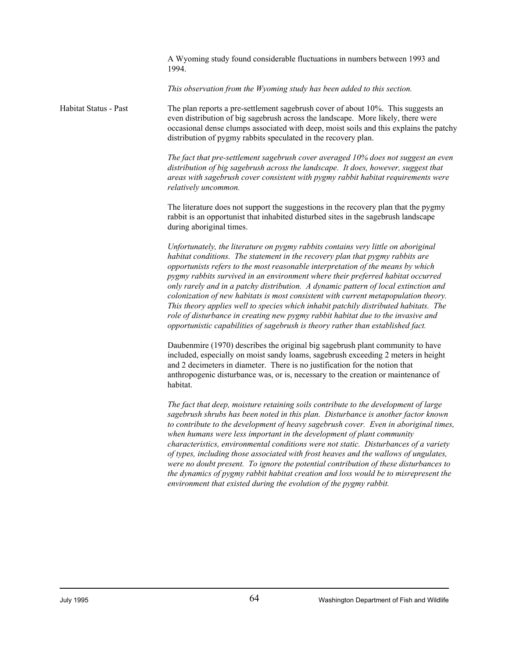A Wyoming study found considerable fluctuations in numbers between 1993 and 1994.

*This observation from the Wyoming study has been added to this section.*

Habitat Status - Past The plan reports a pre-settlement sagebrush cover of about 10%. This suggests an even distribution of big sagebrush across the landscape. More likely, there were occasional dense clumps associated with deep, moist soils and this explains the patchy distribution of pygmy rabbits speculated in the recovery plan.

> *The fact that pre-settlement sagebrush cover averaged 10% does not suggest an even distribution of big sagebrush across the landscape. It does, however, suggest that areas with sagebrush cover consistent with pygmy rabbit habitat requirements were relatively uncommon.*

The literature does not support the suggestions in the recovery plan that the pygmy rabbit is an opportunist that inhabited disturbed sites in the sagebrush landscape during aboriginal times.

*Unfortunately, the literature on pygmy rabbits contains very little on aboriginal habitat conditions. The statement in the recovery plan that pygmy rabbits are opportunists refers to the most reasonable interpretation of the means by which pygmy rabbits survived in an environment where their preferred habitat occurred only rarely and in a patchy distribution. A dynamic pattern of local extinction and colonization of new habitats is most consistent with current metapopulation theory. This theory applies well to species which inhabit patchily distributed habitats. The role of disturbance in creating new pygmy rabbit habitat due to the invasive and opportunistic capabilities of sagebrush is theory rather than established fact.*

Daubenmire (1970) describes the original big sagebrush plant community to have included, especially on moist sandy loams, sagebrush exceeding 2 meters in height and 2 decimeters in diameter. There is no justification for the notion that anthropogenic disturbance was, or is, necessary to the creation or maintenance of habitat.

*The fact that deep, moisture retaining soils contribute to the development of large sagebrush shrubs has been noted in this plan. Disturbance is another factor known to contribute to the development of heavy sagebrush cover. Even in aboriginal times, when humans were less important in the development of plant community characteristics, environmental conditions were not static. Disturbances of a variety of types, including those associated with frost heaves and the wallows of ungulates, were no doubt present. To ignore the potential contribution of these disturbances to the dynamics of pygmy rabbit habitat creation and loss would be to misrepresent the environment that existed during the evolution of the pygmy rabbit.*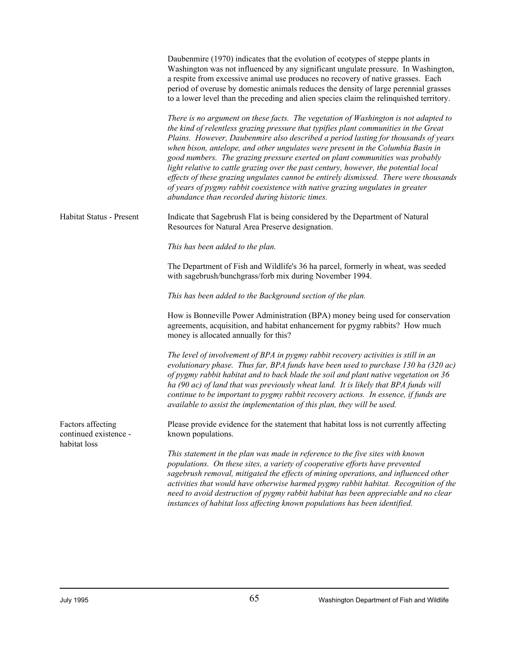|                                                            | Daubenmire (1970) indicates that the evolution of ecotypes of steppe plants in<br>Washington was not influenced by any significant ungulate pressure. In Washington,<br>a respite from excessive animal use produces no recovery of native grasses. Each<br>period of overuse by domestic animals reduces the density of large perennial grasses<br>to a lower level than the preceding and alien species claim the relinquished territory.                                                                                                                                                                                                                                                                                                              |
|------------------------------------------------------------|----------------------------------------------------------------------------------------------------------------------------------------------------------------------------------------------------------------------------------------------------------------------------------------------------------------------------------------------------------------------------------------------------------------------------------------------------------------------------------------------------------------------------------------------------------------------------------------------------------------------------------------------------------------------------------------------------------------------------------------------------------|
|                                                            | There is no argument on these facts. The vegetation of Washington is not adapted to<br>the kind of relentless grazing pressure that typifies plant communities in the Great<br>Plains. However, Daubenmire also described a period lasting for thousands of years<br>when bison, antelope, and other ungulates were present in the Columbia Basin in<br>good numbers. The grazing pressure exerted on plant communities was probably<br>light relative to cattle grazing over the past century, however, the potential local<br>effects of these grazing ungulates cannot be entirely dismissed. There were thousands<br>of years of pygmy rabbit coexistence with native grazing ungulates in greater<br>abundance than recorded during historic times. |
| Habitat Status - Present                                   | Indicate that Sagebrush Flat is being considered by the Department of Natural<br>Resources for Natural Area Preserve designation.                                                                                                                                                                                                                                                                                                                                                                                                                                                                                                                                                                                                                        |
|                                                            | This has been added to the plan.                                                                                                                                                                                                                                                                                                                                                                                                                                                                                                                                                                                                                                                                                                                         |
|                                                            | The Department of Fish and Wildlife's 36 ha parcel, formerly in wheat, was seeded<br>with sagebrush/bunchgrass/forb mix during November 1994.                                                                                                                                                                                                                                                                                                                                                                                                                                                                                                                                                                                                            |
|                                                            | This has been added to the Background section of the plan.                                                                                                                                                                                                                                                                                                                                                                                                                                                                                                                                                                                                                                                                                               |
|                                                            | How is Bonneville Power Administration (BPA) money being used for conservation<br>agreements, acquisition, and habitat enhancement for pygmy rabbits? How much<br>money is allocated annually for this?                                                                                                                                                                                                                                                                                                                                                                                                                                                                                                                                                  |
|                                                            | The level of involvement of BPA in pygmy rabbit recovery activities is still in an<br>evolutionary phase. Thus far, BPA funds have been used to purchase 130 ha (320 ac)<br>of pygmy rabbit habitat and to back blade the soil and plant native vegetation on 36<br>ha (90 ac) of land that was previously wheat land. It is likely that BPA funds will<br>continue to be important to pygmy rabbit recovery actions. In essence, if funds are<br>available to assist the implementation of this plan, they will be used.                                                                                                                                                                                                                                |
| Factors affecting<br>continued existence -<br>habitat loss | Please provide evidence for the statement that habitat loss is not currently affecting<br>known populations.                                                                                                                                                                                                                                                                                                                                                                                                                                                                                                                                                                                                                                             |
|                                                            | This statement in the plan was made in reference to the five sites with known<br>populations. On these sites, a variety of cooperative efforts have prevented<br>sagebrush removal, mitigated the effects of mining operations, and influenced other<br>activities that would have otherwise harmed pygmy rabbit habitat. Recognition of the<br>need to avoid destruction of pygmy rabbit habitat has been appreciable and no clear<br>instances of habitat loss affecting known populations has been identified.                                                                                                                                                                                                                                        |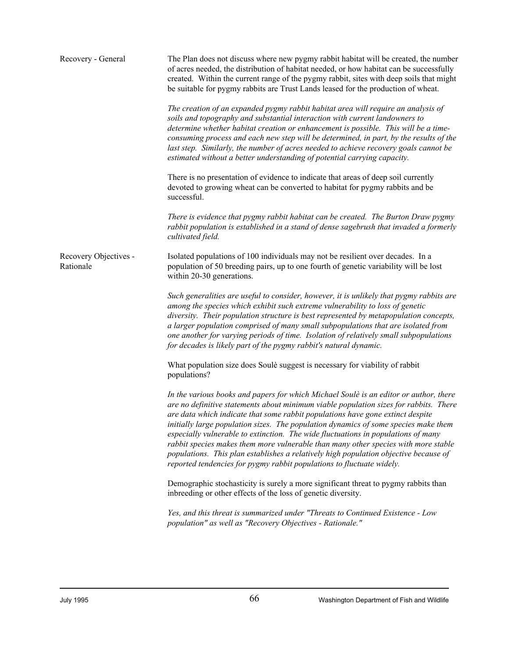| Recovery - General                 | The Plan does not discuss where new pygmy rabbit habitat will be created, the number<br>of acres needed, the distribution of habitat needed, or how habitat can be successfully<br>created. Within the current range of the pygmy rabbit, sites with deep soils that might<br>be suitable for pygmy rabbits are Trust Lands leased for the production of wheat.<br>The creation of an expanded pygmy rabbit habitat area will require an analysis of<br>soils and topography and substantial interaction with current landowners to<br>determine whether habitat creation or enhancement is possible. This will be a time-<br>consuming process and each new step will be determined, in part, by the results of the<br>last step. Similarly, the number of acres needed to achieve recovery goals cannot be<br>estimated without a better understanding of potential carrying capacity.<br>There is no presentation of evidence to indicate that areas of deep soil currently<br>devoted to growing wheat can be converted to habitat for pygmy rabbits and be<br>successful.<br>There is evidence that pygmy rabbit habitat can be created. The Burton Draw pygmy<br>rabbit population is established in a stand of dense sagebrush that invaded a formerly<br>cultivated field. |
|------------------------------------|------------------------------------------------------------------------------------------------------------------------------------------------------------------------------------------------------------------------------------------------------------------------------------------------------------------------------------------------------------------------------------------------------------------------------------------------------------------------------------------------------------------------------------------------------------------------------------------------------------------------------------------------------------------------------------------------------------------------------------------------------------------------------------------------------------------------------------------------------------------------------------------------------------------------------------------------------------------------------------------------------------------------------------------------------------------------------------------------------------------------------------------------------------------------------------------------------------------------------------------------------------------------------------|
| Recovery Objectives -<br>Rationale | Isolated populations of 100 individuals may not be resilient over decades. In a<br>population of 50 breeding pairs, up to one fourth of genetic variability will be lost<br>within 20-30 generations.                                                                                                                                                                                                                                                                                                                                                                                                                                                                                                                                                                                                                                                                                                                                                                                                                                                                                                                                                                                                                                                                              |
|                                    | Such generalities are useful to consider, however, it is unlikely that pygmy rabbits are<br>among the species which exhibit such extreme vulnerability to loss of genetic<br>diversity. Their population structure is best represented by metapopulation concepts,<br>a larger population comprised of many small subpopulations that are isolated from<br>one another for varying periods of time. Isolation of relatively small subpopulations<br>for decades is likely part of the pygmy rabbit's natural dynamic.                                                                                                                                                                                                                                                                                                                                                                                                                                                                                                                                                                                                                                                                                                                                                              |
|                                    | What population size does Soule suggest is necessary for viability of rabbit<br>populations?                                                                                                                                                                                                                                                                                                                                                                                                                                                                                                                                                                                                                                                                                                                                                                                                                                                                                                                                                                                                                                                                                                                                                                                       |
|                                    | In the various books and papers for which Michael Soulè is an editor or author, there<br>are no definitive statements about minimum viable population sizes for rabbits. There<br>are data which indicate that some rabbit populations have gone extinct despite<br>initially large population sizes. The population dynamics of some species make them<br>especially vulnerable to extinction. The wide fluctuations in populations of many<br>rabbit species makes them more vulnerable than many other species with more stable<br>populations. This plan establishes a relatively high population objective because of<br>reported tendencies for pygmy rabbit populations to fluctuate widely.                                                                                                                                                                                                                                                                                                                                                                                                                                                                                                                                                                                |
|                                    | Demographic stochasticity is surely a more significant threat to pygmy rabbits than<br>inbreeding or other effects of the loss of genetic diversity.                                                                                                                                                                                                                                                                                                                                                                                                                                                                                                                                                                                                                                                                                                                                                                                                                                                                                                                                                                                                                                                                                                                               |
|                                    | Yes, and this threat is summarized under "Threats to Continued Existence - Low<br>population" as well as "Recovery Objectives - Rationale."                                                                                                                                                                                                                                                                                                                                                                                                                                                                                                                                                                                                                                                                                                                                                                                                                                                                                                                                                                                                                                                                                                                                        |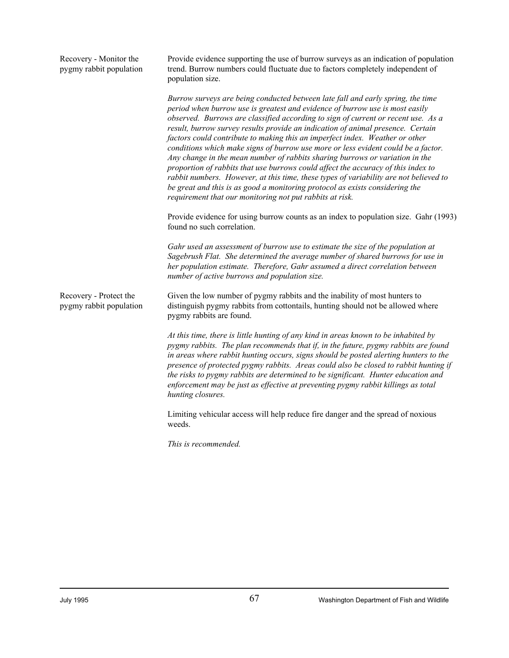| Recovery - Monitor the<br>pygmy rabbit population | Provide evidence supporting the use of burrow surveys as an indication of population<br>trend. Burrow numbers could fluctuate due to factors completely independent of<br>population size.                                                                                                                                                                                                                                                                                                                                                                                                                                                                                                                                                                                                                                                                                                                             |
|---------------------------------------------------|------------------------------------------------------------------------------------------------------------------------------------------------------------------------------------------------------------------------------------------------------------------------------------------------------------------------------------------------------------------------------------------------------------------------------------------------------------------------------------------------------------------------------------------------------------------------------------------------------------------------------------------------------------------------------------------------------------------------------------------------------------------------------------------------------------------------------------------------------------------------------------------------------------------------|
|                                                   | Burrow surveys are being conducted between late fall and early spring, the time<br>period when burrow use is greatest and evidence of burrow use is most easily<br>observed. Burrows are classified according to sign of current or recent use. As a<br>result, burrow survey results provide an indication of animal presence. Certain<br>factors could contribute to making this an imperfect index. Weather or other<br>conditions which make signs of burrow use more or less evident could be a factor.<br>Any change in the mean number of rabbits sharing burrows or variation in the<br>proportion of rabbits that use burrows could affect the accuracy of this index to<br>rabbit numbers. However, at this time, these types of variability are not believed to<br>be great and this is as good a monitoring protocol as exists considering the<br>requirement that our monitoring not put rabbits at risk. |
|                                                   | Provide evidence for using burrow counts as an index to population size. Gahr (1993)<br>found no such correlation.                                                                                                                                                                                                                                                                                                                                                                                                                                                                                                                                                                                                                                                                                                                                                                                                     |
|                                                   | Gahr used an assessment of burrow use to estimate the size of the population at<br>Sagebrush Flat. She determined the average number of shared burrows for use in<br>her population estimate. Therefore, Gahr assumed a direct correlation between<br>number of active burrows and population size.                                                                                                                                                                                                                                                                                                                                                                                                                                                                                                                                                                                                                    |
| Recovery - Protect the<br>pygmy rabbit population | Given the low number of pygmy rabbits and the inability of most hunters to<br>distinguish pygmy rabbits from cottontails, hunting should not be allowed where<br>pygmy rabbits are found.                                                                                                                                                                                                                                                                                                                                                                                                                                                                                                                                                                                                                                                                                                                              |
|                                                   | At this time, there is little hunting of any kind in areas known to be inhabited by<br>pygmy rabbits. The plan recommends that if, in the future, pygmy rabbits are found<br>in areas where rabbit hunting occurs, signs should be posted alerting hunters to the<br>presence of protected pygmy rabbits. Areas could also be closed to rabbit hunting if<br>the risks to pygmy rabbits are determined to be significant. Hunter education and<br>enforcement may be just as effective at preventing pygmy rabbit killings as total<br>hunting closures.                                                                                                                                                                                                                                                                                                                                                               |
|                                                   | Limiting vehicular access will help reduce fire danger and the spread of noxious<br>weeds.                                                                                                                                                                                                                                                                                                                                                                                                                                                                                                                                                                                                                                                                                                                                                                                                                             |
|                                                   | This is recommended.                                                                                                                                                                                                                                                                                                                                                                                                                                                                                                                                                                                                                                                                                                                                                                                                                                                                                                   |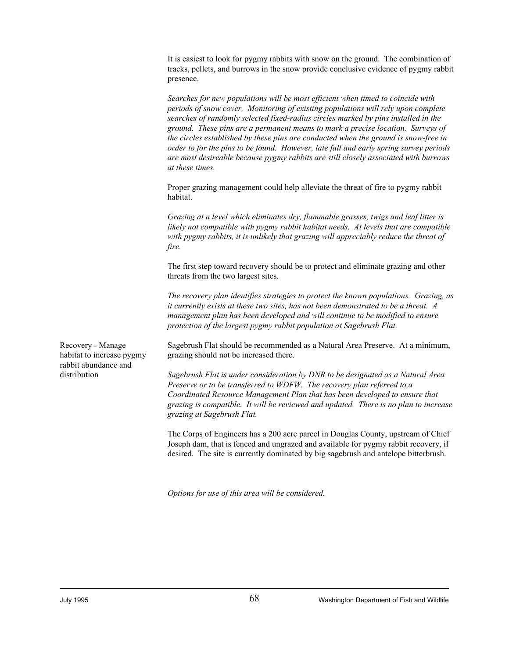It is easiest to look for pygmy rabbits with snow on the ground. The combination of tracks, pellets, and burrows in the snow provide conclusive evidence of pygmy rabbit presence.

*Searches for new populations will be most efficient when timed to coincide with periods of snow cover, Monitoring of existing populations will rely upon complete searches of randomly selected fixed-radius circles marked by pins installed in the ground. These pins are a permanent means to mark a precise location. Surveys of the circles established by these pins are conducted when the ground is snow-free in order to for the pins to be found. However, late fall and early spring survey periods are most desireable because pygmy rabbits are still closely associated with burrows at these times.*

Proper grazing management could help alleviate the threat of fire to pygmy rabbit habitat.

*Grazing at a level which eliminates dry, flammable grasses, twigs and leaf litter is likely not compatible with pygmy rabbit habitat needs. At levels that are compatible with pygmy rabbits, it is unlikely that grazing will appreciably reduce the threat of fire.*

The first step toward recovery should be to protect and eliminate grazing and other threats from the two largest sites.

*The recovery plan identifies strategies to protect the known populations. Grazing, as it currently exists at these two sites, has not been demonstrated to be a threat. A management plan has been developed and will continue to be modified to ensure protection of the largest pygmy rabbit population at Sagebrush Flat.*

Recovery - Manage Sagebrush Flat should be recommended as a Natural Area Preserve. At a minimum, habitat to increase pygmy grazing should not be increased there.

distribution *Sagebrush Flat is under consideration by DNR to be designated as a Natural Area Preserve or to be transferred to WDFW. The recovery plan referred to a Coordinated Resource Management Plan that has been developed to ensure that grazing is compatible. It will be reviewed and updated. There is no plan to increase grazing at Sagebrush Flat.*

> The Corps of Engineers has a 200 acre parcel in Douglas County, upstream of Chief Joseph dam, that is fenced and ungrazed and available for pygmy rabbit recovery, if desired. The site is currently dominated by big sagebrush and antelope bitterbrush.

*Options for use of this area will be considered.*

rabbit abundance and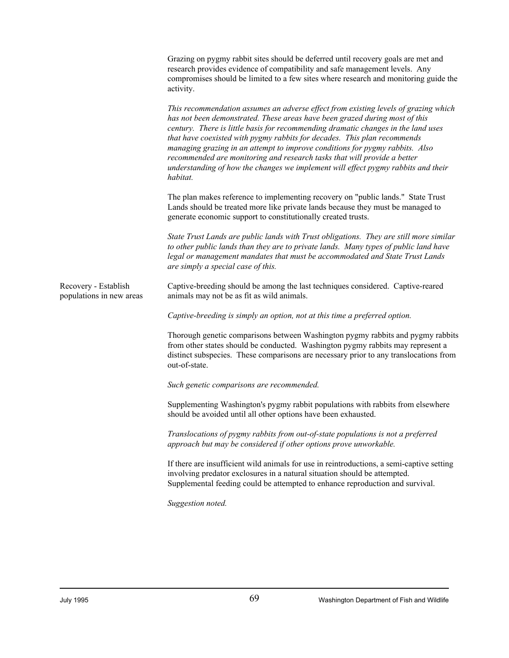|                                                  | Grazing on pygmy rabbit sites should be deferred until recovery goals are met and<br>research provides evidence of compatibility and safe management levels. Any<br>compromises should be limited to a few sites where research and monitoring guide the<br>activity.                                                                                                                                                                                                                                                                                                                            |
|--------------------------------------------------|--------------------------------------------------------------------------------------------------------------------------------------------------------------------------------------------------------------------------------------------------------------------------------------------------------------------------------------------------------------------------------------------------------------------------------------------------------------------------------------------------------------------------------------------------------------------------------------------------|
|                                                  | This recommendation assumes an adverse effect from existing levels of grazing which<br>has not been demonstrated. These areas have been grazed during most of this<br>century. There is little basis for recommending dramatic changes in the land uses<br>that have coexisted with pygmy rabbits for decades. This plan recommends<br>managing grazing in an attempt to improve conditions for pygmy rabbits. Also<br>recommended are monitoring and research tasks that will provide a better<br>understanding of how the changes we implement will effect pygmy rabbits and their<br>habitat. |
|                                                  | The plan makes reference to implementing recovery on "public lands." State Trust<br>Lands should be treated more like private lands because they must be managed to<br>generate economic support to constitutionally created trusts.                                                                                                                                                                                                                                                                                                                                                             |
|                                                  | State Trust Lands are public lands with Trust obligations. They are still more similar<br>to other public lands than they are to private lands. Many types of public land have<br>legal or management mandates that must be accommodated and State Trust Lands<br>are simply a special case of this.                                                                                                                                                                                                                                                                                             |
| Recovery - Establish<br>populations in new areas | Captive-breeding should be among the last techniques considered. Captive-reared<br>animals may not be as fit as wild animals.                                                                                                                                                                                                                                                                                                                                                                                                                                                                    |
|                                                  | Captive-breeding is simply an option, not at this time a preferred option.                                                                                                                                                                                                                                                                                                                                                                                                                                                                                                                       |
|                                                  | Thorough genetic comparisons between Washington pygmy rabbits and pygmy rabbits<br>from other states should be conducted. Washington pygmy rabbits may represent a<br>distinct subspecies. These comparisons are necessary prior to any translocations from<br>out-of-state.                                                                                                                                                                                                                                                                                                                     |
|                                                  | Such genetic comparisons are recommended.                                                                                                                                                                                                                                                                                                                                                                                                                                                                                                                                                        |
|                                                  | Supplementing Washington's pygmy rabbit populations with rabbits from elsewhere<br>should be avoided until all other options have been exhausted.                                                                                                                                                                                                                                                                                                                                                                                                                                                |
|                                                  | Translocations of pygmy rabbits from out-of-state populations is not a preferred<br>approach but may be considered if other options prove unworkable.                                                                                                                                                                                                                                                                                                                                                                                                                                            |
|                                                  | If there are insufficient wild animals for use in reintroductions, a semi-captive setting<br>involving predator exclosures in a natural situation should be attempted.<br>Supplemental feeding could be attempted to enhance reproduction and survival.                                                                                                                                                                                                                                                                                                                                          |
|                                                  | Suggestion noted.                                                                                                                                                                                                                                                                                                                                                                                                                                                                                                                                                                                |
|                                                  |                                                                                                                                                                                                                                                                                                                                                                                                                                                                                                                                                                                                  |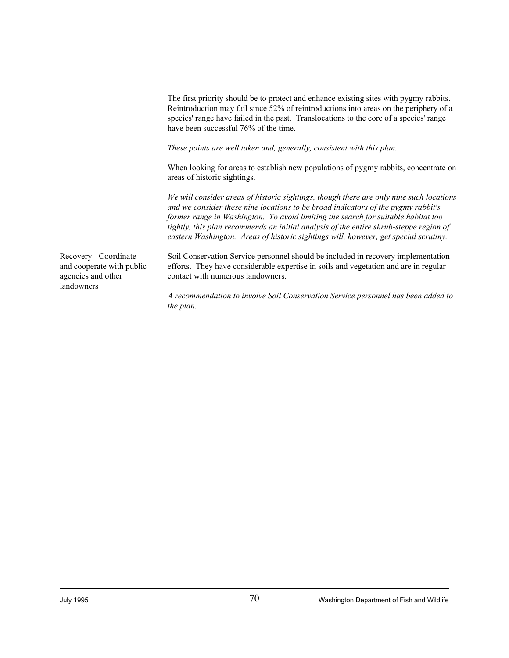The first priority should be to protect and enhance existing sites with pygmy rabbits. Reintroduction may fail since 52% of reintroductions into areas on the periphery of a species' range have failed in the past. Translocations to the core of a species' range have been successful 76% of the time.

*These points are well taken and, generally, consistent with this plan.*

When looking for areas to establish new populations of pygmy rabbits, concentrate on areas of historic sightings.

*We will consider areas of historic sightings, though there are only nine such locations and we consider these nine locations to be broad indicators of the pygmy rabbit's former range in Washington. To avoid limiting the search for suitable habitat too tightly, this plan recommends an initial analysis of the entire shrub-steppe region of eastern Washington. Areas of historic sightings will, however, get special scrutiny.*

landowners

Recovery - Coordinate Soil Conservation Service personnel should be included in recovery implementation and cooperate with public efforts. They have considerable expertise in soils and vegetation and are in regular agencies and other contact with numerous landowners.

> *A recommendation to involve Soil Conservation Service personnel has been added to the plan.*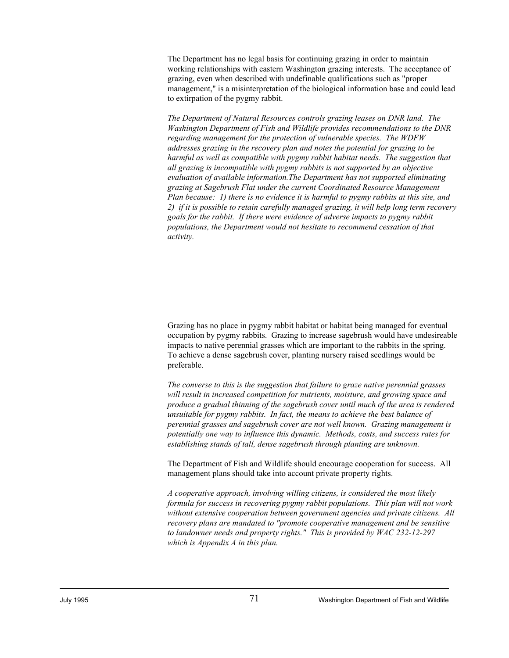The Department has no legal basis for continuing grazing in order to maintain working relationships with eastern Washington grazing interests. The acceptance of grazing, even when described with undefinable qualifications such as "proper management," is a misinterpretation of the biological information base and could lead to extirpation of the pygmy rabbit.

*The Department of Natural Resources controls grazing leases on DNR land. The Washington Department of Fish and Wildlife provides recommendations to the DNR regarding management for the protection of vulnerable species. The WDFW addresses grazing in the recovery plan and notes the potential for grazing to be harmful as well as compatible with pygmy rabbit habitat needs. The suggestion that all grazing is incompatible with pygmy rabbits is not supported by an objective evaluation of available information.The Department has not supported eliminating grazing at Sagebrush Flat under the current Coordinated Resource Management Plan because: 1) there is no evidence it is harmful to pygmy rabbits at this site, and 2) if it is possible to retain carefully managed grazing, it will help long term recovery goals for the rabbit. If there were evidence of adverse impacts to pygmy rabbit populations, the Department would not hesitate to recommend cessation of that activity.* 

Grazing has no place in pygmy rabbit habitat or habitat being managed for eventual occupation by pygmy rabbits. Grazing to increase sagebrush would have undesireable impacts to native perennial grasses which are important to the rabbits in the spring. To achieve a dense sagebrush cover, planting nursery raised seedlings would be preferable.

*The converse to this is the suggestion that failure to graze native perennial grasses will result in increased competition for nutrients, moisture, and growing space and produce a gradual thinning of the sagebrush cover until much of the area is rendered unsuitable for pygmy rabbits. In fact, the means to achieve the best balance of perennial grasses and sagebrush cover are not well known. Grazing management is potentially one way to influence this dynamic. Methods, costs, and success rates for establishing stands of tall, dense sagebrush through planting are unknown.*

The Department of Fish and Wildlife should encourage cooperation for success. All management plans should take into account private property rights.

*A cooperative approach, involving willing citizens, is considered the most likely formula for success in recovering pygmy rabbit populations. This plan will not work without extensive cooperation between government agencies and private citizens. All recovery plans are mandated to "promote cooperative management and be sensitive to landowner needs and property rights." This is provided by WAC 232-12-297 which is Appendix A in this plan.*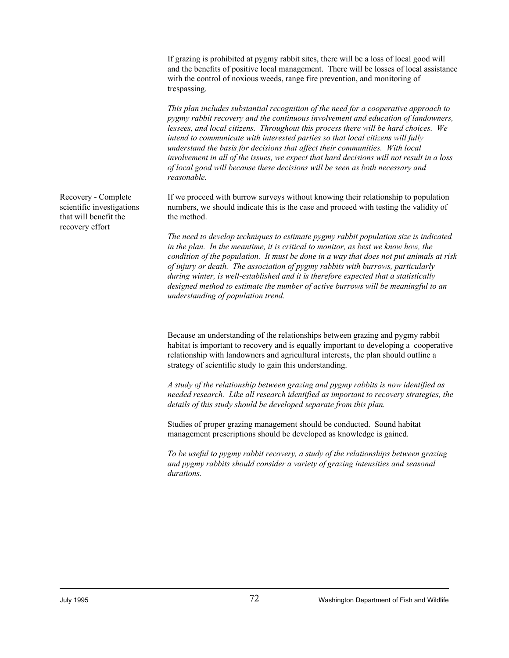If grazing is prohibited at pygmy rabbit sites, there will be a loss of local good will and the benefits of positive local management. There will be losses of local assistance with the control of noxious weeds, range fire prevention, and monitoring of trespassing.

*This plan includes substantial recognition of the need for a cooperative approach to pygmy rabbit recovery and the continuous involvement and education of landowners, lessees, and local citizens. Throughout this process there will be hard choices. We intend to communicate with interested parties so that local citizens will fully understand the basis for decisions that affect their communities. With local involvement in all of the issues, we expect that hard decisions will not result in a loss of local good will because these decisions will be seen as both necessary and reasonable.*

Recovery - Complete If we proceed with burrow surveys without knowing their relationship to population scientific investigations numbers, we should indicate this is the case and proceed with testing the validity of

> *The need to develop techniques to estimate pygmy rabbit population size is indicated in the plan. In the meantime, it is critical to monitor, as best we know how, the condition of the population. It must be done in a way that does not put animals at risk of injury or death. The association of pygmy rabbits with burrows, particularly during winter, is well-established and it is therefore expected that a statistically designed method to estimate the number of active burrows will be meaningful to an understanding of population trend.*

Because an understanding of the relationships between grazing and pygmy rabbit habitat is important to recovery and is equally important to developing a cooperative relationship with landowners and agricultural interests, the plan should outline a strategy of scientific study to gain this understanding.

*A study of the relationship between grazing and pygmy rabbits is now identified as needed research. Like all research identified as important to recovery strategies, the details of this study should be developed separate from this plan.*

Studies of proper grazing management should be conducted. Sound habitat management prescriptions should be developed as knowledge is gained.

*To be useful to pygmy rabbit recovery, a study of the relationships between grazing and pygmy rabbits should consider a variety of grazing intensities and seasonal durations.*

that will benefit the the method. recovery effort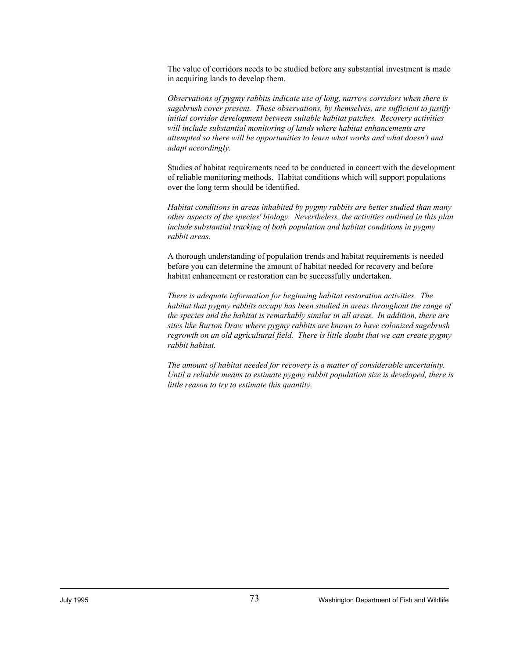The value of corridors needs to be studied before any substantial investment is made in acquiring lands to develop them.

*Observations of pygmy rabbits indicate use of long, narrow corridors when there is sagebrush cover present. These observations, by themselves, are sufficient to justify initial corridor development between suitable habitat patches. Recovery activities will include substantial monitoring of lands where habitat enhancements are attempted so there will be opportunities to learn what works and what doesn't and adapt accordingly.*

Studies of habitat requirements need to be conducted in concert with the development of reliable monitoring methods. Habitat conditions which will support populations over the long term should be identified.

*Habitat conditions in areas inhabited by pygmy rabbits are better studied than many other aspects of the species' biology. Nevertheless, the activities outlined in this plan include substantial tracking of both population and habitat conditions in pygmy rabbit areas.*

A thorough understanding of population trends and habitat requirements is needed before you can determine the amount of habitat needed for recovery and before habitat enhancement or restoration can be successfully undertaken.

*There is adequate information for beginning habitat restoration activities. The habitat that pygmy rabbits occupy has been studied in areas throughout the range of the species and the habitat is remarkably similar in all areas. In addition, there are sites like Burton Draw where pygmy rabbits are known to have colonized sagebrush regrowth on an old agricultural field. There is little doubt that we can create pygmy rabbit habitat.* 

*The amount of habitat needed for recovery is a matter of considerable uncertainty. Until a reliable means to estimate pygmy rabbit population size is developed, there is little reason to try to estimate this quantity.*